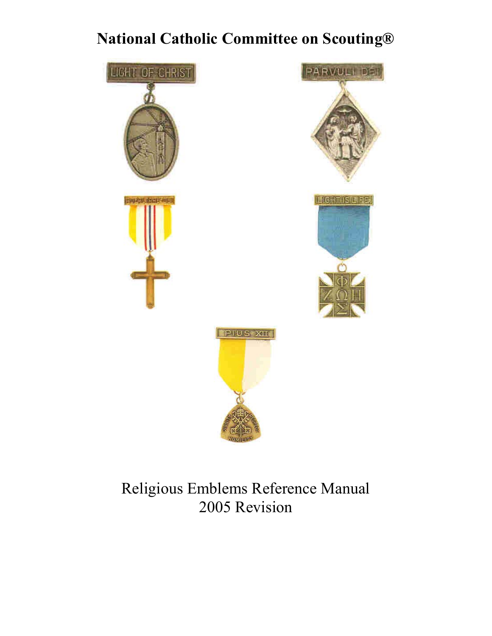# **National Catholic Committee on Scouting®**







Religious Emblems Reference Manual 2005 Revision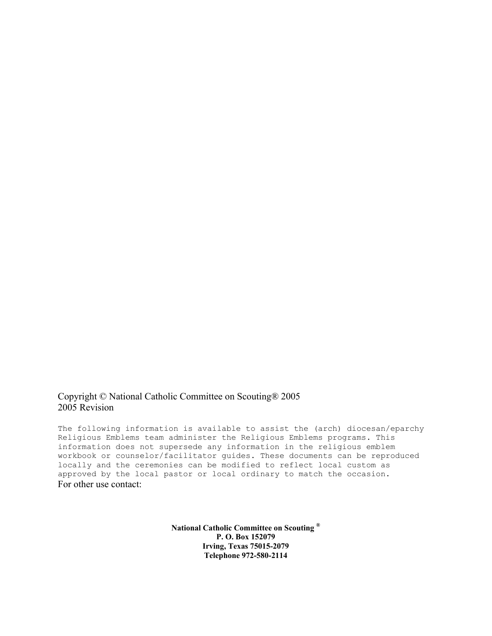## Copyright © National Catholic Committee on Scouting® 2005 2005 Revision

The following information is available to assist the (arch) diocesan/eparchy Religious Emblems team administer the Religious Emblems programs. This information does not supersede any information in the religious emblem workbook or counselor/facilitator guides. These documents can be reproduced locally and the ceremonies can be modified to reflect local custom as approved by the local pastor or local ordinary to match the occasion. For other use contact:

> **National Catholic Committee on Scouting ® P. O. Box 152079 Irving, Texas 75015-2079 Telephone 972-580-2114**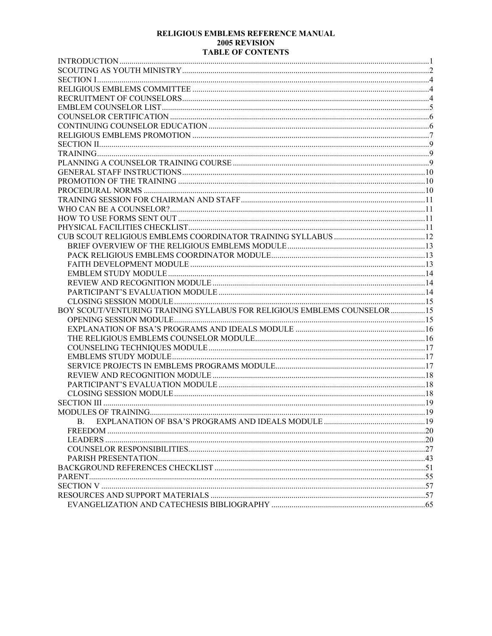#### RELIGIOUS EMBLEMS REFERENCE MANUAL 2005 REVISION **TABLE OF CONTENTS**

| BOY SCOUT/VENTURING TRAINING SYLLABUS FOR RELIGIOUS EMBLEMS COUNSELOR15 |  |
|-------------------------------------------------------------------------|--|
|                                                                         |  |
|                                                                         |  |
|                                                                         |  |
|                                                                         |  |
|                                                                         |  |
|                                                                         |  |
|                                                                         |  |
|                                                                         |  |
|                                                                         |  |
|                                                                         |  |
|                                                                         |  |
| B.                                                                      |  |
|                                                                         |  |
|                                                                         |  |
|                                                                         |  |
|                                                                         |  |
|                                                                         |  |
|                                                                         |  |
|                                                                         |  |
|                                                                         |  |
|                                                                         |  |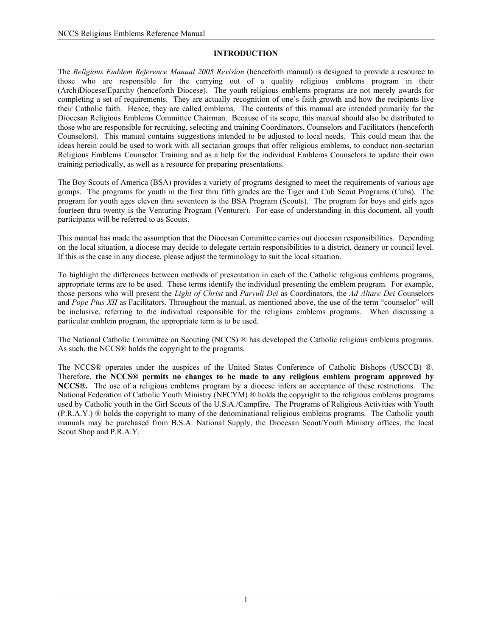## **INTRODUCTION**

The *Religious Emblem Reference Manual 2005 Revision* (henceforth manual) is designed to provide a resource to those who are responsible for the carrying out of a quality religious emblems program in their (Arch)Diocese/Eparchy (henceforth Diocese). The youth religious emblems programs are not merely awards for completing a set of requirements. They are actually recognition of one's faith growth and how the recipients live their Catholic faith. Hence, they are called emblems. The contents of this manual are intended primarily for the Diocesan Religious Emblems Committee Chairman. Because of its scope, this manual should also be distributed to those who are responsible for recruiting, selecting and training Coordinators, Counselors and Facilitators (henceforth Counselors). This manual contains suggestions intended to be adjusted to local needs. This could mean that the ideas herein could be used to work with all sectarian groups that offer religious emblems, to conduct non-sectarian Religious Emblems Counselor Training and as a help for the individual Emblems Counselors to update their own training periodically, as well as a resource for preparing presentations.

The Boy Scouts of America (BSA) provides a variety of programs designed to meet the requirements of various age groups. The programs for youth in the first thru fifth grades are the Tiger and Cub Scout Programs (Cubs). The program for youth ages eleven thru seventeen is the BSA Program (Scouts). The program for boys and girls ages fourteen thru twenty is the Venturing Program (Venturer). For ease of understanding in this document, all youth participants will be referred to as Scouts.

This manual has made the assumption that the Diocesan Committee carries out diocesan responsibilities. Depending on the local situation, a diocese may decide to delegate certain responsibilities to a district, deanery or council level. If this is the case in any diocese, please adjust the terminology to suit the local situation.

To highlight the differences between methods of presentation in each of the Catholic religious emblems programs, appropriate terms are to be used. These terms identify the individual presenting the emblem program. For example, those persons who will present the *Light of Christ* and *Parvuli Dei* as Coordinators, the *Ad Altare Dei C*ounselors and *Pope Pius XII* as Facilitators. Throughout the manual, as mentioned above, the use of the term "counselor" will be inclusive, referring to the individual responsible for the religious emblems programs. When discussing a particular emblem program, the appropriate term is to be used.

The National Catholic Committee on Scouting (NCCS) ® has developed the Catholic religious emblems programs. As such, the NCCS® holds the copyright to the programs.

The NCCS® operates under the auspices of the United States Conference of Catholic Bishops (USCCB) ®. Therefore, **the NCCS® permits no changes to be made to any religious emblem program approved by NCCS®.** The use of a religious emblems program by a diocese infers an acceptance of these restrictions. The National Federation of Catholic Youth Ministry (NFCYM) ® holds the copyright to the religious emblems programs used by Catholic youth in the Girl Scouts of the U.S.A./Campfire. The Programs of Religious Activities with Youth (P.R.A.Y.) ® holds the copyright to many of the denominational religious emblems programs. The Catholic youth manuals may be purchased from B.S.A. National Supply, the Diocesan Scout/Youth Ministry offices, the local Scout Shop and P.R.A.Y.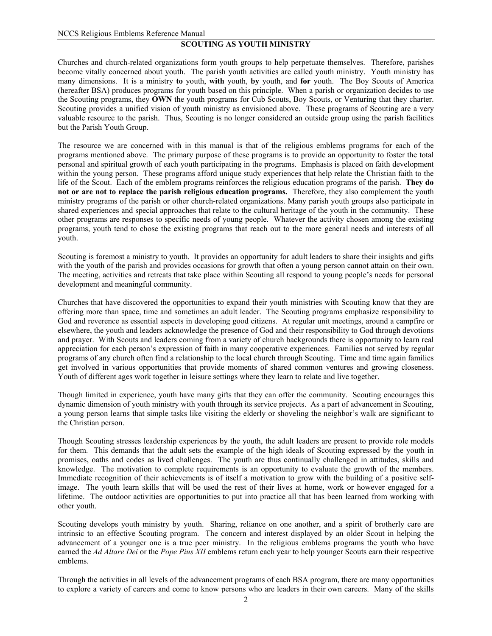#### **SCOUTING AS YOUTH MINISTRY**

Churches and church-related organizations form youth groups to help perpetuate themselves. Therefore, parishes become vitally concerned about youth. The parish youth activities are called youth ministry. Youth ministry has many dimensions. It is a ministry **to** youth, **with** youth, **by** youth, and **for** youth. The Boy Scouts of America (hereafter BSA) produces programs for youth based on this principle. When a parish or organization decides to use the Scouting programs, they **OWN** the youth programs for Cub Scouts, Boy Scouts, or Venturing that they charter. Scouting provides a unified vision of youth ministry as envisioned above. These programs of Scouting are a very valuable resource to the parish. Thus, Scouting is no longer considered an outside group using the parish facilities but the Parish Youth Group.

The resource we are concerned with in this manual is that of the religious emblems programs for each of the programs mentioned above. The primary purpose of these programs is to provide an opportunity to foster the total personal and spiritual growth of each youth participating in the programs. Emphasis is placed on faith development within the young person. These programs afford unique study experiences that help relate the Christian faith to the life of the Scout. Each of the emblem programs reinforces the religious education programs of the parish. **They do not or are not to replace the parish religious education programs.** Therefore, they also complement the youth ministry programs of the parish or other church-related organizations. Many parish youth groups also participate in shared experiences and special approaches that relate to the cultural heritage of the youth in the community. These other programs are responses to specific needs of young people. Whatever the activity chosen among the existing programs, youth tend to chose the existing programs that reach out to the more general needs and interests of all youth.

Scouting is foremost a ministry to youth. It provides an opportunity for adult leaders to share their insights and gifts with the youth of the parish and provides occasions for growth that often a young person cannot attain on their own. The meeting, activities and retreats that take place within Scouting all respond to young people's needs for personal development and meaningful community.

Churches that have discovered the opportunities to expand their youth ministries with Scouting know that they are offering more than space, time and sometimes an adult leader. The Scouting programs emphasize responsibility to God and reverence as essential aspects in developing good citizens. At regular unit meetings, around a campfire or elsewhere, the youth and leaders acknowledge the presence of God and their responsibility to God through devotions and prayer. With Scouts and leaders coming from a variety of church backgrounds there is opportunity to learn real appreciation for each person's expression of faith in many cooperative experiences. Families not served by regular programs of any church often find a relationship to the local church through Scouting. Time and time again families get involved in various opportunities that provide moments of shared common ventures and growing closeness. Youth of different ages work together in leisure settings where they learn to relate and live together.

Though limited in experience, youth have many gifts that they can offer the community. Scouting encourages this dynamic dimension of youth ministry with youth through its service projects. As a part of advancement in Scouting, a young person learns that simple tasks like visiting the elderly or shoveling the neighbor's walk are significant to the Christian person.

Though Scouting stresses leadership experiences by the youth, the adult leaders are present to provide role models for them. This demands that the adult sets the example of the high ideals of Scouting expressed by the youth in promises, oaths and codes as lived challenges. The youth are thus continually challenged in attitudes, skills and knowledge. The motivation to complete requirements is an opportunity to evaluate the growth of the members. Immediate recognition of their achievements is of itself a motivation to grow with the building of a positive selfimage. The youth learn skills that will be used the rest of their lives at home, work or however engaged for a lifetime. The outdoor activities are opportunities to put into practice all that has been learned from working with other youth.

Scouting develops youth ministry by youth. Sharing, reliance on one another, and a spirit of brotherly care are intrinsic to an effective Scouting program. The concern and interest displayed by an older Scout in helping the advancement of a younger one is a true peer ministry. In the religious emblems programs the youth who have earned the *Ad Altare Dei* or the *Pope Pius XII* emblems return each year to help younger Scouts earn their respective emblems.

Through the activities in all levels of the advancement programs of each BSA program, there are many opportunities to explore a variety of careers and come to know persons who are leaders in their own careers. Many of the skills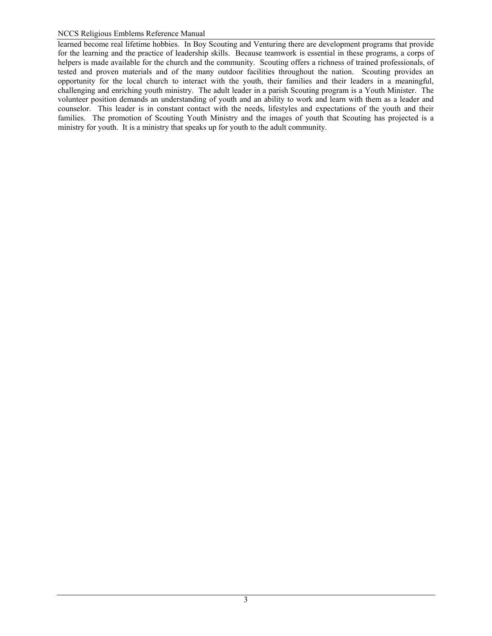learned become real lifetime hobbies. In Boy Scouting and Venturing there are development programs that provide for the learning and the practice of leadership skills. Because teamwork is essential in these programs, a corps of helpers is made available for the church and the community. Scouting offers a richness of trained professionals, of tested and proven materials and of the many outdoor facilities throughout the nation. Scouting provides an opportunity for the local church to interact with the youth, their families and their leaders in a meaningful, challenging and enriching youth ministry. The adult leader in a parish Scouting program is a Youth Minister. The volunteer position demands an understanding of youth and an ability to work and learn with them as a leader and counselor. This leader is in constant contact with the needs, lifestyles and expectations of the youth and their families. The promotion of Scouting Youth Ministry and the images of youth that Scouting has projected is a ministry for youth. It is a ministry that speaks up for youth to the adult community.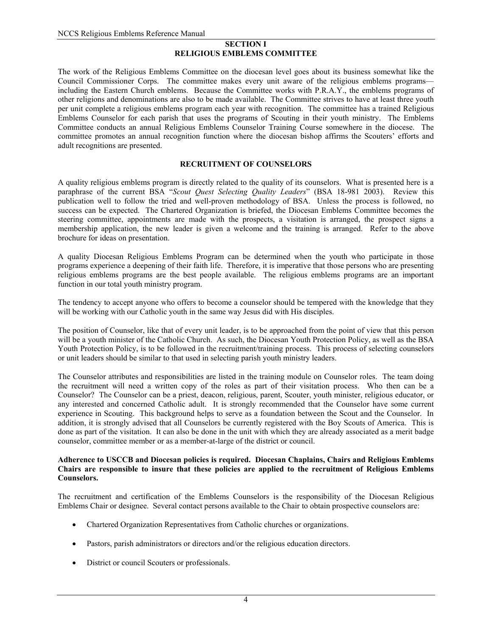#### **SECTION I RELIGIOUS EMBLEMS COMMITTEE**

The work of the Religious Emblems Committee on the diocesan level goes about its business somewhat like the Council Commissioner Corps. The committee makes every unit aware of the religious emblems programs including the Eastern Church emblems. Because the Committee works with P.R.A.Y., the emblems programs of other religions and denominations are also to be made available. The Committee strives to have at least three youth per unit complete a religious emblems program each year with recognition. The committee has a trained Religious Emblems Counselor for each parish that uses the programs of Scouting in their youth ministry. The Emblems Committee conducts an annual Religious Emblems Counselor Training Course somewhere in the diocese. The committee promotes an annual recognition function where the diocesan bishop affirms the Scouters' efforts and adult recognitions are presented.

## **RECRUITMENT OF COUNSELORS**

A quality religious emblems program is directly related to the quality of its counselors. What is presented here is a paraphrase of the current BSA "*Scout Quest Selecting Quality Leaders*" (BSA 18-981 2003). Review this publication well to follow the tried and well-proven methodology of BSA. Unless the process is followed, no success can be expected. The Chartered Organization is briefed, the Diocesan Emblems Committee becomes the steering committee, appointments are made with the prospects, a visitation is arranged, the prospect signs a membership application, the new leader is given a welcome and the training is arranged. Refer to the above brochure for ideas on presentation.

A quality Diocesan Religious Emblems Program can be determined when the youth who participate in those programs experience a deepening of their faith life. Therefore, it is imperative that those persons who are presenting religious emblems programs are the best people available. The religious emblems programs are an important function in our total youth ministry program.

The tendency to accept anyone who offers to become a counselor should be tempered with the knowledge that they will be working with our Catholic youth in the same way Jesus did with His disciples.

The position of Counselor, like that of every unit leader, is to be approached from the point of view that this person will be a youth minister of the Catholic Church. As such, the Diocesan Youth Protection Policy, as well as the BSA Youth Protection Policy, is to be followed in the recruitment/training process. This process of selecting counselors or unit leaders should be similar to that used in selecting parish youth ministry leaders.

The Counselor attributes and responsibilities are listed in the training module on Counselor roles. The team doing the recruitment will need a written copy of the roles as part of their visitation process. Who then can be a Counselor? The Counselor can be a priest, deacon, religious, parent, Scouter, youth minister, religious educator, or any interested and concerned Catholic adult. It is strongly recommended that the Counselor have some current experience in Scouting. This background helps to serve as a foundation between the Scout and the Counselor. In addition, it is strongly advised that all Counselors be currently registered with the Boy Scouts of America. This is done as part of the visitation. It can also be done in the unit with which they are already associated as a merit badge counselor, committee member or as a member-at-large of the district or council.

#### **Adherence to USCCB and Diocesan policies is required. Diocesan Chaplains, Chairs and Religious Emblems Chairs are responsible to insure that these policies are applied to the recruitment of Religious Emblems Counselors.**

The recruitment and certification of the Emblems Counselors is the responsibility of the Diocesan Religious Emblems Chair or designee. Several contact persons available to the Chair to obtain prospective counselors are:

- Chartered Organization Representatives from Catholic churches or organizations.
- Pastors, parish administrators or directors and/or the religious education directors.
- District or council Scouters or professionals.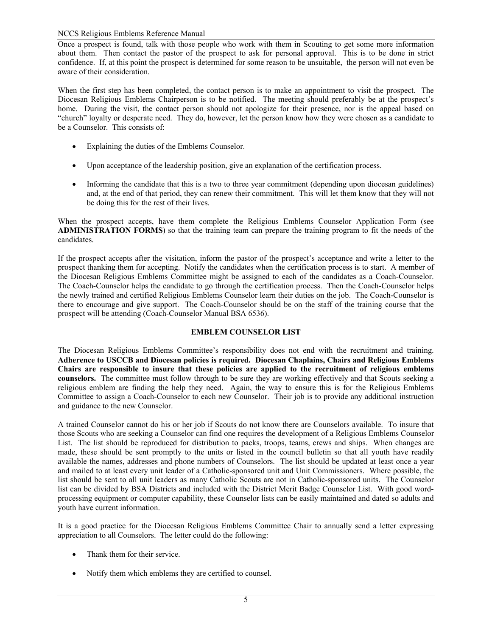Once a prospect is found, talk with those people who work with them in Scouting to get some more information about them. Then contact the pastor of the prospect to ask for personal approval. This is to be done in strict confidence. If, at this point the prospect is determined for some reason to be unsuitable, the person will not even be aware of their consideration.

When the first step has been completed, the contact person is to make an appointment to visit the prospect. The Diocesan Religious Emblems Chairperson is to be notified. The meeting should preferably be at the prospect's home. During the visit, the contact person should not apologize for their presence, nor is the appeal based on "church" loyalty or desperate need. They do, however, let the person know how they were chosen as a candidate to be a Counselor. This consists of:

- Explaining the duties of the Emblems Counselor.
- Upon acceptance of the leadership position, give an explanation of the certification process.
- Informing the candidate that this is a two to three year commitment (depending upon diocesan guidelines) and, at the end of that period, they can renew their commitment. This will let them know that they will not be doing this for the rest of their lives.

When the prospect accepts, have them complete the Religious Emblems Counselor Application Form (see **ADMINISTRATION FORMS**) so that the training team can prepare the training program to fit the needs of the candidates.

If the prospect accepts after the visitation, inform the pastor of the prospect's acceptance and write a letter to the prospect thanking them for accepting. Notify the candidates when the certification process is to start. A member of the Diocesan Religious Emblems Committee might be assigned to each of the candidates as a Coach-Counselor. The Coach-Counselor helps the candidate to go through the certification process. Then the Coach-Counselor helps the newly trained and certified Religious Emblems Counselor learn their duties on the job. The Coach-Counselor is there to encourage and give support. The Coach-Counselor should be on the staff of the training course that the prospect will be attending (Coach-Counselor Manual BSA 6536).

## **EMBLEM COUNSELOR LIST**

The Diocesan Religious Emblems Committee's responsibility does not end with the recruitment and training. **Adherence to USCCB and Diocesan policies is required. Diocesan Chaplains, Chairs and Religious Emblems Chairs are responsible to insure that these policies are applied to the recruitment of religious emblems counselors.** The committee must follow through to be sure they are working effectively and that Scouts seeking a religious emblem are finding the help they need. Again, the way to ensure this is for the Religious Emblems Committee to assign a Coach-Counselor to each new Counselor. Their job is to provide any additional instruction and guidance to the new Counselor.

A trained Counselor cannot do his or her job if Scouts do not know there are Counselors available. To insure that those Scouts who are seeking a Counselor can find one requires the development of a Religious Emblems Counselor List. The list should be reproduced for distribution to packs, troops, teams, crews and ships. When changes are made, these should be sent promptly to the units or listed in the council bulletin so that all youth have readily available the names, addresses and phone numbers of Counselors. The list should be updated at least once a year and mailed to at least every unit leader of a Catholic-sponsored unit and Unit Commissioners. Where possible, the list should be sent to all unit leaders as many Catholic Scouts are not in Catholic-sponsored units. The Counselor list can be divided by BSA Districts and included with the District Merit Badge Counselor List. With good wordprocessing equipment or computer capability, these Counselor lists can be easily maintained and dated so adults and youth have current information.

It is a good practice for the Diocesan Religious Emblems Committee Chair to annually send a letter expressing appreciation to all Counselors. The letter could do the following:

- Thank them for their service.
- Notify them which emblems they are certified to counsel.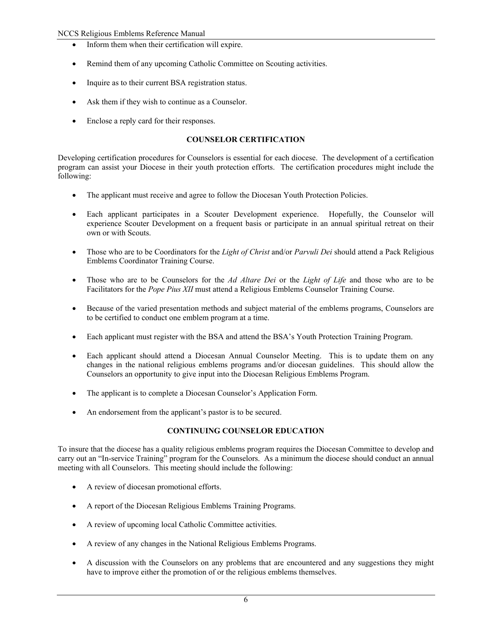- Inform them when their certification will expire.
- Remind them of any upcoming Catholic Committee on Scouting activities.
- Inquire as to their current BSA registration status.
- Ask them if they wish to continue as a Counselor.
- Enclose a reply card for their responses.

## **COUNSELOR CERTIFICATION**

Developing certification procedures for Counselors is essential for each diocese. The development of a certification program can assist your Diocese in their youth protection efforts. The certification procedures might include the following:

- The applicant must receive and agree to follow the Diocesan Youth Protection Policies.
- Each applicant participates in a Scouter Development experience. Hopefully, the Counselor will experience Scouter Development on a frequent basis or participate in an annual spiritual retreat on their own or with Scouts.
- Those who are to be Coordinators for the *Light of Christ* and/or *Parvuli Dei* should attend a Pack Religious Emblems Coordinator Training Course.
- Those who are to be Counselors for the *Ad Altare Dei* or the *Light of Life* and those who are to be Facilitators for the *Pope Pius XII* must attend a Religious Emblems Counselor Training Course.
- Because of the varied presentation methods and subject material of the emblems programs, Counselors are to be certified to conduct one emblem program at a time.
- Each applicant must register with the BSA and attend the BSA's Youth Protection Training Program.
- Each applicant should attend a Diocesan Annual Counselor Meeting. This is to update them on any changes in the national religious emblems programs and/or diocesan guidelines. This should allow the Counselors an opportunity to give input into the Diocesan Religious Emblems Program.
- The applicant is to complete a Diocesan Counselor's Application Form.
- An endorsement from the applicant's pastor is to be secured.

# **CONTINUING COUNSELOR EDUCATION**

To insure that the diocese has a quality religious emblems program requires the Diocesan Committee to develop and carry out an "In-service Training" program for the Counselors. As a minimum the diocese should conduct an annual meeting with all Counselors. This meeting should include the following:

- A review of diocesan promotional efforts.
- A report of the Diocesan Religious Emblems Training Programs.
- A review of upcoming local Catholic Committee activities.
- A review of any changes in the National Religious Emblems Programs.
- A discussion with the Counselors on any problems that are encountered and any suggestions they might have to improve either the promotion of or the religious emblems themselves.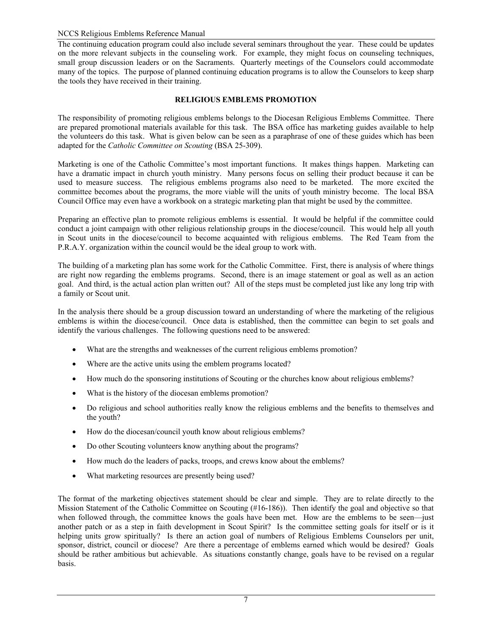The continuing education program could also include several seminars throughout the year. These could be updates on the more relevant subjects in the counseling work. For example, they might focus on counseling techniques, small group discussion leaders or on the Sacraments. Quarterly meetings of the Counselors could accommodate many of the topics. The purpose of planned continuing education programs is to allow the Counselors to keep sharp the tools they have received in their training.

# **RELIGIOUS EMBLEMS PROMOTION**

The responsibility of promoting religious emblems belongs to the Diocesan Religious Emblems Committee. There are prepared promotional materials available for this task. The BSA office has marketing guides available to help the volunteers do this task. What is given below can be seen as a paraphrase of one of these guides which has been adapted for the *Catholic Committee on Scouting* (BSA 25-309).

Marketing is one of the Catholic Committee's most important functions. It makes things happen. Marketing can have a dramatic impact in church youth ministry. Many persons focus on selling their product because it can be used to measure success. The religious emblems programs also need to be marketed. The more excited the committee becomes about the programs, the more viable will the units of youth ministry become. The local BSA Council Office may even have a workbook on a strategic marketing plan that might be used by the committee.

Preparing an effective plan to promote religious emblems is essential. It would be helpful if the committee could conduct a joint campaign with other religious relationship groups in the diocese/council. This would help all youth in Scout units in the diocese/council to become acquainted with religious emblems. The Red Team from the P.R.A.Y. organization within the council would be the ideal group to work with.

The building of a marketing plan has some work for the Catholic Committee. First, there is analysis of where things are right now regarding the emblems programs. Second, there is an image statement or goal as well as an action goal. And third, is the actual action plan written out? All of the steps must be completed just like any long trip with a family or Scout unit.

In the analysis there should be a group discussion toward an understanding of where the marketing of the religious emblems is within the diocese/council. Once data is established, then the committee can begin to set goals and identify the various challenges. The following questions need to be answered:

- What are the strengths and weaknesses of the current religious emblems promotion?
- Where are the active units using the emblem programs located?
- How much do the sponsoring institutions of Scouting or the churches know about religious emblems?
- What is the history of the diocesan emblems promotion?
- Do religious and school authorities really know the religious emblems and the benefits to themselves and the youth?
- How do the diocesan/council youth know about religious emblems?
- Do other Scouting volunteers know anything about the programs?
- How much do the leaders of packs, troops, and crews know about the emblems?
- What marketing resources are presently being used?

The format of the marketing objectives statement should be clear and simple. They are to relate directly to the Mission Statement of the Catholic Committee on Scouting (#16-186)). Then identify the goal and objective so that when followed through, the committee knows the goals have been met. How are the emblems to be seen—just another patch or as a step in faith development in Scout Spirit? Is the committee setting goals for itself or is it helping units grow spiritually? Is there an action goal of numbers of Religious Emblems Counselors per unit, sponsor, district, council or diocese? Are there a percentage of emblems earned which would be desired? Goals should be rather ambitious but achievable. As situations constantly change, goals have to be revised on a regular basis.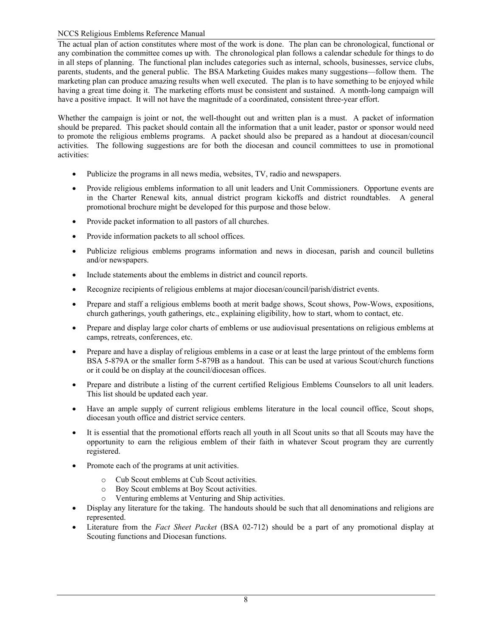The actual plan of action constitutes where most of the work is done. The plan can be chronological, functional or any combination the committee comes up with. The chronological plan follows a calendar schedule for things to do in all steps of planning. The functional plan includes categories such as internal, schools, businesses, service clubs, parents, students, and the general public. The BSA Marketing Guides makes many suggestions—follow them. The marketing plan can produce amazing results when well executed. The plan is to have something to be enjoyed while having a great time doing it. The marketing efforts must be consistent and sustained. A month-long campaign will have a positive impact. It will not have the magnitude of a coordinated, consistent three-year effort.

Whether the campaign is joint or not, the well-thought out and written plan is a must. A packet of information should be prepared. This packet should contain all the information that a unit leader, pastor or sponsor would need to promote the religious emblems programs. A packet should also be prepared as a handout at diocesan/council activities. The following suggestions are for both the diocesan and council committees to use in promotional activities:

- Publicize the programs in all news media, websites, TV, radio and newspapers.
- Provide religious emblems information to all unit leaders and Unit Commissioners. Opportune events are in the Charter Renewal kits, annual district program kickoffs and district roundtables. A general promotional brochure might be developed for this purpose and those below.
- Provide packet information to all pastors of all churches.
- Provide information packets to all school offices.
- Publicize religious emblems programs information and news in diocesan, parish and council bulletins and/or newspapers.
- Include statements about the emblems in district and council reports.
- Recognize recipients of religious emblems at major diocesan/council/parish/district events.
- Prepare and staff a religious emblems booth at merit badge shows, Scout shows, Pow-Wows, expositions, church gatherings, youth gatherings, etc., explaining eligibility, how to start, whom to contact, etc.
- Prepare and display large color charts of emblems or use audiovisual presentations on religious emblems at camps, retreats, conferences, etc.
- Prepare and have a display of religious emblems in a case or at least the large printout of the emblems form BSA 5-879A or the smaller form 5-879B as a handout. This can be used at various Scout/church functions or it could be on display at the council/diocesan offices.
- Prepare and distribute a listing of the current certified Religious Emblems Counselors to all unit leaders. This list should be updated each year.
- Have an ample supply of current religious emblems literature in the local council office, Scout shops, diocesan youth office and district service centers.
- It is essential that the promotional efforts reach all youth in all Scout units so that all Scouts may have the opportunity to earn the religious emblem of their faith in whatever Scout program they are currently registered.
- Promote each of the programs at unit activities.
	- o Cub Scout emblems at Cub Scout activities.
	- o Boy Scout emblems at Boy Scout activities.
	- o Venturing emblems at Venturing and Ship activities.
- Display any literature for the taking. The handouts should be such that all denominations and religions are represented.
- Literature from the *Fact Sheet Packet* (BSA 02-712) should be a part of any promotional display at Scouting functions and Diocesan functions.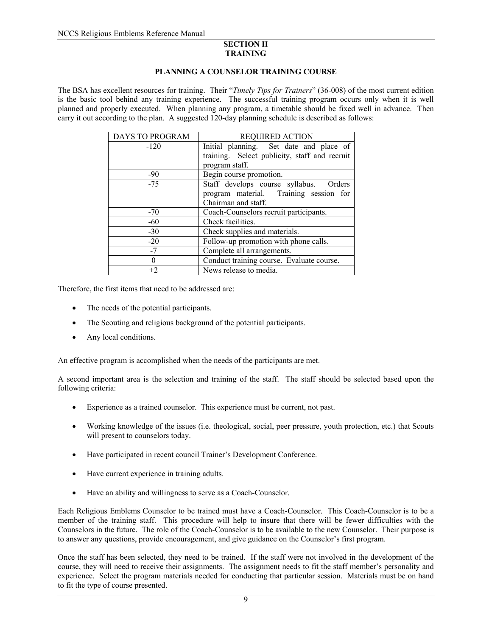#### **SECTION II TRAINING**

## **PLANNING A COUNSELOR TRAINING COURSE**

The BSA has excellent resources for training. Their "*Timely Tips for Trainers*" (36-008) of the most current edition is the basic tool behind any training experience. The successful training program occurs only when it is well planned and properly executed. When planning any program, a timetable should be fixed well in advance. Then carry it out according to the plan. A suggested 120-day planning schedule is described as follows:

| DAYS TO PROGRAM | <b>REQUIRED ACTION</b>                        |
|-----------------|-----------------------------------------------|
| $-120$          | Initial planning. Set date and place of       |
|                 | training. Select publicity, staff and recruit |
|                 | program staff.                                |
| $-90$           | Begin course promotion.                       |
| $-75$           | Staff develops course syllabus. Orders        |
|                 | program material. Training session for        |
|                 | Chairman and staff.                           |
| $-70$           | Coach-Counselors recruit participants.        |
| $-60$           | Check facilities.                             |
| $-30$           | Check supplies and materials.                 |
| $-20$           | Follow-up promotion with phone calls.         |
| $-7$            | Complete all arrangements.                    |
| $\theta$        | Conduct training course. Evaluate course.     |
| $+2$            | News release to media.                        |

Therefore, the first items that need to be addressed are:

- The needs of the potential participants.
- The Scouting and religious background of the potential participants.
- Any local conditions.

An effective program is accomplished when the needs of the participants are met.

A second important area is the selection and training of the staff. The staff should be selected based upon the following criteria:

- Experience as a trained counselor. This experience must be current, not past.
- Working knowledge of the issues (i.e. theological, social, peer pressure, youth protection, etc.) that Scouts will present to counselors today.
- Have participated in recent council Trainer's Development Conference.
- Have current experience in training adults.
- Have an ability and willingness to serve as a Coach-Counselor.

Each Religious Emblems Counselor to be trained must have a Coach-Counselor. This Coach-Counselor is to be a member of the training staff. This procedure will help to insure that there will be fewer difficulties with the Counselors in the future. The role of the Coach-Counselor is to be available to the new Counselor. Their purpose is to answer any questions, provide encouragement, and give guidance on the Counselor's first program.

Once the staff has been selected, they need to be trained. If the staff were not involved in the development of the course, they will need to receive their assignments. The assignment needs to fit the staff member's personality and experience. Select the program materials needed for conducting that particular session. Materials must be on hand to fit the type of course presented.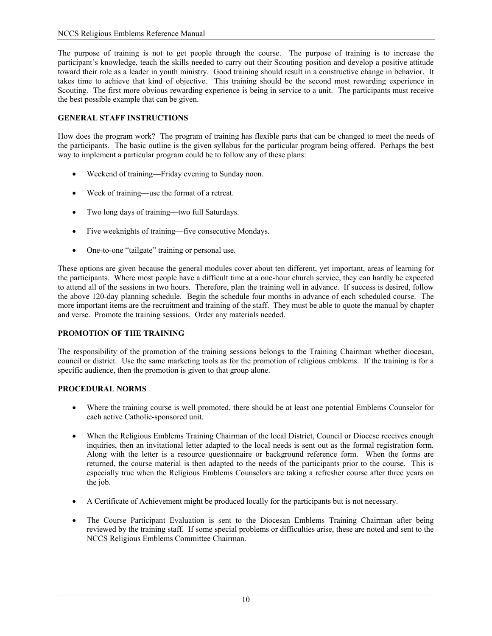The purpose of training is not to get people through the course. The purpose of training is to increase the participant's knowledge, teach the skills needed to carry out their Scouting position and develop a positive attitude toward their role as a leader in youth ministry. Good training should result in a constructive change in behavior. It takes time to achieve that kind of objective. This training should be the second most rewarding experience in Scouting. The first more obvious rewarding experience is being in service to a unit. The participants must receive the best possible example that can be given.

# **GENERAL STAFF INSTRUCTIONS**

How does the program work? The program of training has flexible parts that can be changed to meet the needs of the participants. The basic outline is the given syllabus for the particular program being offered. Perhaps the best way to implement a particular program could be to follow any of these plans:

- Weekend of training—Friday evening to Sunday noon.
- Week of training—use the format of a retreat.
- Two long days of training—two full Saturdays.
- Five weeknights of training—five consecutive Mondays.
- One-to-one "tailgate" training or personal use.

These options are given because the general modules cover about ten different, yet important, areas of learning for the participants. Where most people have a difficult time at a one-hour church service, they can hardly be expected to attend all of the sessions in two hours. Therefore, plan the training well in advance. If success is desired, follow the above 120-day planning schedule. Begin the schedule four months in advance of each scheduled course. The more important items are the recruitment and training of the staff. They must be able to quote the manual by chapter and verse. Promote the training sessions. Order any materials needed.

# **PROMOTION OF THE TRAINING**

The responsibility of the promotion of the training sessions belongs to the Training Chairman whether diocesan, council or district. Use the same marketing tools as for the promotion of religious emblems. If the training is for a specific audience, then the promotion is given to that group alone.

## **PROCEDURAL NORMS**

- Where the training course is well promoted, there should be at least one potential Emblems Counselor for each active Catholic-sponsored unit.
- When the Religious Emblems Training Chairman of the local District, Council or Diocese receives enough inquiries, then an invitational letter adapted to the local needs is sent out as the formal registration form. Along with the letter is a resource questionnaire or background reference form. When the forms are returned, the course material is then adapted to the needs of the participants prior to the course. This is especially true when the Religious Emblems Counselors are taking a refresher course after three years on the job.
- A Certificate of Achievement might be produced locally for the participants but is not necessary.
- The Course Participant Evaluation is sent to the Diocesan Emblems Training Chairman after being reviewed by the training staff. If some special problems or difficulties arise, these are noted and sent to the NCCS Religious Emblems Committee Chairman.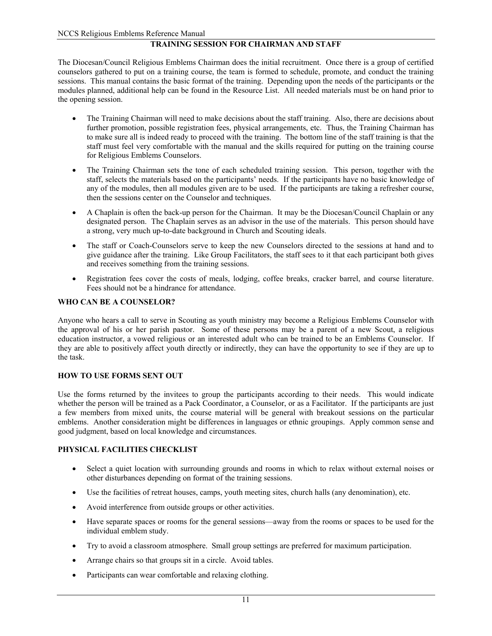## **TRAINING SESSION FOR CHAIRMAN AND STAFF**

The Diocesan/Council Religious Emblems Chairman does the initial recruitment. Once there is a group of certified counselors gathered to put on a training course, the team is formed to schedule, promote, and conduct the training sessions. This manual contains the basic format of the training. Depending upon the needs of the participants or the modules planned, additional help can be found in the Resource List. All needed materials must be on hand prior to the opening session.

- The Training Chairman will need to make decisions about the staff training. Also, there are decisions about further promotion, possible registration fees, physical arrangements, etc. Thus, the Training Chairman has to make sure all is indeed ready to proceed with the training. The bottom line of the staff training is that the staff must feel very comfortable with the manual and the skills required for putting on the training course for Religious Emblems Counselors.
- The Training Chairman sets the tone of each scheduled training session. This person, together with the staff, selects the materials based on the participants' needs. If the participants have no basic knowledge of any of the modules, then all modules given are to be used. If the participants are taking a refresher course, then the sessions center on the Counselor and techniques.
- A Chaplain is often the back-up person for the Chairman. It may be the Diocesan/Council Chaplain or any designated person. The Chaplain serves as an advisor in the use of the materials. This person should have a strong, very much up-to-date background in Church and Scouting ideals.
- The staff or Coach-Counselors serve to keep the new Counselors directed to the sessions at hand and to give guidance after the training. Like Group Facilitators, the staff sees to it that each participant both gives and receives something from the training sessions.
- Registration fees cover the costs of meals, lodging, coffee breaks, cracker barrel, and course literature. Fees should not be a hindrance for attendance.

## **WHO CAN BE A COUNSELOR?**

Anyone who hears a call to serve in Scouting as youth ministry may become a Religious Emblems Counselor with the approval of his or her parish pastor. Some of these persons may be a parent of a new Scout, a religious education instructor, a vowed religious or an interested adult who can be trained to be an Emblems Counselor. If they are able to positively affect youth directly or indirectly, they can have the opportunity to see if they are up to the task.

#### **HOW TO USE FORMS SENT OUT**

Use the forms returned by the invitees to group the participants according to their needs. This would indicate whether the person will be trained as a Pack Coordinator, a Counselor, or as a Facilitator. If the participants are just a few members from mixed units, the course material will be general with breakout sessions on the particular emblems. Another consideration might be differences in languages or ethnic groupings. Apply common sense and good judgment, based on local knowledge and circumstances.

## **PHYSICAL FACILITIES CHECKLIST**

- Select a quiet location with surrounding grounds and rooms in which to relax without external noises or other disturbances depending on format of the training sessions.
- Use the facilities of retreat houses, camps, youth meeting sites, church halls (any denomination), etc.
- Avoid interference from outside groups or other activities.
- Have separate spaces or rooms for the general sessions—away from the rooms or spaces to be used for the individual emblem study.
- Try to avoid a classroom atmosphere. Small group settings are preferred for maximum participation.
- Arrange chairs so that groups sit in a circle. Avoid tables.
- Participants can wear comfortable and relaxing clothing.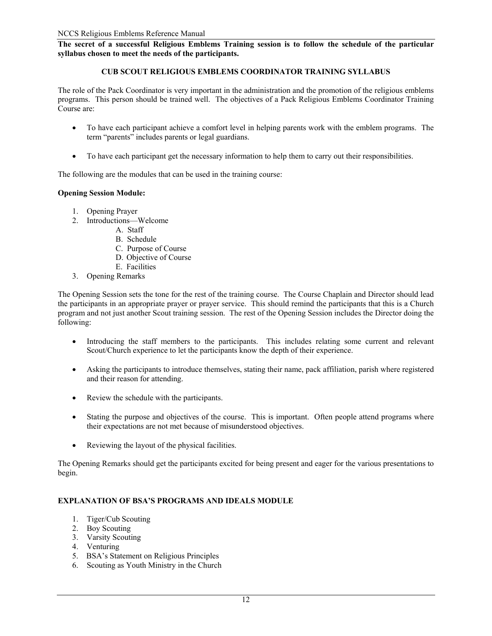**The secret of a successful Religious Emblems Training session is to follow the schedule of the particular syllabus chosen to meet the needs of the participants.** 

## **CUB SCOUT RELIGIOUS EMBLEMS COORDINATOR TRAINING SYLLABUS**

The role of the Pack Coordinator is very important in the administration and the promotion of the religious emblems programs. This person should be trained well. The objectives of a Pack Religious Emblems Coordinator Training Course are:

- To have each participant achieve a comfort level in helping parents work with the emblem programs. The term "parents" includes parents or legal guardians.
- To have each participant get the necessary information to help them to carry out their responsibilities.

The following are the modules that can be used in the training course:

## **Opening Session Module:**

- 1. Opening Prayer
- 2. Introductions—Welcome
	- A. Staff
	- B. Schedule
	- C. Purpose of Course
	- D. Objective of Course
	- E. Facilities
- 3. Opening Remarks

The Opening Session sets the tone for the rest of the training course. The Course Chaplain and Director should lead the participants in an appropriate prayer or prayer service. This should remind the participants that this is a Church program and not just another Scout training session. The rest of the Opening Session includes the Director doing the following:

- Introducing the staff members to the participants. This includes relating some current and relevant Scout/Church experience to let the participants know the depth of their experience.
- Asking the participants to introduce themselves, stating their name, pack affiliation, parish where registered and their reason for attending.
- Review the schedule with the participants.
- Stating the purpose and objectives of the course. This is important. Often people attend programs where their expectations are not met because of misunderstood objectives.
- Reviewing the layout of the physical facilities.

The Opening Remarks should get the participants excited for being present and eager for the various presentations to begin.

## **EXPLANATION OF BSA'S PROGRAMS AND IDEALS MODULE**

- 1. Tiger/Cub Scouting
- 2. Boy Scouting
- 3. Varsity Scouting
- 4. Venturing
- 5. BSA's Statement on Religious Principles
- 6. Scouting as Youth Ministry in the Church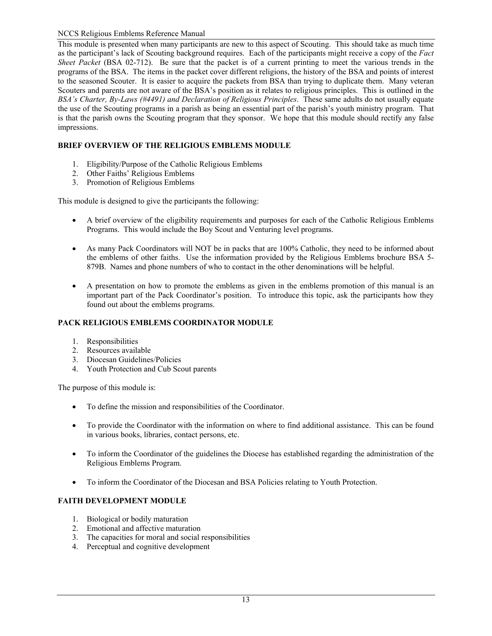This module is presented when many participants are new to this aspect of Scouting. This should take as much time as the participant's lack of Scouting background requires. Each of the participants might receive a copy of the *Fact Sheet Packet* (BSA 02-712). Be sure that the packet is of a current printing to meet the various trends in the programs of the BSA. The items in the packet cover different religions, the history of the BSA and points of interest to the seasoned Scouter. It is easier to acquire the packets from BSA than trying to duplicate them. Many veteran Scouters and parents are not aware of the BSA's position as it relates to religious principles. This is outlined in the *BSA's Charter, By-Laws (#4491) and Declaration of Religious Principles*. These same adults do not usually equate the use of the Scouting programs in a parish as being an essential part of the parish's youth ministry program. That is that the parish owns the Scouting program that they sponsor. We hope that this module should rectify any false impressions.

# **BRIEF OVERVIEW OF THE RELIGIOUS EMBLEMS MODULE**

- 1. Eligibility/Purpose of the Catholic Religious Emblems
- 2. Other Faiths' Religious Emblems
- 3. Promotion of Religious Emblems

This module is designed to give the participants the following:

- A brief overview of the eligibility requirements and purposes for each of the Catholic Religious Emblems Programs. This would include the Boy Scout and Venturing level programs.
- As many Pack Coordinators will NOT be in packs that are 100% Catholic, they need to be informed about the emblems of other faiths. Use the information provided by the Religious Emblems brochure BSA 5- 879B. Names and phone numbers of who to contact in the other denominations will be helpful.
- A presentation on how to promote the emblems as given in the emblems promotion of this manual is an important part of the Pack Coordinator's position. To introduce this topic, ask the participants how they found out about the emblems programs.

## **PACK RELIGIOUS EMBLEMS COORDINATOR MODULE**

- 1. Responsibilities
- 2. Resources available
- 3. Diocesan Guidelines/Policies
- 4. Youth Protection and Cub Scout parents

The purpose of this module is:

- To define the mission and responsibilities of the Coordinator.
- To provide the Coordinator with the information on where to find additional assistance. This can be found in various books, libraries, contact persons, etc.
- To inform the Coordinator of the guidelines the Diocese has established regarding the administration of the Religious Emblems Program.
- To inform the Coordinator of the Diocesan and BSA Policies relating to Youth Protection.

# **FAITH DEVELOPMENT MODULE**

- 1. Biological or bodily maturation
- 2. Emotional and affective maturation
- 3. The capacities for moral and social responsibilities
- 4. Perceptual and cognitive development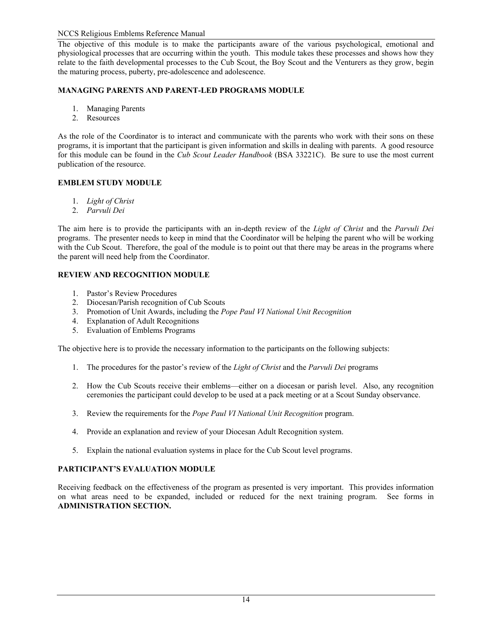The objective of this module is to make the participants aware of the various psychological, emotional and physiological processes that are occurring within the youth. This module takes these processes and shows how they relate to the faith developmental processes to the Cub Scout, the Boy Scout and the Venturers as they grow, begin the maturing process, puberty, pre-adolescence and adolescence.

# **MANAGING PARENTS AND PARENT-LED PROGRAMS MODULE**

- 1. Managing Parents
- 2. Resources

As the role of the Coordinator is to interact and communicate with the parents who work with their sons on these programs, it is important that the participant is given information and skills in dealing with parents. A good resource for this module can be found in the *Cub Scout Leader Handbook* (BSA 33221C). Be sure to use the most current publication of the resource.

# **EMBLEM STUDY MODULE**

- 1. *Light of Christ*
- 2. *Parvuli Dei*

The aim here is to provide the participants with an in-depth review of the *Light of Christ* and the *Parvuli Dei*  programs. The presenter needs to keep in mind that the Coordinator will be helping the parent who will be working with the Cub Scout. Therefore, the goal of the module is to point out that there may be areas in the programs where the parent will need help from the Coordinator.

# **REVIEW AND RECOGNITION MODULE**

- 1. Pastor's Review Procedures
- 2. Diocesan/Parish recognition of Cub Scouts
- 3. Promotion of Unit Awards, including the *Pope Paul VI National Unit Recognition*
- 4. Explanation of Adult Recognitions
- 5. Evaluation of Emblems Programs

The objective here is to provide the necessary information to the participants on the following subjects:

- 1. The procedures for the pastor's review of the *Light of Christ* and the *Parvuli Dei* programs
- 2. How the Cub Scouts receive their emblems—either on a diocesan or parish level. Also, any recognition ceremonies the participant could develop to be used at a pack meeting or at a Scout Sunday observance.
- 3. Review the requirements for the *Pope Paul VI National Unit Recognition* program.
- 4. Provide an explanation and review of your Diocesan Adult Recognition system.
- 5. Explain the national evaluation systems in place for the Cub Scout level programs.

## **PARTICIPANT'S EVALUATION MODULE**

Receiving feedback on the effectiveness of the program as presented is very important. This provides information on what areas need to be expanded, included or reduced for the next training program. See forms in **ADMINISTRATION SECTION.**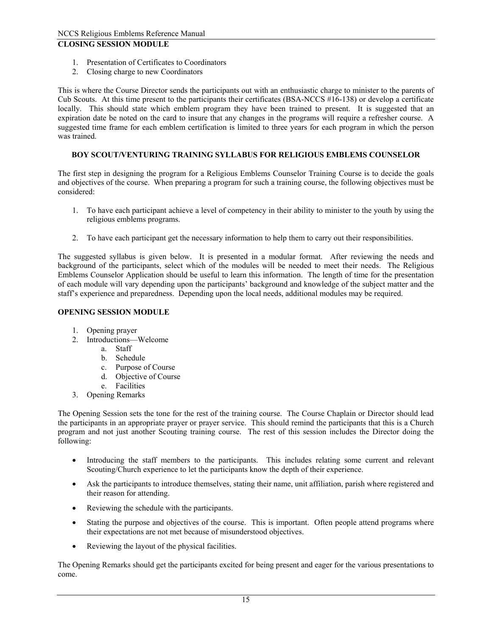# **CLOSING SESSION MODULE**

- 1. Presentation of Certificates to Coordinators
- 2. Closing charge to new Coordinators

This is where the Course Director sends the participants out with an enthusiastic charge to minister to the parents of Cub Scouts. At this time present to the participants their certificates (BSA-NCCS #16-138) or develop a certificate locally. This should state which emblem program they have been trained to present. It is suggested that an expiration date be noted on the card to insure that any changes in the programs will require a refresher course. A suggested time frame for each emblem certification is limited to three years for each program in which the person was trained.

# **BOY SCOUT/VENTURING TRAINING SYLLABUS FOR RELIGIOUS EMBLEMS COUNSELOR**

The first step in designing the program for a Religious Emblems Counselor Training Course is to decide the goals and objectives of the course. When preparing a program for such a training course, the following objectives must be considered:

- 1. To have each participant achieve a level of competency in their ability to minister to the youth by using the religious emblems programs.
- 2. To have each participant get the necessary information to help them to carry out their responsibilities.

The suggested syllabus is given below. It is presented in a modular format. After reviewing the needs and background of the participants, select which of the modules will be needed to meet their needs. The Religious Emblems Counselor Application should be useful to learn this information. The length of time for the presentation of each module will vary depending upon the participants' background and knowledge of the subject matter and the staff's experience and preparedness. Depending upon the local needs, additional modules may be required.

## **OPENING SESSION MODULE**

- 1. Opening prayer
- 2. Introductions—Welcome
	- a. Staff
	- b. Schedule
	- c. Purpose of Course
	- d. Objective of Course
	- e. Facilities
- 3. Opening Remarks

The Opening Session sets the tone for the rest of the training course. The Course Chaplain or Director should lead the participants in an appropriate prayer or prayer service. This should remind the participants that this is a Church program and not just another Scouting training course. The rest of this session includes the Director doing the following:

- Introducing the staff members to the participants. This includes relating some current and relevant Scouting/Church experience to let the participants know the depth of their experience.
- Ask the participants to introduce themselves, stating their name, unit affiliation, parish where registered and their reason for attending.
- Reviewing the schedule with the participants.
- Stating the purpose and objectives of the course. This is important. Often people attend programs where their expectations are not met because of misunderstood objectives.
- Reviewing the layout of the physical facilities.

The Opening Remarks should get the participants excited for being present and eager for the various presentations to come.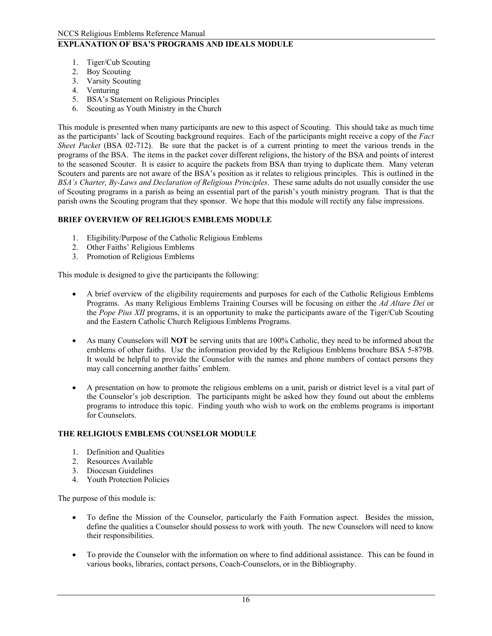# **EXPLANATION OF BSA'S PROGRAMS AND IDEALS MODULE**

- 1. Tiger/Cub Scouting
- 2. Boy Scouting
- 3. Varsity Scouting
- 4. Venturing
- 5. BSA's Statement on Religious Principles
- 6. Scouting as Youth Ministry in the Church

This module is presented when many participants are new to this aspect of Scouting. This should take as much time as the participants' lack of Scouting background requires. Each of the participants might receive a copy of the *Fact Sheet Packet* (BSA 02-712). Be sure that the packet is of a current printing to meet the various trends in the programs of the BSA. The items in the packet cover different religions, the history of the BSA and points of interest to the seasoned Scouter. It is easier to acquire the packets from BSA than trying to duplicate them. Many veteran Scouters and parents are not aware of the BSA's position as it relates to religious principles. This is outlined in the *BSA's Charter, By-Laws and Declaration of Religious Principles*. These same adults do not usually consider the use of Scouting programs in a parish as being an essential part of the parish's youth ministry program. That is that the parish owns the Scouting program that they sponsor. We hope that this module will rectify any false impressions.

## **BRIEF OVERVIEW OF RELIGIOUS EMBLEMS MODULE**

- 1. Eligibility/Purpose of the Catholic Religious Emblems
- 2. Other Faiths' Religious Emblems
- 3. Promotion of Religious Emblems

This module is designed to give the participants the following:

- A brief overview of the eligibility requirements and purposes for each of the Catholic Religious Emblems Programs. As many Religious Emblems Training Courses will be focusing on either the *Ad Altare Dei* or the *Pope Pius XII* programs, it is an opportunity to make the participants aware of the Tiger/Cub Scouting and the Eastern Catholic Church Religious Emblems Programs.
- As many Counselors will **NOT** be serving units that are 100% Catholic, they need to be informed about the emblems of other faiths. Use the information provided by the Religious Emblems brochure BSA 5-879B. It would be helpful to provide the Counselor with the names and phone numbers of contact persons they may call concerning another faiths' emblem.
- A presentation on how to promote the religious emblems on a unit, parish or district level is a vital part of the Counselor's job description. The participants might be asked how they found out about the emblems programs to introduce this topic. Finding youth who wish to work on the emblems programs is important for Counselors.

## **THE RELIGIOUS EMBLEMS COUNSELOR MODULE**

- 1. Definition and Qualities
- 2. Resources Available
- 3. Diocesan Guidelines
- 4. Youth Protection Policies

The purpose of this module is:

- To define the Mission of the Counselor, particularly the Faith Formation aspect. Besides the mission, define the qualities a Counselor should possess to work with youth. The new Counselors will need to know their responsibilities.
- To provide the Counselor with the information on where to find additional assistance. This can be found in various books, libraries, contact persons, Coach-Counselors, or in the Bibliography.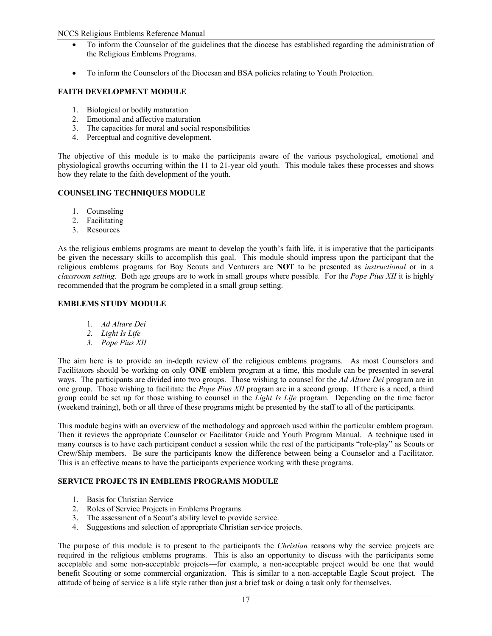- To inform the Counselor of the guidelines that the diocese has established regarding the administration of the Religious Emblems Programs.
- To inform the Counselors of the Diocesan and BSA policies relating to Youth Protection.

# **FAITH DEVELOPMENT MODULE**

- 1. Biological or bodily maturation
- 2. Emotional and affective maturation
- 3. The capacities for moral and social responsibilities
- 4. Perceptual and cognitive development.

The objective of this module is to make the participants aware of the various psychological, emotional and physiological growths occurring within the 11 to 21-year old youth. This module takes these processes and shows how they relate to the faith development of the youth.

## **COUNSELING TECHNIQUES MODULE**

- 1. Counseling
- 2. Facilitating
- 3. Resources

As the religious emblems programs are meant to develop the youth's faith life, it is imperative that the participants be given the necessary skills to accomplish this goal. This module should impress upon the participant that the religious emblems programs for Boy Scouts and Venturers are **NOT** to be presented as *instructional* or in a *classroom setting*. Both age groups are to work in small groups where possible. For the *Pope Pius XII* it is highly recommended that the program be completed in a small group setting.

# **EMBLEMS STUDY MODULE**

- 1. *Ad Altare Dei*
- *2. Light Is Life*
- *3. Pope Pius XII*

The aim here is to provide an in-depth review of the religious emblems programs. As most Counselors and Facilitators should be working on only **ONE** emblem program at a time, this module can be presented in several ways. The participants are divided into two groups. Those wishing to counsel for the *Ad Altare Dei* program are in one group. Those wishing to facilitate the *Pope Pius XII* program are in a second group. If there is a need, a third group could be set up for those wishing to counsel in the *Light Is Life* program. Depending on the time factor (weekend training), both or all three of these programs might be presented by the staff to all of the participants.

This module begins with an overview of the methodology and approach used within the particular emblem program. Then it reviews the appropriate Counselor or Facilitator Guide and Youth Program Manual. A technique used in many courses is to have each participant conduct a session while the rest of the participants "role-play" as Scouts or Crew/Ship members. Be sure the participants know the difference between being a Counselor and a Facilitator. This is an effective means to have the participants experience working with these programs.

## **SERVICE PROJECTS IN EMBLEMS PROGRAMS MODULE**

- 1. Basis for Christian Service
- 2. Roles of Service Projects in Emblems Programs
- 3. The assessment of a Scout's ability level to provide service.
- 4. Suggestions and selection of appropriate Christian service projects.

The purpose of this module is to present to the participants the *Christian* reasons why the service projects are required in the religious emblems programs. This is also an opportunity to discuss with the participants some acceptable and some non-acceptable projects—for example, a non-acceptable project would be one that would benefit Scouting or some commercial organization. This is similar to a non-acceptable Eagle Scout project. The attitude of being of service is a life style rather than just a brief task or doing a task only for themselves.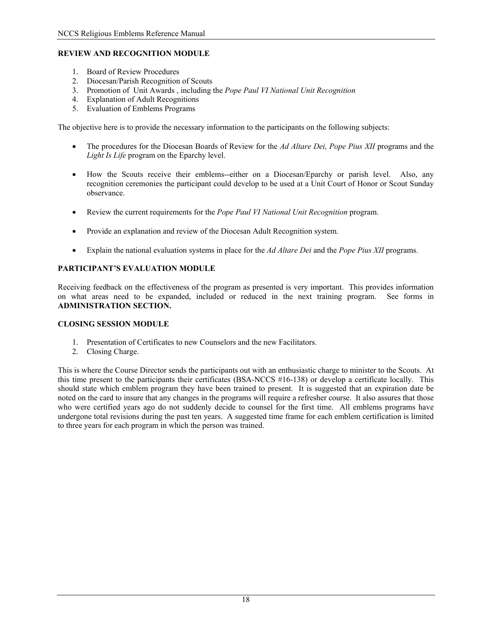# **REVIEW AND RECOGNITION MODULE**

- 1. Board of Review Procedures
- 2. Diocesan/Parish Recognition of Scouts
- 3. Promotion of Unit Awards , including the *Pope Paul VI National Unit Recognition*
- 4. Explanation of Adult Recognitions
- 5. Evaluation of Emblems Programs

The objective here is to provide the necessary information to the participants on the following subjects:

- The procedures for the Diocesan Boards of Review for the *Ad Altare Dei, Pope Pius XII* programs and the *Light Is Life* program on the Eparchy level.
- How the Scouts receive their emblems--either on a Diocesan/Eparchy or parish level. Also, any recognition ceremonies the participant could develop to be used at a Unit Court of Honor or Scout Sunday observance.
- Review the current requirements for the *Pope Paul VI National Unit Recognition* program.
- Provide an explanation and review of the Diocesan Adult Recognition system.
- Explain the national evaluation systems in place for the *Ad Altare Dei* and the *Pope Pius XII* programs.

## **PARTICIPANT'S EVALUATION MODULE**

Receiving feedback on the effectiveness of the program as presented is very important. This provides information on what areas need to be expanded, included or reduced in the next training program. See forms in **ADMINISTRATION SECTION.**

#### **CLOSING SESSION MODULE**

- 1. Presentation of Certificates to new Counselors and the new Facilitators.
- 2. Closing Charge.

This is where the Course Director sends the participants out with an enthusiastic charge to minister to the Scouts. At this time present to the participants their certificates (BSA-NCCS #16-138) or develop a certificate locally. This should state which emblem program they have been trained to present. It is suggested that an expiration date be noted on the card to insure that any changes in the programs will require a refresher course. It also assures that those who were certified years ago do not suddenly decide to counsel for the first time. All emblems programs have undergone total revisions during the past ten years. A suggested time frame for each emblem certification is limited to three years for each program in which the person was trained.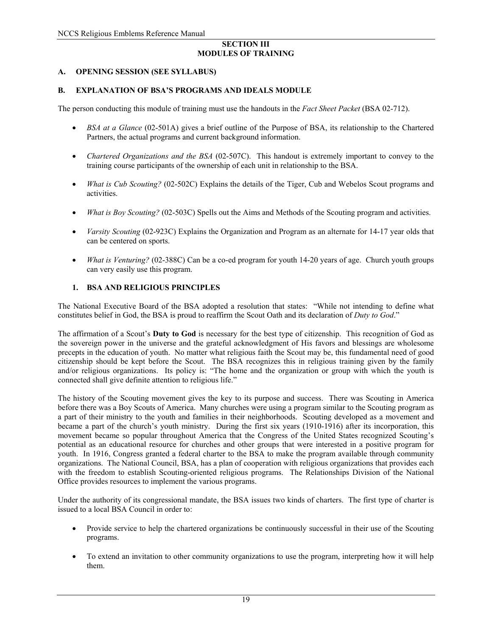#### **SECTION III MODULES OF TRAINING**

## **A. OPENING SESSION (SEE SYLLABUS)**

## **B. EXPLANATION OF BSA'S PROGRAMS AND IDEALS MODULE**

The person conducting this module of training must use the handouts in the *Fact Sheet Packet* (BSA 02-712).

- *BSA at a Glance* (02-501A) gives a brief outline of the Purpose of BSA, its relationship to the Chartered Partners, the actual programs and current background information.
- *Chartered Organizations and the BSA* (02-507C). This handout is extremely important to convey to the training course participants of the ownership of each unit in relationship to the BSA.
- *What is Cub Scouting?* (02-502C) Explains the details of the Tiger, Cub and Webelos Scout programs and activities.
- *What is Boy Scouting?* (02-503C) Spells out the Aims and Methods of the Scouting program and activities.
- *Varsity Scouting* (02-923C) Explains the Organization and Program as an alternate for 14-17 year olds that can be centered on sports.
- *What is Venturing?* (02-388C) Can be a co-ed program for youth 14-20 years of age. Church youth groups can very easily use this program.

## **1. BSA AND RELIGIOUS PRINCIPLES**

The National Executive Board of the BSA adopted a resolution that states: "While not intending to define what constitutes belief in God, the BSA is proud to reaffirm the Scout Oath and its declaration of *Duty to God*."

The affirmation of a Scout's **Duty to God** is necessary for the best type of citizenship. This recognition of God as the sovereign power in the universe and the grateful acknowledgment of His favors and blessings are wholesome precepts in the education of youth. No matter what religious faith the Scout may be, this fundamental need of good citizenship should be kept before the Scout. The BSA recognizes this in religious training given by the family and/or religious organizations. Its policy is: "The home and the organization or group with which the youth is connected shall give definite attention to religious life."

The history of the Scouting movement gives the key to its purpose and success. There was Scouting in America before there was a Boy Scouts of America. Many churches were using a program similar to the Scouting program as a part of their ministry to the youth and families in their neighborhoods. Scouting developed as a movement and became a part of the church's youth ministry. During the first six years (1910-1916) after its incorporation, this movement became so popular throughout America that the Congress of the United States recognized Scouting's potential as an educational resource for churches and other groups that were interested in a positive program for youth. In 1916, Congress granted a federal charter to the BSA to make the program available through community organizations. The National Council, BSA, has a plan of cooperation with religious organizations that provides each with the freedom to establish Scouting-oriented religious programs. The Relationships Division of the National Office provides resources to implement the various programs.

Under the authority of its congressional mandate, the BSA issues two kinds of charters. The first type of charter is issued to a local BSA Council in order to:

- Provide service to help the chartered organizations be continuously successful in their use of the Scouting programs.
- To extend an invitation to other community organizations to use the program, interpreting how it will help them.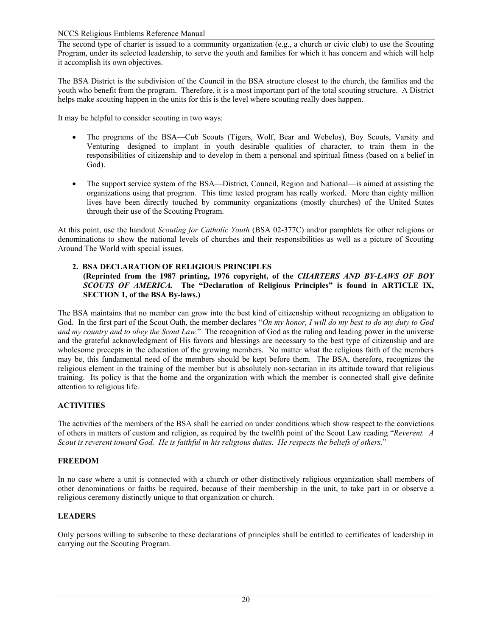The second type of charter is issued to a community organization (e.g., a church or civic club) to use the Scouting Program, under its selected leadership, to serve the youth and families for which it has concern and which will help it accomplish its own objectives.

The BSA District is the subdivision of the Council in the BSA structure closest to the church, the families and the youth who benefit from the program. Therefore, it is a most important part of the total scouting structure. A District helps make scouting happen in the units for this is the level where scouting really does happen.

It may be helpful to consider scouting in two ways:

- The programs of the BSA—Cub Scouts (Tigers, Wolf, Bear and Webelos), Boy Scouts, Varsity and Venturing—designed to implant in youth desirable qualities of character, to train them in the responsibilities of citizenship and to develop in them a personal and spiritual fitness (based on a belief in God).
- The support service system of the BSA—District, Council, Region and National—is aimed at assisting the organizations using that program. This time tested program has really worked. More than eighty million lives have been directly touched by community organizations (mostly churches) of the United States through their use of the Scouting Program.

At this point, use the handout *Scouting for Catholic Youth* (BSA 02-377C) and/or pamphlets for other religions or denominations to show the national levels of churches and their responsibilities as well as a picture of Scouting Around The World with special issues.

## **2. BSA DECLARATION OF RELIGIOUS PRINCIPLES**

## **(Reprinted from the 1987 printing, 1976 copyright, of the** *CHARTERS AND BY-LAWS OF BOY SCOUTS OF AMERICA.* **The "Declaration of Religious Principles" is found in ARTICLE IX, SECTION 1, of the BSA By-laws.)**

The BSA maintains that no member can grow into the best kind of citizenship without recognizing an obligation to God. In the first part of the Scout Oath, the member declares "*On my honor, I will do my best to do my duty to God and my country and to obey the Scout Law.*" The recognition of God as the ruling and leading power in the universe and the grateful acknowledgment of His favors and blessings are necessary to the best type of citizenship and are wholesome precepts in the education of the growing members. No matter what the religious faith of the members may be, this fundamental need of the members should be kept before them. The BSA, therefore, recognizes the religious element in the training of the member but is absolutely non-sectarian in its attitude toward that religious training. Its policy is that the home and the organization with which the member is connected shall give definite attention to religious life.

## **ACTIVITIES**

The activities of the members of the BSA shall be carried on under conditions which show respect to the convictions of others in matters of custom and religion, as required by the twelfth point of the Scout Law reading "*Reverent. A Scout is reverent toward God. He is faithful in his religious duties. He respects the beliefs of others.*"

## **FREEDOM**

In no case where a unit is connected with a church or other distinctively religious organization shall members of other denominations or faiths be required, because of their membership in the unit, to take part in or observe a religious ceremony distinctly unique to that organization or church.

# **LEADERS**

Only persons willing to subscribe to these declarations of principles shall be entitled to certificates of leadership in carrying out the Scouting Program.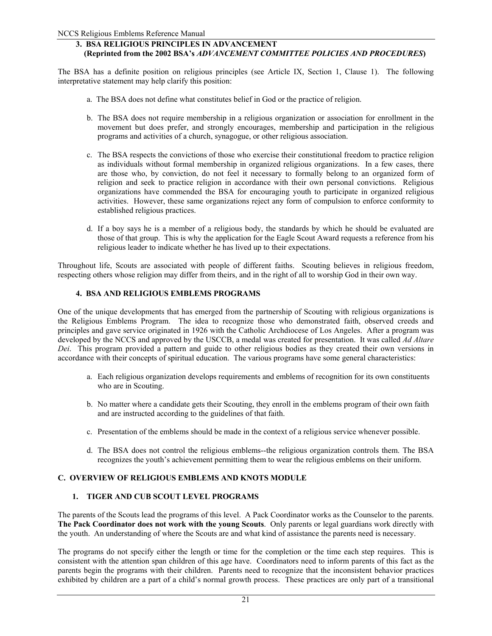## **3. BSA RELIGIOUS PRINCIPLES IN ADVANCEMENT (Reprinted from the 2002 BSA's** *ADVANCEMENT COMMITTEE POLICIES AND PROCEDURES***)**

The BSA has a definite position on religious principles (see Article IX, Section 1, Clause 1). The following interpretative statement may help clarify this position:

- a. The BSA does not define what constitutes belief in God or the practice of religion.
- b. The BSA does not require membership in a religious organization or association for enrollment in the movement but does prefer, and strongly encourages, membership and participation in the religious programs and activities of a church, synagogue, or other religious association.
- c. The BSA respects the convictions of those who exercise their constitutional freedom to practice religion as individuals without formal membership in organized religious organizations. In a few cases, there are those who, by conviction, do not feel it necessary to formally belong to an organized form of religion and seek to practice religion in accordance with their own personal convictions. Religious organizations have commended the BSA for encouraging youth to participate in organized religious activities. However, these same organizations reject any form of compulsion to enforce conformity to established religious practices.
- d. If a boy says he is a member of a religious body, the standards by which he should be evaluated are those of that group. This is why the application for the Eagle Scout Award requests a reference from his religious leader to indicate whether he has lived up to their expectations.

Throughout life, Scouts are associated with people of different faiths. Scouting believes in religious freedom, respecting others whose religion may differ from theirs, and in the right of all to worship God in their own way.

## **4. BSA AND RELIGIOUS EMBLEMS PROGRAMS**

One of the unique developments that has emerged from the partnership of Scouting with religious organizations is the Religious Emblems Program. The idea to recognize those who demonstrated faith, observed creeds and principles and gave service originated in 1926 with the Catholic Archdiocese of Los Angeles. After a program was developed by the NCCS and approved by the USCCB, a medal was created for presentation. It was called *Ad Altare Dei*. This program provided a pattern and guide to other religious bodies as they created their own versions in accordance with their concepts of spiritual education. The various programs have some general characteristics:

- a. Each religious organization develops requirements and emblems of recognition for its own constituents who are in Scouting.
- b. No matter where a candidate gets their Scouting, they enroll in the emblems program of their own faith and are instructed according to the guidelines of that faith.
- c. Presentation of the emblems should be made in the context of a religious service when ever possible.
- d. The BSA does not control the religious emblems--the religious organization controls them. The BSA recognizes the youth's achievement permitting them to wear the religious emblems on their uniform.

## **C. OVERVIEW OF RELIGIOUS EMBLEMS AND KNOTS MODULE**

## **1. TIGER AND CUB SCOUT LEVEL PROGRAMS**

The parents of the Scouts lead the programs of this level. A Pack Coordinator works as the Counselor to the parents. **The Pack Coordinator does not work with the young Scouts**. Only parents or legal guardians work directly with the youth. An understanding of where the Scouts are and what kind of assistance the parents need is necessary.

The programs do not specify either the length or time for the completion or the time each step requires. This is consistent with the attention span children of this age have. Coordinators need to inform parents of this fact as the parents begin the programs with their children. Parents need to recognize that the inconsistent behavior practices exhibited by children are a part of a child's normal growth process. These practices are only part of a transitional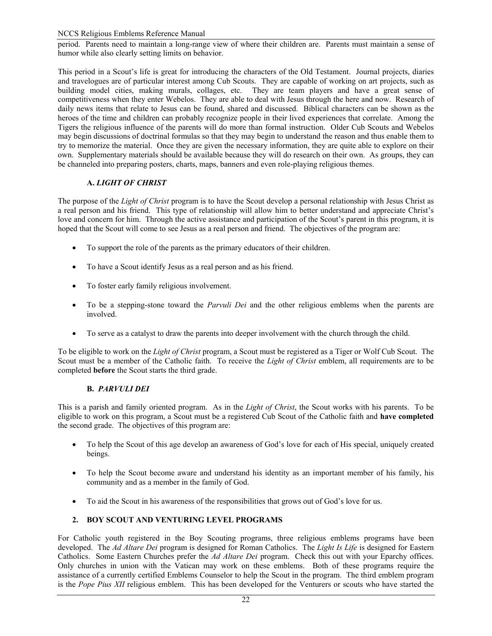period. Parents need to maintain a long-range view of where their children are. Parents must maintain a sense of humor while also clearly setting limits on behavior.

This period in a Scout's life is great for introducing the characters of the Old Testament. Journal projects, diaries and travelogues are of particular interest among Cub Scouts. They are capable of working on art projects, such as building model cities, making murals, collages, etc. They are team players and have a great sense of competitiveness when they enter Webelos. They are able to deal with Jesus through the here and now. Research of daily news items that relate to Jesus can be found, shared and discussed. Biblical characters can be shown as the heroes of the time and children can probably recognize people in their lived experiences that correlate. Among the Tigers the religious influence of the parents will do more than formal instruction. Older Cub Scouts and Webelos may begin discussions of doctrinal formulas so that they may begin to understand the reason and thus enable them to try to memorize the material. Once they are given the necessary information, they are quite able to explore on their own. Supplementary materials should be available because they will do research on their own. As groups, they can be channeled into preparing posters, charts, maps, banners and even role-playing religious themes.

# **A.** *LIGHT OF CHRIST*

The purpose of the *Light of Christ* program is to have the Scout develop a personal relationship with Jesus Christ as a real person and his friend. This type of relationship will allow him to better understand and appreciate Christ's love and concern for him. Through the active assistance and participation of the Scout's parent in this program, it is hoped that the Scout will come to see Jesus as a real person and friend. The objectives of the program are:

- To support the role of the parents as the primary educators of their children.
- To have a Scout identify Jesus as a real person and as his friend.
- To foster early family religious involvement.
- To be a stepping-stone toward the *Parvuli Dei* and the other religious emblems when the parents are involved.
- To serve as a catalyst to draw the parents into deeper involvement with the church through the child.

To be eligible to work on the *Light of Christ* program, a Scout must be registered as a Tiger or Wolf Cub Scout. The Scout must be a member of the Catholic faith. To receive the *Light of Christ* emblem, all requirements are to be completed **before** the Scout starts the third grade.

# **B.** *PARVULI DEI*

This is a parish and family oriented program. As in the *Light of Christ*, the Scout works with his parents. To be eligible to work on this program, a Scout must be a registered Cub Scout of the Catholic faith and **have completed** the second grade. The objectives of this program are:

- To help the Scout of this age develop an awareness of God's love for each of His special, uniquely created beings.
- To help the Scout become aware and understand his identity as an important member of his family, his community and as a member in the family of God.
- To aid the Scout in his awareness of the responsibilities that grows out of God's love for us.

# **2. BOY SCOUT AND VENTURING LEVEL PROGRAMS**

For Catholic youth registered in the Boy Scouting programs, three religious emblems programs have been developed. The *Ad Altare Dei* program is designed for Roman Catholics. The *Light Is Life* is designed for Eastern Catholics. Some Eastern Churches prefer the *Ad Altare Dei* program. Check this out with your Eparchy offices. Only churches in union with the Vatican may work on these emblems. Both of these programs require the assistance of a currently certified Emblems Counselor to help the Scout in the program. The third emblem program is the *Pope Pius XII* religious emblem. This has been developed for the Venturers or scouts who have started the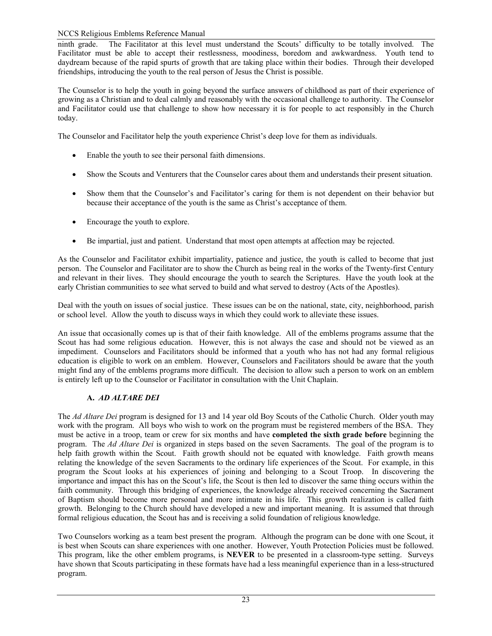ninth grade. The Facilitator at this level must understand the Scouts' difficulty to be totally involved. The Facilitator must be able to accept their restlessness, moodiness, boredom and awkwardness. Youth tend to daydream because of the rapid spurts of growth that are taking place within their bodies. Through their developed friendships, introducing the youth to the real person of Jesus the Christ is possible.

The Counselor is to help the youth in going beyond the surface answers of childhood as part of their experience of growing as a Christian and to deal calmly and reasonably with the occasional challenge to authority. The Counselor and Facilitator could use that challenge to show how necessary it is for people to act responsibly in the Church today.

The Counselor and Facilitator help the youth experience Christ's deep love for them as individuals.

- Enable the youth to see their personal faith dimensions.
- Show the Scouts and Venturers that the Counselor cares about them and understands their present situation.
- Show them that the Counselor's and Facilitator's caring for them is not dependent on their behavior but because their acceptance of the youth is the same as Christ's acceptance of them.
- Encourage the youth to explore.
- Be impartial, just and patient. Understand that most open attempts at affection may be rejected.

As the Counselor and Facilitator exhibit impartiality, patience and justice, the youth is called to become that just person. The Counselor and Facilitator are to show the Church as being real in the works of the Twenty-first Century and relevant in their lives. They should encourage the youth to search the Scriptures. Have the youth look at the early Christian communities to see what served to build and what served to destroy (Acts of the Apostles).

Deal with the youth on issues of social justice. These issues can be on the national, state, city, neighborhood, parish or school level. Allow the youth to discuss ways in which they could work to alleviate these issues.

An issue that occasionally comes up is that of their faith knowledge. All of the emblems programs assume that the Scout has had some religious education. However, this is not always the case and should not be viewed as an impediment. Counselors and Facilitators should be informed that a youth who has not had any formal religious education is eligible to work on an emblem. However, Counselors and Facilitators should be aware that the youth might find any of the emblems programs more difficult. The decision to allow such a person to work on an emblem is entirely left up to the Counselor or Facilitator in consultation with the Unit Chaplain.

# **A.** *AD ALTARE DEI*

The *Ad Altare Dei* program is designed for 13 and 14 year old Boy Scouts of the Catholic Church. Older youth may work with the program. All boys who wish to work on the program must be registered members of the BSA. They must be active in a troop, team or crew for six months and have **completed the sixth grade before** beginning the program. The *Ad Altare Dei* is organized in steps based on the seven Sacraments. The goal of the program is to help faith growth within the Scout. Faith growth should not be equated with knowledge. Faith growth means relating the knowledge of the seven Sacraments to the ordinary life experiences of the Scout. For example, in this program the Scout looks at his experiences of joining and belonging to a Scout Troop. In discovering the importance and impact this has on the Scout's life, the Scout is then led to discover the same thing occurs within the faith community. Through this bridging of experiences, the knowledge already received concerning the Sacrament of Baptism should become more personal and more intimate in his life. This growth realization is called faith growth. Belonging to the Church should have developed a new and important meaning. It is assumed that through formal religious education, the Scout has and is receiving a solid foundation of religious knowledge.

Two Counselors working as a team best present the program. Although the program can be done with one Scout, it is best when Scouts can share experiences with one another. However, Youth Protection Policies must be followed. This program, like the other emblem programs, is **NEVER** to be presented in a classroom-type setting. Surveys have shown that Scouts participating in these formats have had a less meaningful experience than in a less-structured program.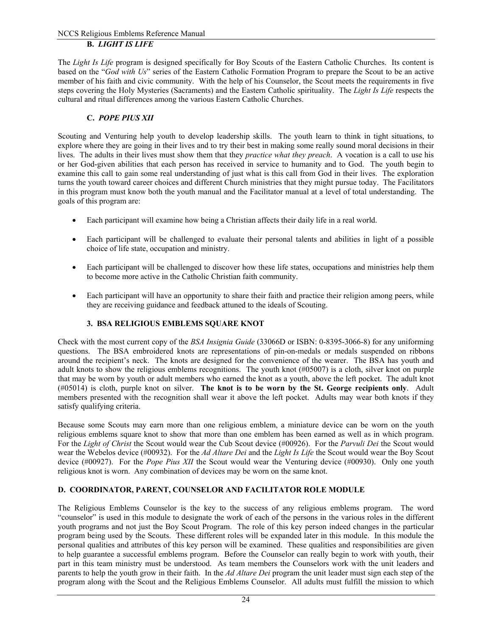The *Light Is Life* program is designed specifically for Boy Scouts of the Eastern Catholic Churches. Its content is based on the "*God with Us*" series of the Eastern Catholic Formation Program to prepare the Scout to be an active member of his faith and civic community. With the help of his Counselor, the Scout meets the requirements in five steps covering the Holy Mysteries (Sacraments) and the Eastern Catholic spirituality. The *Light Is Life* respects the cultural and ritual differences among the various Eastern Catholic Churches.

# **C.** *POPE PIUS XII*

Scouting and Venturing help youth to develop leadership skills. The youth learn to think in tight situations, to explore where they are going in their lives and to try their best in making some really sound moral decisions in their lives. The adults in their lives must show them that they *practice what they preach*. A vocation is a call to use his or her God-given abilities that each person has received in service to humanity and to God. The youth begin to examine this call to gain some real understanding of just what is this call from God in their lives. The exploration turns the youth toward career choices and different Church ministries that they might pursue today. The Facilitators in this program must know both the youth manual and the Facilitator manual at a level of total understanding. The goals of this program are:

- Each participant will examine how being a Christian affects their daily life in a real world.
- Each participant will be challenged to evaluate their personal talents and abilities in light of a possible choice of life state, occupation and ministry.
- Each participant will be challenged to discover how these life states, occupations and ministries help them to become more active in the Catholic Christian faith community.
- Each participant will have an opportunity to share their faith and practice their religion among peers, while they are receiving guidance and feedback attuned to the ideals of Scouting.

# **3. BSA RELIGIOUS EMBLEMS SQUARE KNOT**

Check with the most current copy of the *BSA Insignia Guide* (33066D or ISBN: 0-8395-3066-8) for any uniforming questions. The BSA embroidered knots are representations of pin-on-medals or medals suspended on ribbons around the recipient's neck. The knots are designed for the convenience of the wearer. The BSA has youth and adult knots to show the religious emblems recognitions. The youth knot (#05007) is a cloth, silver knot on purple that may be worn by youth or adult members who earned the knot as a youth, above the left pocket. The adult knot (#05014) is cloth, purple knot on silver. **The knot is to be worn by the St. George recipients only**. Adult members presented with the recognition shall wear it above the left pocket. Adults may wear both knots if they satisfy qualifying criteria.

Because some Scouts may earn more than one religious emblem, a miniature device can be worn on the youth religious emblems square knot to show that more than one emblem has been earned as well as in which program. For the *Light of Christ* the Scout would wear the Cub Scout device (#00926). For the *Parvuli Dei* the Scout would wear the Webelos device (#00932). For the *Ad Altare Dei* and the *Light Is Life* the Scout would wear the Boy Scout device (#00927). For the *Pope Pius XII* the Scout would wear the Venturing device (#00930). Only one youth religious knot is worn. Any combination of devices may be worn on the same knot.

# **D. COORDINATOR, PARENT, COUNSELOR AND FACILITATOR ROLE MODULE**

The Religious Emblems Counselor is the key to the success of any religious emblems program. The word "counselor" is used in this module to designate the work of each of the persons in the various roles in the different youth programs and not just the Boy Scout Program. The role of this key person indeed changes in the particular program being used by the Scouts. These different roles will be expanded later in this module. In this module the personal qualities and attributes of this key person will be examined. These qualities and responsibilities are given to help guarantee a successful emblems program. Before the Counselor can really begin to work with youth, their part in this team ministry must be understood. As team members the Counselors work with the unit leaders and parents to help the youth grow in their faith. In the *Ad Altare Dei* program the unit leader must sign each step of the program along with the Scout and the Religious Emblems Counselor. All adults must fulfill the mission to which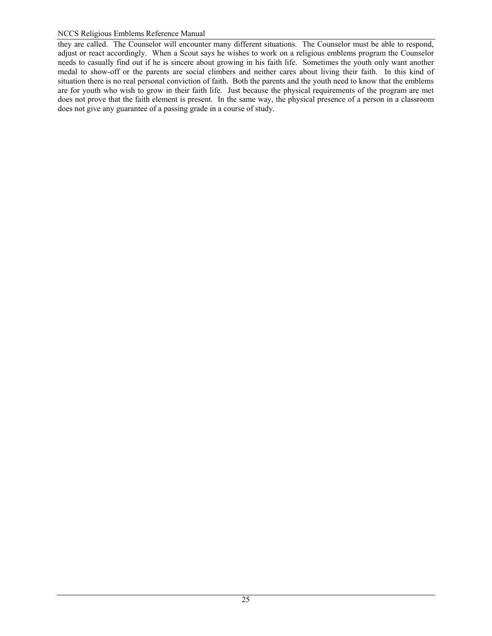they are called. The Counselor will encounter many different situations. The Counselor must be able to respond, adjust or react accordingly. When a Scout says he wishes to work on a religious emblems program the Counselor needs to casually find out if he is sincere about growing in his faith life. Sometimes the youth only want another medal to show-off or the parents are social climbers and neither cares about living their faith. In this kind of situation there is no real personal conviction of faith. Both the parents and the youth need to know that the emblems are for youth who wish to grow in their faith life. Just because the physical requirements of the program are met does not prove that the faith element is present. In the same way, the physical presence of a person in a classroom does not give any guarantee of a passing grade in a course of study.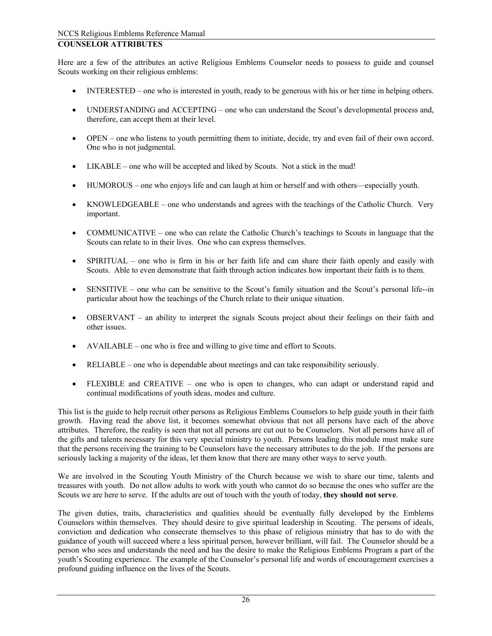# **COUNSELOR ATTRIBUTES**

Here are a few of the attributes an active Religious Emblems Counselor needs to possess to guide and counsel Scouts working on their religious emblems:

- INTERESTED one who is interested in youth, ready to be generous with his or her time in helping others.
- UNDERSTANDING and ACCEPTING one who can understand the Scout's developmental process and, therefore, can accept them at their level.
- OPEN one who listens to youth permitting them to initiate, decide, try and even fail of their own accord. One who is not judgmental.
- LIKABLE one who will be accepted and liked by Scouts. Not a stick in the mud!
- HUMOROUS one who enjoys life and can laugh at him or herself and with others—especially youth.
- KNOWLEDGEABLE one who understands and agrees with the teachings of the Catholic Church. Very important.
- COMMUNICATIVE one who can relate the Catholic Church's teachings to Scouts in language that the Scouts can relate to in their lives. One who can express themselves.
- SPIRITUAL one who is firm in his or her faith life and can share their faith openly and easily with Scouts. Able to even demonstrate that faith through action indicates how important their faith is to them.
- SENSITIVE one who can be sensitive to the Scout's family situation and the Scout's personal life--in particular about how the teachings of the Church relate to their unique situation.
- OBSERVANT an ability to interpret the signals Scouts project about their feelings on their faith and other issues.
- AVAILABLE one who is free and willing to give time and effort to Scouts.
- RELIABLE one who is dependable about meetings and can take responsibility seriously.
- FLEXIBLE and CREATIVE one who is open to changes, who can adapt or understand rapid and continual modifications of youth ideas, modes and culture.

This list is the guide to help recruit other persons as Religious Emblems Counselors to help guide youth in their faith growth. Having read the above list, it becomes somewhat obvious that not all persons have each of the above attributes. Therefore, the reality is seen that not all persons are cut out to be Counselors. Not all persons have all of the gifts and talents necessary for this very special ministry to youth. Persons leading this module must make sure that the persons receiving the training to be Counselors have the necessary attributes to do the job. If the persons are seriously lacking a majority of the ideas, let them know that there are many other ways to serve youth.

We are involved in the Scouting Youth Ministry of the Church because we wish to share our time, talents and treasures with youth. Do not allow adults to work with youth who cannot do so because the ones who suffer are the Scouts we are here to serve. If the adults are out of touch with the youth of today, **they should not serve**.

The given duties, traits, characteristics and qualities should be eventually fully developed by the Emblems Counselors within themselves. They should desire to give spiritual leadership in Scouting. The persons of ideals, conviction and dedication who consecrate themselves to this phase of religious ministry that has to do with the guidance of youth will succeed where a less spiritual person, however brilliant, will fail. The Counselor should be a person who sees and understands the need and has the desire to make the Religious Emblems Program a part of the youth's Scouting experience. The example of the Counselor's personal life and words of encouragement exercises a profound guiding influence on the lives of the Scouts.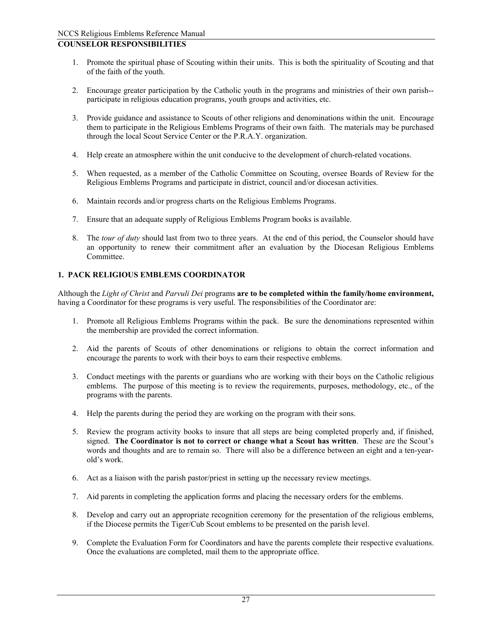# **COUNSELOR RESPONSIBILITIES**

- 1. Promote the spiritual phase of Scouting within their units. This is both the spirituality of Scouting and that of the faith of the youth.
- 2. Encourage greater participation by the Catholic youth in the programs and ministries of their own parish- participate in religious education programs, youth groups and activities, etc.
- 3. Provide guidance and assistance to Scouts of other religions and denominations within the unit. Encourage them to participate in the Religious Emblems Programs of their own faith. The materials may be purchased through the local Scout Service Center or the P.R.A.Y. organization.
- 4. Help create an atmosphere within the unit conducive to the development of church-related vocations.
- 5. When requested, as a member of the Catholic Committee on Scouting, oversee Boards of Review for the Religious Emblems Programs and participate in district, council and/or diocesan activities.
- 6. Maintain records and/or progress charts on the Religious Emblems Programs.
- 7. Ensure that an adequate supply of Religious Emblems Program books is available.
- 8. The *tour of duty* should last from two to three years. At the end of this period, the Counselor should have an opportunity to renew their commitment after an evaluation by the Diocesan Religious Emblems Committee.

# **1. PACK RELIGIOUS EMBLEMS COORDINATOR**

Although the *Light of Christ* and *Parvuli Dei* programs **are to be completed within the family/home environment,** having a Coordinator for these programs is very useful. The responsibilities of the Coordinator are:

- 1. Promote all Religious Emblems Programs within the pack. Be sure the denominations represented within the membership are provided the correct information.
- 2. Aid the parents of Scouts of other denominations or religions to obtain the correct information and encourage the parents to work with their boys to earn their respective emblems.
- 3. Conduct meetings with the parents or guardians who are working with their boys on the Catholic religious emblems. The purpose of this meeting is to review the requirements, purposes, methodology, etc., of the programs with the parents.
- 4. Help the parents during the period they are working on the program with their sons.
- 5. Review the program activity books to insure that all steps are being completed properly and, if finished, signed. **The Coordinator is not to correct or change what a Scout has written**. These are the Scout's words and thoughts and are to remain so. There will also be a difference between an eight and a ten-yearold's work.
- 6. Act as a liaison with the parish pastor/priest in setting up the necessary review meetings.
- 7. Aid parents in completing the application forms and placing the necessary orders for the emblems.
- 8. Develop and carry out an appropriate recognition ceremony for the presentation of the religious emblems, if the Diocese permits the Tiger/Cub Scout emblems to be presented on the parish level.
- 9. Complete the Evaluation Form for Coordinators and have the parents complete their respective evaluations. Once the evaluations are completed, mail them to the appropriate office.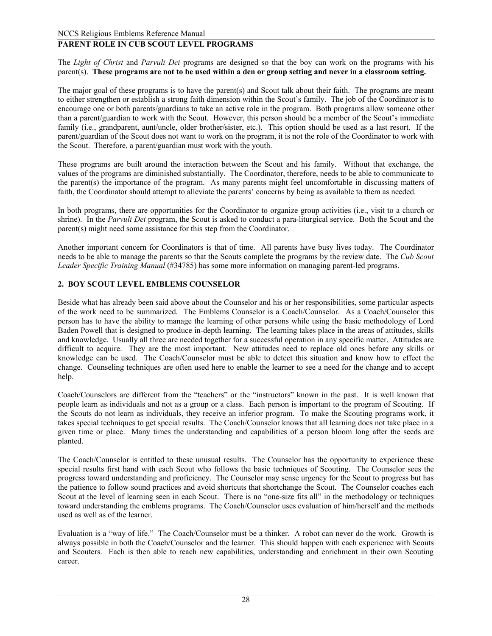# **PARENT ROLE IN CUB SCOUT LEVEL PROGRAMS**

The *Light of Christ* and *Parvuli Dei* programs are designed so that the boy can work on the programs with his parent(s). **These programs are not to be used within a den or group setting and never in a classroom setting.** 

The major goal of these programs is to have the parent(s) and Scout talk about their faith. The programs are meant to either strengthen or establish a strong faith dimension within the Scout's family. The job of the Coordinator is to encourage one or both parents/guardians to take an active role in the program. Both programs allow someone other than a parent/guardian to work with the Scout. However, this person should be a member of the Scout's immediate family (i.e., grandparent, aunt/uncle, older brother/sister, etc.). This option should be used as a last resort. If the parent/guardian of the Scout does not want to work on the program, it is not the role of the Coordinator to work with the Scout. Therefore, a parent/guardian must work with the youth.

These programs are built around the interaction between the Scout and his family. Without that exchange, the values of the programs are diminished substantially. The Coordinator, therefore, needs to be able to communicate to the parent(s) the importance of the program. As many parents might feel uncomfortable in discussing matters of faith, the Coordinator should attempt to alleviate the parents' concerns by being as available to them as needed.

In both programs, there are opportunities for the Coordinator to organize group activities (i.e., visit to a church or shrine). In the *Parvuli Dei* program, the Scout is asked to conduct a para-liturgical service. Both the Scout and the parent(s) might need some assistance for this step from the Coordinator.

Another important concern for Coordinators is that of time. All parents have busy lives today. The Coordinator needs to be able to manage the parents so that the Scouts complete the programs by the review date. The *Cub Scout Leader Specific Training Manual* (#34785) has some more information on managing parent-led programs.

# **2. BOY SCOUT LEVEL EMBLEMS COUNSELOR**

Beside what has already been said above about the Counselor and his or her responsibilities, some particular aspects of the work need to be summarized. The Emblems Counselor is a Coach/Counselor. As a Coach/Counselor this person has to have the ability to manage the learning of other persons while using the basic methodology of Lord Baden Powell that is designed to produce in-depth learning. The learning takes place in the areas of attitudes, skills and knowledge. Usually all three are needed together for a successful operation in any specific matter. Attitudes are difficult to acquire. They are the most important. New attitudes need to replace old ones before any skills or knowledge can be used. The Coach/Counselor must be able to detect this situation and know how to effect the change. Counseling techniques are often used here to enable the learner to see a need for the change and to accept help.

Coach/Counselors are different from the "teachers" or the "instructors" known in the past. It is well known that people learn as individuals and not as a group or a class. Each person is important to the program of Scouting. If the Scouts do not learn as individuals, they receive an inferior program. To make the Scouting programs work, it takes special techniques to get special results. The Coach/Counselor knows that all learning does not take place in a given time or place. Many times the understanding and capabilities of a person bloom long after the seeds are planted.

The Coach/Counselor is entitled to these unusual results. The Counselor has the opportunity to experience these special results first hand with each Scout who follows the basic techniques of Scouting. The Counselor sees the progress toward understanding and proficiency. The Counselor may sense urgency for the Scout to progress but has the patience to follow sound practices and avoid shortcuts that shortchange the Scout. The Counselor coaches each Scout at the level of learning seen in each Scout. There is no "one-size fits all" in the methodology or techniques toward understanding the emblems programs. The Coach/Counselor uses evaluation of him/herself and the methods used as well as of the learner.

Evaluation is a "way of life." The Coach/Counselor must be a thinker. A robot can never do the work. Growth is always possible in both the Coach/Counselor and the learner. This should happen with each experience with Scouts and Scouters. Each is then able to reach new capabilities, understanding and enrichment in their own Scouting career.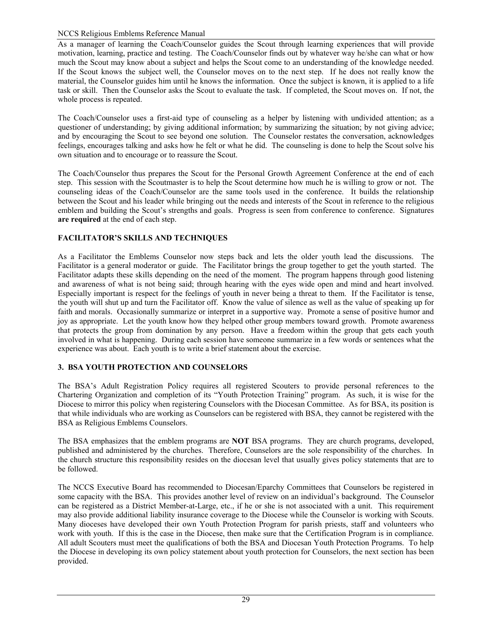As a manager of learning the Coach/Counselor guides the Scout through learning experiences that will provide motivation, learning, practice and testing. The Coach/Counselor finds out by whatever way he/she can what or how much the Scout may know about a subject and helps the Scout come to an understanding of the knowledge needed. If the Scout knows the subject well, the Counselor moves on to the next step. If he does not really know the material, the Counselor guides him until he knows the information. Once the subject is known, it is applied to a life task or skill. Then the Counselor asks the Scout to evaluate the task. If completed, the Scout moves on. If not, the whole process is repeated.

The Coach/Counselor uses a first-aid type of counseling as a helper by listening with undivided attention; as a questioner of understanding; by giving additional information; by summarizing the situation; by not giving advice; and by encouraging the Scout to see beyond one solution. The Counselor restates the conversation, acknowledges feelings, encourages talking and asks how he felt or what he did. The counseling is done to help the Scout solve his own situation and to encourage or to reassure the Scout.

The Coach/Counselor thus prepares the Scout for the Personal Growth Agreement Conference at the end of each step. This session with the Scoutmaster is to help the Scout determine how much he is willing to grow or not. The counseling ideas of the Coach/Counselor are the same tools used in the conference. It builds the relationship between the Scout and his leader while bringing out the needs and interests of the Scout in reference to the religious emblem and building the Scout's strengths and goals. Progress is seen from conference to conference. Signatures **are required** at the end of each step.

# **FACILITATOR'S SKILLS AND TECHNIQUES**

As a Facilitator the Emblems Counselor now steps back and lets the older youth lead the discussions. The Facilitator is a general moderator or guide. The Facilitator brings the group together to get the youth started. The Facilitator adapts these skills depending on the need of the moment. The program happens through good listening and awareness of what is not being said; through hearing with the eyes wide open and mind and heart involved. Especially important is respect for the feelings of youth in never being a threat to them. If the Facilitator is tense, the youth will shut up and turn the Facilitator off. Know the value of silence as well as the value of speaking up for faith and morals. Occasionally summarize or interpret in a supportive way. Promote a sense of positive humor and joy as appropriate. Let the youth know how they helped other group members toward growth. Promote awareness that protects the group from domination by any person. Have a freedom within the group that gets each youth involved in what is happening. During each session have someone summarize in a few words or sentences what the experience was about. Each youth is to write a brief statement about the exercise.

# **3. BSA YOUTH PROTECTION AND COUNSELORS**

The BSA's Adult Registration Policy requires all registered Scouters to provide personal references to the Chartering Organization and completion of its "Youth Protection Training" program. As such, it is wise for the Diocese to mirror this policy when registering Counselors with the Diocesan Committee. As for BSA, its position is that while individuals who are working as Counselors can be registered with BSA, they cannot be registered with the BSA as Religious Emblems Counselors.

The BSA emphasizes that the emblem programs are **NOT** BSA programs. They are church programs, developed, published and administered by the churches. Therefore, Counselors are the sole responsibility of the churches. In the church structure this responsibility resides on the diocesan level that usually gives policy statements that are to be followed.

The NCCS Executive Board has recommended to Diocesan/Eparchy Committees that Counselors be registered in some capacity with the BSA. This provides another level of review on an individual's background. The Counselor can be registered as a District Member-at-Large, etc., if he or she is not associated with a unit. This requirement may also provide additional liability insurance coverage to the Diocese while the Counselor is working with Scouts. Many dioceses have developed their own Youth Protection Program for parish priests, staff and volunteers who work with youth. If this is the case in the Diocese, then make sure that the Certification Program is in compliance. All adult Scouters must meet the qualifications of both the BSA and Diocesan Youth Protection Programs. To help the Diocese in developing its own policy statement about youth protection for Counselors, the next section has been provided.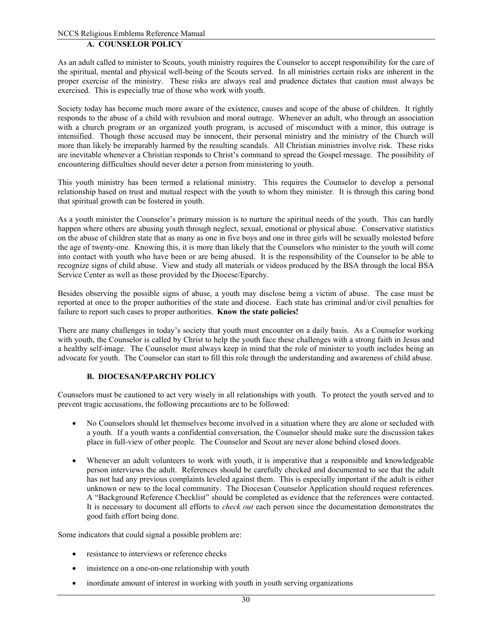# **A. COUNSELOR POLICY**

As an adult called to minister to Scouts, youth ministry requires the Counselor to accept responsibility for the care of the spiritual, mental and physical well-being of the Scouts served. In all ministries certain risks are inherent in the proper exercise of the ministry. These risks are always real and prudence dictates that caution must always be exercised. This is especially true of those who work with youth.

Society today has become much more aware of the existence, causes and scope of the abuse of children. It rightly responds to the abuse of a child with revulsion and moral outrage. Whenever an adult, who through an association with a church program or an organized youth program, is accused of misconduct with a minor, this outrage is intensified. Though those accused may be innocent, their personal ministry and the ministry of the Church will more than likely be irreparably harmed by the resulting scandals. All Christian ministries involve risk. These risks are inevitable whenever a Christian responds to Christ's command to spread the Gospel message. The possibility of encountering difficulties should never deter a person from ministering to youth.

This youth ministry has been termed a relational ministry. This requires the Counselor to develop a personal relationship based on trust and mutual respect with the youth to whom they minister. It is through this caring bond that spiritual growth can be fostered in youth.

As a youth minister the Counselor's primary mission is to nurture the spiritual needs of the youth. This can hardly happen where others are abusing youth through neglect, sexual, emotional or physical abuse. Conservative statistics on the abuse of children state that as many as one in five boys and one in three girls will be sexually molested before the age of twenty-one. Knowing this, it is more than likely that the Counselors who minister to the youth will come into contact with youth who have been or are being abused. It is the responsibility of the Counselor to be able to recognize signs of child abuse. View and study all materials or videos produced by the BSA through the local BSA Service Center as well as those provided by the Diocese/Eparchy.

Besides observing the possible signs of abuse, a youth may disclose being a victim of abuse. The case must be reported at once to the proper authorities of the state and diocese. Each state has criminal and/or civil penalties for failure to report such cases to proper authorities. **Know the state policies!** 

There are many challenges in today's society that youth must encounter on a daily basis. As a Counselor working with youth, the Counselor is called by Christ to help the youth face these challenges with a strong faith in Jesus and a healthy self-image. The Counselor must always keep in mind that the role of minister to youth includes being an advocate for youth. The Counselor can start to fill this role through the understanding and awareness of child abuse.

## **B. DIOCESAN/EPARCHY POLICY**

Counselors must be cautioned to act very wisely in all relationships with youth. To protect the youth served and to prevent tragic accusations, the following precautions are to be followed:

- No Counselors should let themselves become involved in a situation where they are alone or secluded with a youth. If a youth wants a confidential conversation, the Counselor should make sure the discussion takes place in full-view of other people. The Counselor and Scout are never alone behind closed doors.
- Whenever an adult volunteers to work with youth, it is imperative that a responsible and knowledgeable person interviews the adult. References should be carefully checked and documented to see that the adult has not had any previous complaints leveled against them. This is especially important if the adult is either unknown or new to the local community. The Diocesan Counselor Application should request references. A "Background Reference Checklist" should be completed as evidence that the references were contacted. It is necessary to document all efforts to *check out* each person since the documentation demonstrates the good faith effort being done.

Some indicators that could signal a possible problem are:

- resistance to interviews or reference checks
- insistence on a one-on-one relationship with youth
- inordinate amount of interest in working with youth in youth serving organizations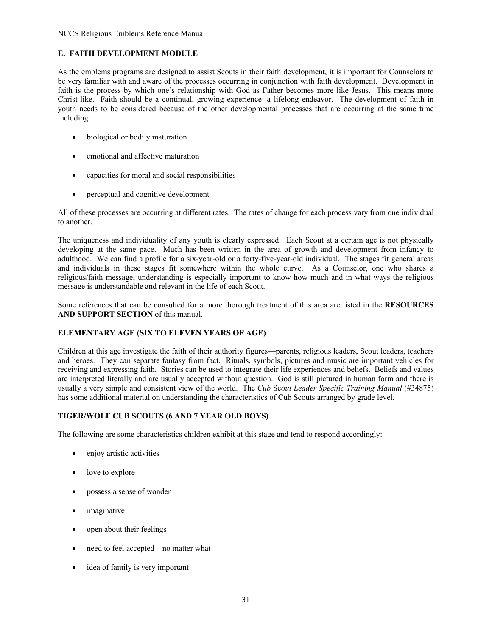# **E. FAITH DEVELOPMENT MODULE**

As the emblems programs are designed to assist Scouts in their faith development, it is important for Counselors to be very familiar with and aware of the processes occurring in conjunction with faith development. Development in faith is the process by which one's relationship with God as Father becomes more like Jesus. This means more Christ-like. Faith should be a continual, growing experience--a lifelong endeavor. The development of faith in youth needs to be considered because of the other developmental processes that are occurring at the same time including:

- biological or bodily maturation
- emotional and affective maturation
- capacities for moral and social responsibilities
- perceptual and cognitive development

All of these processes are occurring at different rates. The rates of change for each process vary from one individual to another.

The uniqueness and individuality of any youth is clearly expressed. Each Scout at a certain age is not physically developing at the same pace. Much has been written in the area of growth and development from infancy to adulthood. We can find a profile for a six-year-old or a forty-five-year-old individual. The stages fit general areas and individuals in these stages fit somewhere within the whole curve. As a Counselor, one who shares a religious/faith message, understanding is especially important to know how much and in what ways the religious message is understandable and relevant in the life of each Scout.

Some references that can be consulted for a more thorough treatment of this area are listed in the **RESOURCES AND SUPPORT SECTION** of this manual.

## **ELEMENTARY AGE (SIX TO ELEVEN YEARS OF AGE)**

Children at this age investigate the faith of their authority figures—parents, religious leaders, Scout leaders, teachers and heroes. They can separate fantasy from fact. Rituals, symbols, pictures and music are important vehicles for receiving and expressing faith. Stories can be used to integrate their life experiences and beliefs. Beliefs and values are interpreted literally and are usually accepted without question. God is still pictured in human form and there is usually a very simple and consistent view of the world. The *Cub* Sc*out Leader Specific Training Manual* (#34875) has some additional material on understanding the characteristics of Cub Scouts arranged by grade level.

## **TIGER/WOLF CUB SCOUTS (6 AND 7 YEAR OLD BOYS)**

The following are some characteristics children exhibit at this stage and tend to respond accordingly:

- enjoy artistic activities
- love to explore
- possess a sense of wonder
- *imaginative*
- open about their feelings
- need to feel accepted—no matter what
- idea of family is very important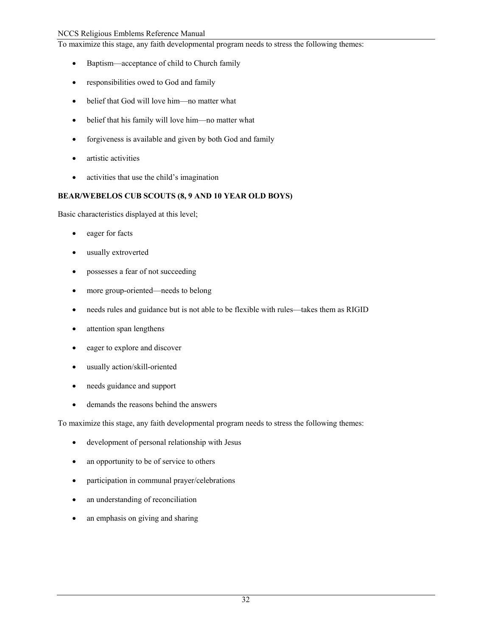To maximize this stage, any faith developmental program needs to stress the following themes:

- Baptism—acceptance of child to Church family
- responsibilities owed to God and family
- belief that God will love him—no matter what
- belief that his family will love him—no matter what
- forgiveness is available and given by both God and family
- artistic activities
- activities that use the child's imagination

## **BEAR/WEBELOS CUB SCOUTS (8, 9 AND 10 YEAR OLD BOYS)**

Basic characteristics displayed at this level;

- eager for facts
- usually extroverted
- possesses a fear of not succeeding
- more group-oriented—needs to belong
- needs rules and guidance but is not able to be flexible with rules—takes them as RIGID
- attention span lengthens
- eager to explore and discover
- usually action/skill-oriented
- needs guidance and support
- demands the reasons behind the answers

To maximize this stage, any faith developmental program needs to stress the following themes:

- development of personal relationship with Jesus
- an opportunity to be of service to others
- participation in communal prayer/celebrations
- an understanding of reconciliation
- an emphasis on giving and sharing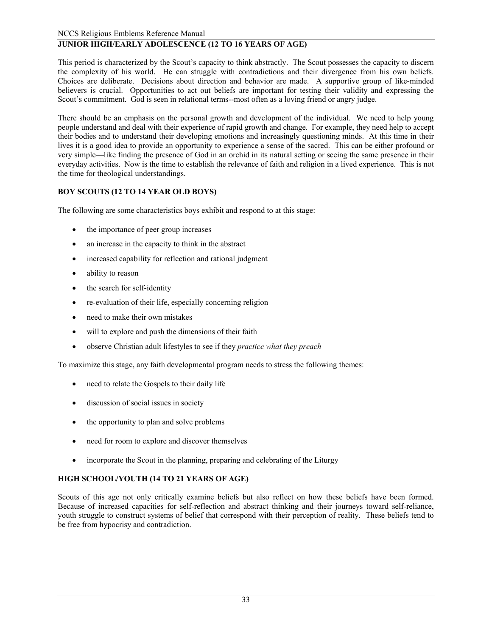# **JUNIOR HIGH/EARLY ADOLESCENCE (12 TO 16 YEARS OF AGE)**

This period is characterized by the Scout's capacity to think abstractly. The Scout possesses the capacity to discern the complexity of his world. He can struggle with contradictions and their divergence from his own beliefs. Choices are deliberate. Decisions about direction and behavior are made. A supportive group of like-minded believers is crucial. Opportunities to act out beliefs are important for testing their validity and expressing the Scout's commitment. God is seen in relational terms--most often as a loving friend or angry judge.

There should be an emphasis on the personal growth and development of the individual. We need to help young people understand and deal with their experience of rapid growth and change. For example, they need help to accept their bodies and to understand their developing emotions and increasingly questioning minds. At this time in their lives it is a good idea to provide an opportunity to experience a sense of the sacred. This can be either profound or very simple—like finding the presence of God in an orchid in its natural setting or seeing the same presence in their everyday activities. Now is the time to establish the relevance of faith and religion in a lived experience. This is not the time for theological understandings.

# **BOY SCOUTS (12 TO 14 YEAR OLD BOYS)**

The following are some characteristics boys exhibit and respond to at this stage:

- the importance of peer group increases
- an increase in the capacity to think in the abstract
- increased capability for reflection and rational judgment
- ability to reason
- the search for self-identity
- re-evaluation of their life, especially concerning religion
- need to make their own mistakes
- will to explore and push the dimensions of their faith
- observe Christian adult lifestyles to see if they *practice what they preach*

To maximize this stage, any faith developmental program needs to stress the following themes:

- need to relate the Gospels to their daily life
- discussion of social issues in society
- the opportunity to plan and solve problems
- need for room to explore and discover themselves
- incorporate the Scout in the planning, preparing and celebrating of the Liturgy

# **HIGH SCHOOL/YOUTH (14 TO 21 YEARS OF AGE)**

Scouts of this age not only critically examine beliefs but also reflect on how these beliefs have been formed. Because of increased capacities for self-reflection and abstract thinking and their journeys toward self-reliance, youth struggle to construct systems of belief that correspond with their perception of reality. These beliefs tend to be free from hypocrisy and contradiction.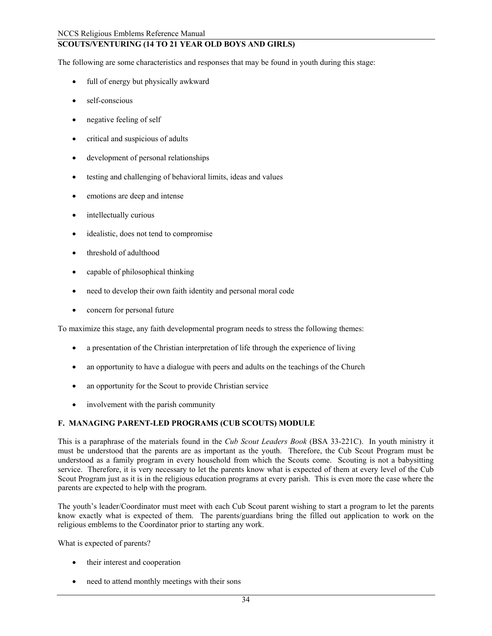### **SCOUTS/VENTURING (14 TO 21 YEAR OLD BOYS AND GIRLS)**

The following are some characteristics and responses that may be found in youth during this stage:

- full of energy but physically awkward
- self-conscious
- negative feeling of self
- critical and suspicious of adults
- development of personal relationships
- testing and challenging of behavioral limits, ideas and values
- emotions are deep and intense
- intellectually curious
- idealistic, does not tend to compromise
- threshold of adulthood
- capable of philosophical thinking
- need to develop their own faith identity and personal moral code
- concern for personal future

To maximize this stage, any faith developmental program needs to stress the following themes:

- a presentation of the Christian interpretation of life through the experience of living
- an opportunity to have a dialogue with peers and adults on the teachings of the Church
- an opportunity for the Scout to provide Christian service
- involvement with the parish community

#### **F. MANAGING PARENT-LED PROGRAMS (CUB SCOUTS) MODULE**

This is a paraphrase of the materials found in the *Cub Scout Leaders Book* (BSA 33-221C). In youth ministry it must be understood that the parents are as important as the youth. Therefore, the Cub Scout Program must be understood as a family program in every household from which the Scouts come. Scouting is not a babysitting service. Therefore, it is very necessary to let the parents know what is expected of them at every level of the Cub Scout Program just as it is in the religious education programs at every parish. This is even more the case where the parents are expected to help with the program.

The youth's leader/Coordinator must meet with each Cub Scout parent wishing to start a program to let the parents know exactly what is expected of them. The parents/guardians bring the filled out application to work on the religious emblems to the Coordinator prior to starting any work.

What is expected of parents?

- their interest and cooperation
- need to attend monthly meetings with their sons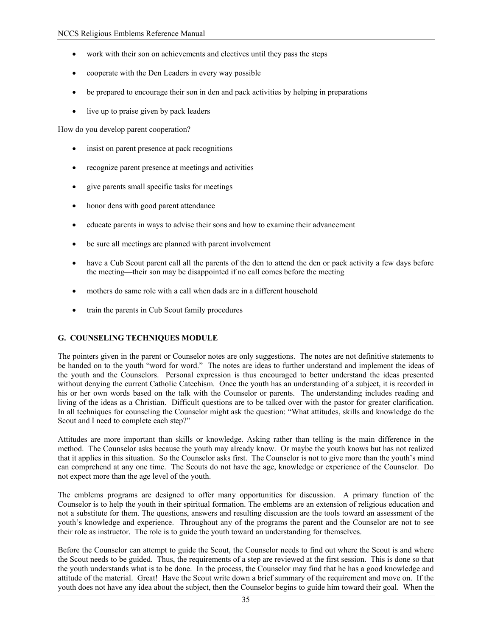- work with their son on achievements and electives until they pass the steps
- cooperate with the Den Leaders in every way possible
- be prepared to encourage their son in den and pack activities by helping in preparations
- live up to praise given by pack leaders

How do you develop parent cooperation?

- insist on parent presence at pack recognitions
- recognize parent presence at meetings and activities
- give parents small specific tasks for meetings
- honor dens with good parent attendance
- educate parents in ways to advise their sons and how to examine their advancement
- be sure all meetings are planned with parent involvement
- have a Cub Scout parent call all the parents of the den to attend the den or pack activity a few days before the meeting—their son may be disappointed if no call comes before the meeting
- mothers do same role with a call when dads are in a different household
- train the parents in Cub Scout family procedures

#### **G. COUNSELING TECHNIQUES MODULE**

The pointers given in the parent or Counselor notes are only suggestions. The notes are not definitive statements to be handed on to the youth "word for word." The notes are ideas to further understand and implement the ideas of the youth and the Counselors. Personal expression is thus encouraged to better understand the ideas presented without denying the current Catholic Catechism. Once the youth has an understanding of a subject, it is recorded in his or her own words based on the talk with the Counselor or parents. The understanding includes reading and living of the ideas as a Christian. Difficult questions are to be talked over with the pastor for greater clarification. In all techniques for counseling the Counselor might ask the question: "What attitudes, skills and knowledge do the Scout and I need to complete each step?"

Attitudes are more important than skills or knowledge. Asking rather than telling is the main difference in the method. The Counselor asks because the youth may already know. Or maybe the youth knows but has not realized that it applies in this situation. So the Counselor asks first. The Counselor is not to give more than the youth's mind can comprehend at any one time. The Scouts do not have the age, knowledge or experience of the Counselor. Do not expect more than the age level of the youth.

The emblems programs are designed to offer many opportunities for discussion. A primary function of the Counselor is to help the youth in their spiritual formation. The emblems are an extension of religious education and not a substitute for them. The questions, answers and resulting discussion are the tools toward an assessment of the youth's knowledge and experience. Throughout any of the programs the parent and the Counselor are not to see their role as instructor. The role is to guide the youth toward an understanding for themselves.

Before the Counselor can attempt to guide the Scout, the Counselor needs to find out where the Scout is and where the Scout needs to be guided. Thus, the requirements of a step are reviewed at the first session. This is done so that the youth understands what is to be done. In the process, the Counselor may find that he has a good knowledge and attitude of the material. Great! Have the Scout write down a brief summary of the requirement and move on. If the youth does not have any idea about the subject, then the Counselor begins to guide him toward their goal. When the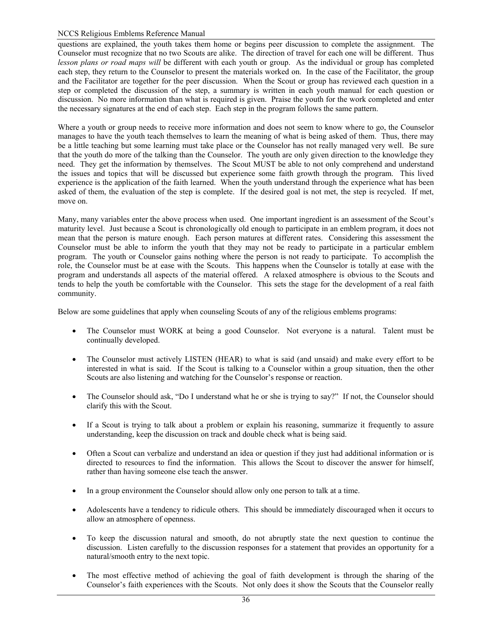#### NCCS Religious Emblems Reference Manual

questions are explained, the youth takes them home or begins peer discussion to complete the assignment. The Counselor must recognize that no two Scouts are alike. The direction of travel for each one will be different. Thus *lesson plans or road maps will* be different with each youth or group. As the individual or group has completed each step, they return to the Counselor to present the materials worked on. In the case of the Facilitator, the group and the Facilitator are together for the peer discussion. When the Scout or group has reviewed each question in a step or completed the discussion of the step, a summary is written in each youth manual for each question or discussion. No more information than what is required is given. Praise the youth for the work completed and enter the necessary signatures at the end of each step. Each step in the program follows the same pattern.

Where a youth or group needs to receive more information and does not seem to know where to go, the Counselor manages to have the youth teach themselves to learn the meaning of what is being asked of them. Thus, there may be a little teaching but some learning must take place or the Counselor has not really managed very well. Be sure that the youth do more of the talking than the Counselor. The youth are only given direction to the knowledge they need. They get the information by themselves. The Scout MUST be able to not only comprehend and understand the issues and topics that will be discussed but experience some faith growth through the program. This lived experience is the application of the faith learned. When the youth understand through the experience what has been asked of them, the evaluation of the step is complete. If the desired goal is not met, the step is recycled. If met, move on.

Many, many variables enter the above process when used. One important ingredient is an assessment of the Scout's maturity level. Just because a Scout is chronologically old enough to participate in an emblem program, it does not mean that the person is mature enough. Each person matures at different rates. Considering this assessment the Counselor must be able to inform the youth that they may not be ready to participate in a particular emblem program. The youth or Counselor gains nothing where the person is not ready to participate. To accomplish the role, the Counselor must be at ease with the Scouts. This happens when the Counselor is totally at ease with the program and understands all aspects of the material offered. A relaxed atmosphere is obvious to the Scouts and tends to help the youth be comfortable with the Counselor. This sets the stage for the development of a real faith community.

Below are some guidelines that apply when counseling Scouts of any of the religious emblems programs:

- The Counselor must WORK at being a good Counselor. Not everyone is a natural. Talent must be continually developed.
- The Counselor must actively LISTEN (HEAR) to what is said (and unsaid) and make every effort to be interested in what is said. If the Scout is talking to a Counselor within a group situation, then the other Scouts are also listening and watching for the Counselor's response or reaction.
- The Counselor should ask, "Do I understand what he or she is trying to say?" If not, the Counselor should clarify this with the Scout.
- If a Scout is trying to talk about a problem or explain his reasoning, summarize it frequently to assure understanding, keep the discussion on track and double check what is being said.
- Often a Scout can verbalize and understand an idea or question if they just had additional information or is directed to resources to find the information. This allows the Scout to discover the answer for himself, rather than having someone else teach the answer.
- In a group environment the Counselor should allow only one person to talk at a time.
- Adolescents have a tendency to ridicule others. This should be immediately discouraged when it occurs to allow an atmosphere of openness.
- To keep the discussion natural and smooth, do not abruptly state the next question to continue the discussion. Listen carefully to the discussion responses for a statement that provides an opportunity for a natural/smooth entry to the next topic.
- The most effective method of achieving the goal of faith development is through the sharing of the Counselor's faith experiences with the Scouts. Not only does it show the Scouts that the Counselor really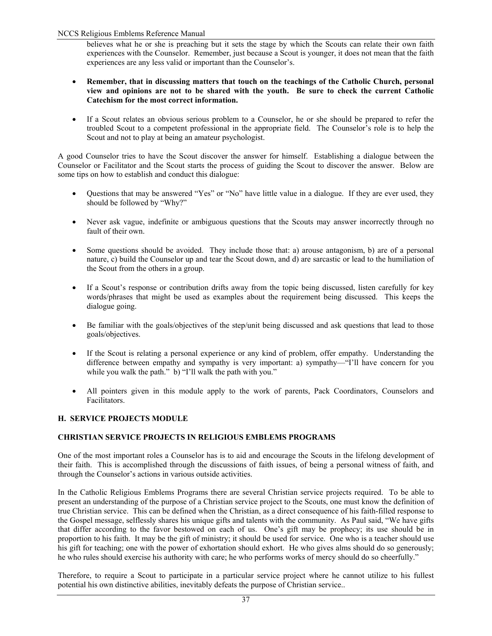#### NCCS Religious Emblems Reference Manual

believes what he or she is preaching but it sets the stage by which the Scouts can relate their own faith experiences with the Counselor. Remember, just because a Scout is younger, it does not mean that the faith experiences are any less valid or important than the Counselor's.

- **Remember, that in discussing matters that touch on the teachings of the Catholic Church, personal view and opinions are not to be shared with the youth. Be sure to check the current Catholic Catechism for the most correct information.**
- If a Scout relates an obvious serious problem to a Counselor, he or she should be prepared to refer the troubled Scout to a competent professional in the appropriate field. The Counselor's role is to help the Scout and not to play at being an amateur psychologist.

A good Counselor tries to have the Scout discover the answer for himself. Establishing a dialogue between the Counselor or Facilitator and the Scout starts the process of guiding the Scout to discover the answer. Below are some tips on how to establish and conduct this dialogue:

- Questions that may be answered "Yes" or "No" have little value in a dialogue. If they are ever used, they should be followed by "Why?"
- Never ask vague, indefinite or ambiguous questions that the Scouts may answer incorrectly through no fault of their own.
- Some questions should be avoided. They include those that: a) arouse antagonism, b) are of a personal nature, c) build the Counselor up and tear the Scout down, and d) are sarcastic or lead to the humiliation of the Scout from the others in a group.
- If a Scout's response or contribution drifts away from the topic being discussed, listen carefully for key words/phrases that might be used as examples about the requirement being discussed. This keeps the dialogue going.
- Be familiar with the goals/objectives of the step/unit being discussed and ask questions that lead to those goals/objectives.
- If the Scout is relating a personal experience or any kind of problem, offer empathy. Understanding the difference between empathy and sympathy is very important: a) sympathy—"I'll have concern for you while you walk the path." b) "I'll walk the path with you."
- All pointers given in this module apply to the work of parents, Pack Coordinators, Counselors and Facilitators.

#### **H. SERVICE PROJECTS MODULE**

#### **CHRISTIAN SERVICE PROJECTS IN RELIGIOUS EMBLEMS PROGRAMS**

One of the most important roles a Counselor has is to aid and encourage the Scouts in the lifelong development of their faith. This is accomplished through the discussions of faith issues, of being a personal witness of faith, and through the Counselor's actions in various outside activities.

In the Catholic Religious Emblems Programs there are several Christian service projects required. To be able to present an understanding of the purpose of a Christian service project to the Scouts, one must know the definition of true Christian service. This can be defined when the Christian, as a direct consequence of his faith-filled response to the Gospel message, selflessly shares his unique gifts and talents with the community. As Paul said, "We have gifts that differ according to the favor bestowed on each of us. One's gift may be prophecy; its use should be in proportion to his faith. It may be the gift of ministry; it should be used for service. One who is a teacher should use his gift for teaching; one with the power of exhortation should exhort. He who gives alms should do so generously; he who rules should exercise his authority with care; he who performs works of mercy should do so cheerfully."

Therefore, to require a Scout to participate in a particular service project where he cannot utilize to his fullest potential his own distinctive abilities, inevitably defeats the purpose of Christian service..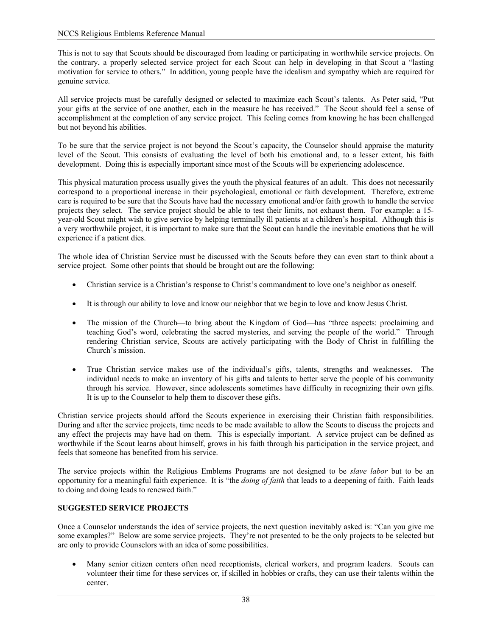This is not to say that Scouts should be discouraged from leading or participating in worthwhile service projects. On the contrary, a properly selected service project for each Scout can help in developing in that Scout a "lasting motivation for service to others." In addition, young people have the idealism and sympathy which are required for genuine service.

All service projects must be carefully designed or selected to maximize each Scout's talents. As Peter said, "Put your gifts at the service of one another, each in the measure he has received." The Scout should feel a sense of accomplishment at the completion of any service project. This feeling comes from knowing he has been challenged but not beyond his abilities.

To be sure that the service project is not beyond the Scout's capacity, the Counselor should appraise the maturity level of the Scout. This consists of evaluating the level of both his emotional and, to a lesser extent, his faith development. Doing this is especially important since most of the Scouts will be experiencing adolescence.

This physical maturation process usually gives the youth the physical features of an adult. This does not necessarily correspond to a proportional increase in their psychological, emotional or faith development. Therefore, extreme care is required to be sure that the Scouts have had the necessary emotional and/or faith growth to handle the service projects they select. The service project should be able to test their limits, not exhaust them. For example: a 15 year-old Scout might wish to give service by helping terminally ill patients at a children's hospital. Although this is a very worthwhile project, it is important to make sure that the Scout can handle the inevitable emotions that he will experience if a patient dies.

The whole idea of Christian Service must be discussed with the Scouts before they can even start to think about a service project. Some other points that should be brought out are the following:

- Christian service is a Christian's response to Christ's commandment to love one's neighbor as oneself.
- It is through our ability to love and know our neighbor that we begin to love and know Jesus Christ.
- The mission of the Church—to bring about the Kingdom of God—has "three aspects: proclaiming and teaching God's word, celebrating the sacred mysteries, and serving the people of the world." Through rendering Christian service, Scouts are actively participating with the Body of Christ in fulfilling the Church's mission.
- True Christian service makes use of the individual's gifts, talents, strengths and weaknesses. The individual needs to make an inventory of his gifts and talents to better serve the people of his community through his service. However, since adolescents sometimes have difficulty in recognizing their own gifts. It is up to the Counselor to help them to discover these gifts.

Christian service projects should afford the Scouts experience in exercising their Christian faith responsibilities. During and after the service projects, time needs to be made available to allow the Scouts to discuss the projects and any effect the projects may have had on them. This is especially important. A service project can be defined as worthwhile if the Scout learns about himself, grows in his faith through his participation in the service project, and feels that someone has benefited from his service.

The service projects within the Religious Emblems Programs are not designed to be *slave labor* but to be an opportunity for a meaningful faith experience. It is "the *doing of faith* that leads to a deepening of faith. Faith leads to doing and doing leads to renewed faith."

### **SUGGESTED SERVICE PROJECTS**

Once a Counselor understands the idea of service projects, the next question inevitably asked is: "Can you give me some examples?" Below are some service projects. They're not presented to be the only projects to be selected but are only to provide Counselors with an idea of some possibilities.

• Many senior citizen centers often need receptionists, clerical workers, and program leaders. Scouts can volunteer their time for these services or, if skilled in hobbies or crafts, they can use their talents within the center.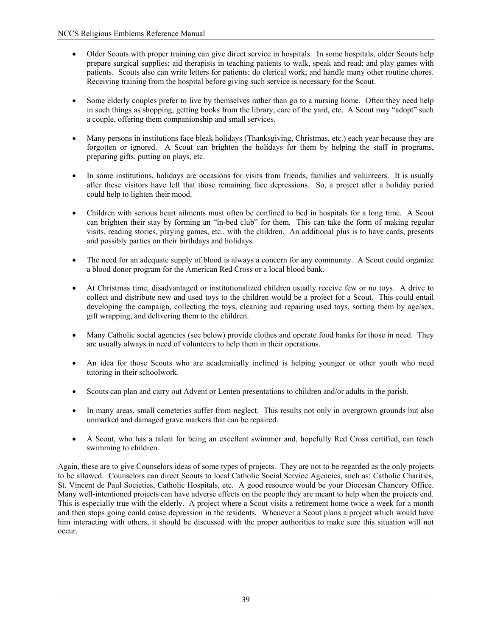- Older Scouts with proper training can give direct service in hospitals. In some hospitals, older Scouts help prepare surgical supplies; aid therapists in teaching patients to walk, speak and read; and play games with patients. Scouts also can write letters for patients; do clerical work; and handle many other routine chores. Receiving training from the hospital before giving such service is necessary for the Scout.
- Some elderly couples prefer to live by themselves rather than go to a nursing home. Often they need help in such things as shopping, getting books from the library, care of the yard, etc. A Scout may "adopt" such a couple, offering them companionship and small services.
- Many persons in institutions face bleak holidays (Thanksgiving, Christmas, etc.) each year because they are forgotten or ignored. A Scout can brighten the holidays for them by helping the staff in programs, preparing gifts, putting on plays, etc.
- In some institutions, holidays are occasions for visits from friends, families and volunteers. It is usually after these visitors have left that those remaining face depressions. So, a project after a holiday period could help to lighten their mood.
- Children with serious heart ailments must often be confined to bed in hospitals for a long time. A Scout can brighten their stay by forming an "in-bed club" for them. This can take the form of making regular visits, reading stories, playing games, etc., with the children. An additional plus is to have cards, presents and possibly parties on their birthdays and holidays.
- The need for an adequate supply of blood is always a concern for any community. A Scout could organize a blood donor program for the American Red Cross or a local blood bank.
- At Christmas time, disadvantaged or institutionalized children usually receive few or no toys. A drive to collect and distribute new and used toys to the children would be a project for a Scout. This could entail developing the campaign, collecting the toys, cleaning and repairing used toys, sorting them by age/sex, gift wrapping, and delivering them to the children.
- Many Catholic social agencies (see below) provide clothes and operate food banks for those in need. They are usually always in need of volunteers to help them in their operations.
- An idea for those Scouts who are academically inclined is helping younger or other youth who need tutoring in their schoolwork.
- Scouts can plan and carry out Advent or Lenten presentations to children and/or adults in the parish.
- In many areas, small cemeteries suffer from neglect. This results not only in overgrown grounds but also unmarked and damaged grave markers that can be repaired.
- A Scout, who has a talent for being an excellent swimmer and, hopefully Red Cross certified, can teach swimming to children.

Again, these are to give Counselors ideas of some types of projects. They are not to be regarded as the only projects to be allowed. Counselors can direct Scouts to local Catholic Social Service Agencies, such as: Catholic Charities, St. Vincent de Paul Societies, Catholic Hospitals, etc. A good resource would be your Diocesan Chancery Office. Many well-intentioned projects can have adverse effects on the people they are meant to help when the projects end. This is especially true with the elderly. A project where a Scout visits a retirement home twice a week for a month and then stops going could cause depression in the residents. Whenever a Scout plans a project which would have him interacting with others, it should be discussed with the proper authorities to make sure this situation will not occur.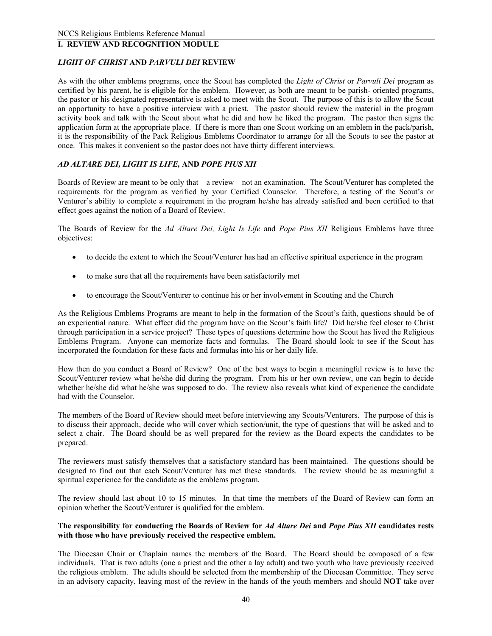### **I. REVIEW AND RECOGNITION MODULE**

#### *LIGHT OF CHRIST* **AND** *PARVULI DEI* **REVIEW**

As with the other emblems programs, once the Scout has completed the *Light of Christ* or *Parvuli Dei* program as certified by his parent, he is eligible for the emblem. However, as both are meant to be parish- oriented programs, the pastor or his designated representative is asked to meet with the Scout. The purpose of this is to allow the Scout an opportunity to have a positive interview with a priest. The pastor should review the material in the program activity book and talk with the Scout about what he did and how he liked the program. The pastor then signs the application form at the appropriate place. If there is more than one Scout working on an emblem in the pack/parish, it is the responsibility of the Pack Religious Emblems Coordinator to arrange for all the Scouts to see the pastor at once. This makes it convenient so the pastor does not have thirty different interviews.

#### *AD ALTARE DEI, LIGHT IS LIFE,* **AND** *POPE PIUS XII*

Boards of Review are meant to be only that—a review—not an examination. The Scout/Venturer has completed the requirements for the program as verified by your Certified Counselor. Therefore, a testing of the Scout's or Venturer's ability to complete a requirement in the program he/she has already satisfied and been certified to that effect goes against the notion of a Board of Review.

The Boards of Review for the *Ad Altare Dei, Light Is Life* and *Pope Pius XII* Religious Emblems have three objectives:

- to decide the extent to which the Scout/Venturer has had an effective spiritual experience in the program
- to make sure that all the requirements have been satisfactorily met
- to encourage the Scout/Venturer to continue his or her involvement in Scouting and the Church

As the Religious Emblems Programs are meant to help in the formation of the Scout's faith, questions should be of an experiential nature. What effect did the program have on the Scout's faith life? Did he/she feel closer to Christ through participation in a service project? These types of questions determine how the Scout has lived the Religious Emblems Program. Anyone can memorize facts and formulas. The Board should look to see if the Scout has incorporated the foundation for these facts and formulas into his or her daily life.

How then do you conduct a Board of Review? One of the best ways to begin a meaningful review is to have the Scout/Venturer review what he/she did during the program. From his or her own review, one can begin to decide whether he/she did what he/she was supposed to do. The review also reveals what kind of experience the candidate had with the Counselor.

The members of the Board of Review should meet before interviewing any Scouts/Venturers. The purpose of this is to discuss their approach, decide who will cover which section/unit, the type of questions that will be asked and to select a chair. The Board should be as well prepared for the review as the Board expects the candidates to be prepared.

The reviewers must satisfy themselves that a satisfactory standard has been maintained. The questions should be designed to find out that each Scout/Venturer has met these standards. The review should be as meaningful a spiritual experience for the candidate as the emblems program.

The review should last about 10 to 15 minutes. In that time the members of the Board of Review can form an opinion whether the Scout/Venturer is qualified for the emblem.

#### **The responsibility for conducting the Boards of Review for** *Ad Altare Dei* **and** *Pope Pius XII* **candidates rests with those who have previously received the respective emblem.**

The Diocesan Chair or Chaplain names the members of the Board. The Board should be composed of a few individuals. That is two adults (one a priest and the other a lay adult) and two youth who have previously received the religious emblem. The adults should be selected from the membership of the Diocesan Committee. They serve in an advisory capacity, leaving most of the review in the hands of the youth members and should **NOT** take over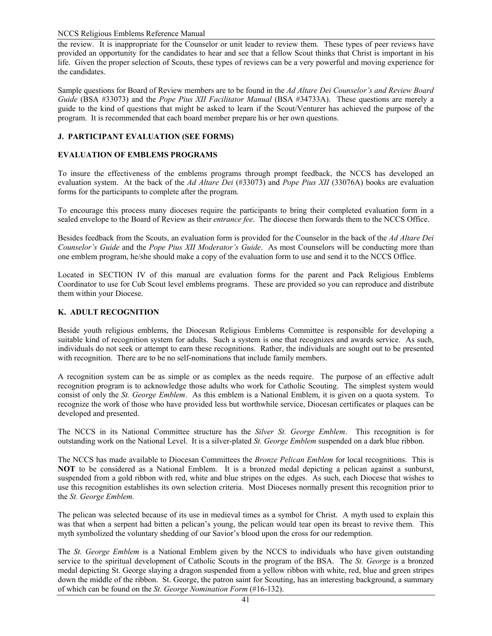#### NCCS Religious Emblems Reference Manual

the review. It is inappropriate for the Counselor or unit leader to review them. These types of peer reviews have provided an opportunity for the candidates to hear and see that a fellow Scout thinks that Christ is important in his life. Given the proper selection of Scouts, these types of reviews can be a very powerful and moving experience for the candidates.

Sample questions for Board of Review members are to be found in the *Ad Altare Dei Counselor's and Review Board Guide* (BSA #33073) and the *Pope Pius XII Facilitator Manual* (BSA #34733A). These questions are merely a guide to the kind of questions that might be asked to learn if the Scout/Venturer has achieved the purpose of the program. It is recommended that each board member prepare his or her own questions.

#### **J. PARTICIPANT EVALUATION (SEE FORMS)**

#### **EVALUATION OF EMBLEMS PROGRAMS**

To insure the effectiveness of the emblems programs through prompt feedback, the NCCS has developed an evaluation system. At the back of the *Ad Altare Dei* (#33073) and *Pope Pius XII* (33076A) books are evaluation forms for the participants to complete after the program.

To encourage this process many dioceses require the participants to bring their completed evaluation form in a sealed envelope to the Board of Review as their *entrance fee*. The diocese then forwards them to the NCCS Office.

Besides feedback from the Scouts, an evaluation form is provided for the Counselor in the back of the *Ad Altare Dei Counselor's Guide* and the *Pope Pius XII Moderator's Guide*. As most Counselors will be conducting more than one emblem program, he/she should make a copy of the evaluation form to use and send it to the NCCS Office.

Located in SECTION IV of this manual are evaluation forms for the parent and Pack Religious Emblems Coordinator to use for Cub Scout level emblems programs. These are provided so you can reproduce and distribute them within your Diocese.

#### **K. ADULT RECOGNITION**

Beside youth religious emblems, the Diocesan Religious Emblems Committee is responsible for developing a suitable kind of recognition system for adults. Such a system is one that recognizes and awards service. As such, individuals do not seek or attempt to earn these recognitions. Rather, the individuals are sought out to be presented with recognition. There are to be no self-nominations that include family members.

A recognition system can be as simple or as complex as the needs require. The purpose of an effective adult recognition program is to acknowledge those adults who work for Catholic Scouting. The simplest system would consist of only the *St. George Emblem*. As this emblem is a National Emblem, it is given on a quota system. To recognize the work of those who have provided less but worthwhile service, Diocesan certificates or plaques can be developed and presented.

The NCCS in its National Committee structure has the *Silver St. George Emblem*. This recognition is for outstanding work on the National Level. It is a silver-plated *St. George Emblem* suspended on a dark blue ribbon.

The NCCS has made available to Diocesan Committees the *Bronze Pelican Emblem* for local recognitions. This is **NOT** to be considered as a National Emblem. It is a bronzed medal depicting a pelican against a sunburst, suspended from a gold ribbon with red, white and blue stripes on the edges. As such, each Diocese that wishes to use this recognition establishes its own selection criteria. Most Dioceses normally present this recognition prior to the *St. George Emblem.*

The pelican was selected because of its use in medieval times as a symbol for Christ. A myth used to explain this was that when a serpent had bitten a pelican's young, the pelican would tear open its breast to revive them. This myth symbolized the voluntary shedding of our Savior's blood upon the cross for our redemption.

The *St. George Emblem* is a National Emblem given by the NCCS to individuals who have given outstanding service to the spiritual development of Catholic Scouts in the program of the BSA. The *St. George* is a bronzed medal depicting St. George slaying a dragon suspended from a yellow ribbon with white, red, blue and green stripes down the middle of the ribbon. St. George, the patron saint for Scouting, has an interesting background, a summary of which can be found on the *St. George Nomination Form* (#16-132).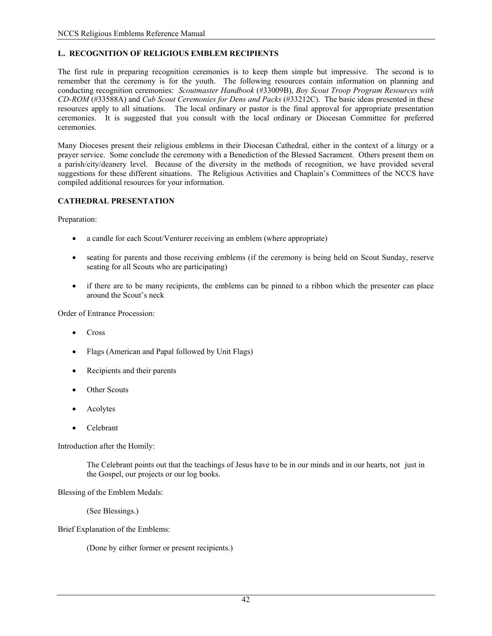### **L. RECOGNITION OF RELIGIOUS EMBLEM RECIPIENTS**

The first rule in preparing recognition ceremonies is to keep them simple but impressive. The second is to remember that the ceremony is for the youth. The following resources contain information on planning and conducting recognition ceremonies: *Scoutmaster Handbook* (#33009B), *Boy Scout Troop Program Resources with CD-ROM* (#33588A) and *Cub Scout Ceremonies for Dens and Packs* (#33212C). The basic ideas presented in these resources apply to all situations. The local ordinary or pastor is the final approval for appropriate presentation ceremonies. It is suggested that you consult with the local ordinary or Diocesan Committee for preferred ceremonies.

Many Dioceses present their religious emblems in their Diocesan Cathedral, either in the context of a liturgy or a prayer service. Some conclude the ceremony with a Benediction of the Blessed Sacrament. Others present them on a parish/city/deanery level. Because of the diversity in the methods of recognition, we have provided several suggestions for these different situations. The Religious Activities and Chaplain's Committees of the NCCS have compiled additional resources for your information.

#### **CATHEDRAL PRESENTATION**

Preparation:

- a candle for each Scout/Venturer receiving an emblem (where appropriate)
- seating for parents and those receiving emblems (if the ceremony is being held on Scout Sunday, reserve seating for all Scouts who are participating)
- if there are to be many recipients, the emblems can be pinned to a ribbon which the presenter can place around the Scout's neck

Order of Entrance Procession:

- Cross
- Flags (American and Papal followed by Unit Flags)
- Recipients and their parents
- **Other Scouts**
- Acolytes
- Celebrant

Introduction after the Homily:

 The Celebrant points out that the teachings of Jesus have to be in our minds and in our hearts, not just in the Gospel, our projects or our log books.

Blessing of the Emblem Medals:

(See Blessings.)

Brief Explanation of the Emblems:

(Done by either former or present recipients.)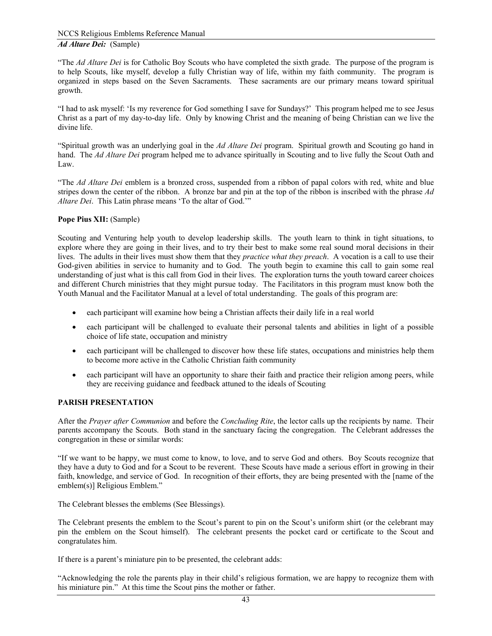"The *Ad Altare Dei* is for Catholic Boy Scouts who have completed the sixth grade. The purpose of the program is to help Scouts, like myself, develop a fully Christian way of life, within my faith community. The program is organized in steps based on the Seven Sacraments. These sacraments are our primary means toward spiritual growth.

"I had to ask myself: 'Is my reverence for God something I save for Sundays?' This program helped me to see Jesus Christ as a part of my day-to-day life. Only by knowing Christ and the meaning of being Christian can we live the divine life.

"Spiritual growth was an underlying goal in the *Ad Altare Dei* program. Spiritual growth and Scouting go hand in hand. The *Ad Altare Dei* program helped me to advance spiritually in Scouting and to live fully the Scout Oath and Law.

"The *Ad Altare Dei* emblem is a bronzed cross, suspended from a ribbon of papal colors with red, white and blue stripes down the center of the ribbon. A bronze bar and pin at the top of the ribbon is inscribed with the phrase *Ad Altare Dei*. This Latin phrase means 'To the altar of God.'"

#### **Pope Pius XII:** (Sample)

Scouting and Venturing help youth to develop leadership skills. The youth learn to think in tight situations, to explore where they are going in their lives, and to try their best to make some real sound moral decisions in their lives. The adults in their lives must show them that they *practice what they preach*. A vocation is a call to use their God-given abilities in service to humanity and to God. The youth begin to examine this call to gain some real understanding of just what is this call from God in their lives. The exploration turns the youth toward career choices and different Church ministries that they might pursue today. The Facilitators in this program must know both the Youth Manual and the Facilitator Manual at a level of total understanding. The goals of this program are:

- each participant will examine how being a Christian affects their daily life in a real world
- each participant will be challenged to evaluate their personal talents and abilities in light of a possible choice of life state, occupation and ministry
- each participant will be challenged to discover how these life states, occupations and ministries help them to become more active in the Catholic Christian faith community
- each participant will have an opportunity to share their faith and practice their religion among peers, while they are receiving guidance and feedback attuned to the ideals of Scouting

#### **PARISH PRESENTATION**

After the *Prayer after Communion* and before the *Concluding Rite*, the lector calls up the recipients by name. Their parents accompany the Scouts. Both stand in the sanctuary facing the congregation. The Celebrant addresses the congregation in these or similar words:

"If we want to be happy, we must come to know, to love, and to serve God and others. Boy Scouts recognize that they have a duty to God and for a Scout to be reverent. These Scouts have made a serious effort in growing in their faith, knowledge, and service of God. In recognition of their efforts, they are being presented with the [name of the emblem(s)] Religious Emblem."

The Celebrant blesses the emblems (See Blessings).

The Celebrant presents the emblem to the Scout's parent to pin on the Scout's uniform shirt (or the celebrant may pin the emblem on the Scout himself). The celebrant presents the pocket card or certificate to the Scout and congratulates him.

If there is a parent's miniature pin to be presented, the celebrant adds:

"Acknowledging the role the parents play in their child's religious formation, we are happy to recognize them with his miniature pin." At this time the Scout pins the mother or father.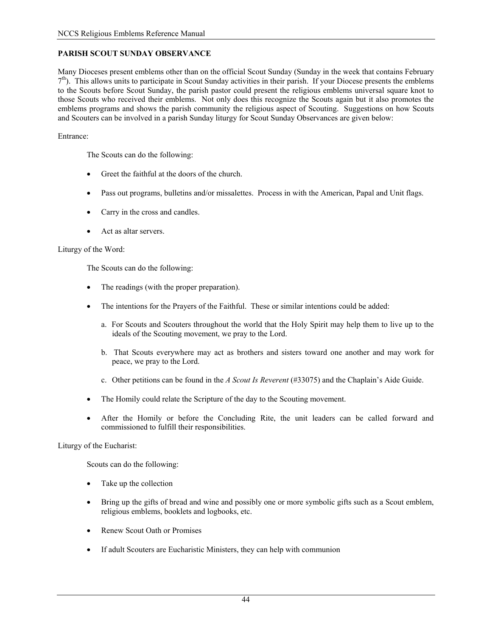#### **PARISH SCOUT SUNDAY OBSERVANCE**

Many Dioceses present emblems other than on the official Scout Sunday (Sunday in the week that contains February  $7<sup>th</sup>$ ). This allows units to participate in Scout Sunday activities in their parish. If your Diocese presents the emblems to the Scouts before Scout Sunday, the parish pastor could present the religious emblems universal square knot to those Scouts who received their emblems. Not only does this recognize the Scouts again but it also promotes the emblems programs and shows the parish community the religious aspect of Scouting. Suggestions on how Scouts and Scouters can be involved in a parish Sunday liturgy for Scout Sunday Observances are given below:

#### Entrance:

The Scouts can do the following:

- Greet the faithful at the doors of the church.
- Pass out programs, bulletins and/or missalettes. Process in with the American, Papal and Unit flags.
- Carry in the cross and candles.
- Act as altar servers.

#### Liturgy of the Word:

The Scouts can do the following:

- The readings (with the proper preparation).
- The intentions for the Prayers of the Faithful. These or similar intentions could be added:
	- a. For Scouts and Scouters throughout the world that the Holy Spirit may help them to live up to the ideals of the Scouting movement, we pray to the Lord.
	- b. That Scouts everywhere may act as brothers and sisters toward one another and may work for peace, we pray to the Lord.
	- c. Other petitions can be found in the *A Scout Is Reverent* (#33075) and the Chaplain's Aide Guide.
- The Homily could relate the Scripture of the day to the Scouting movement.
- After the Homily or before the Concluding Rite, the unit leaders can be called forward and commissioned to fulfill their responsibilities.

Liturgy of the Eucharist:

Scouts can do the following:

- Take up the collection
- Bring up the gifts of bread and wine and possibly one or more symbolic gifts such as a Scout emblem, religious emblems, booklets and logbooks, etc.
- Renew Scout Oath or Promises
- If adult Scouters are Eucharistic Ministers, they can help with communion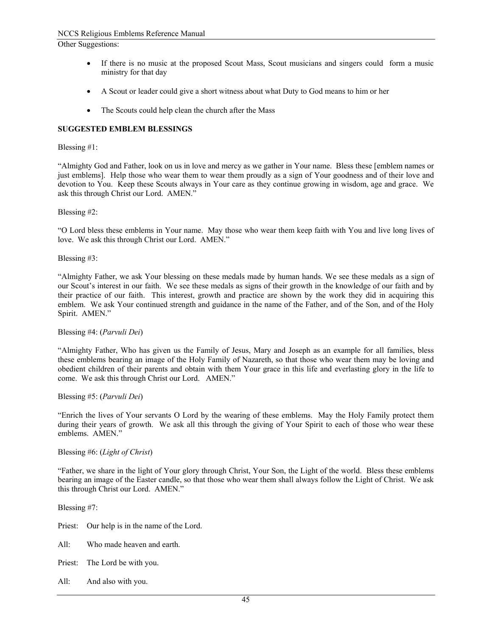Other Suggestions:

- If there is no music at the proposed Scout Mass, Scout musicians and singers could form a music ministry for that day
- A Scout or leader could give a short witness about what Duty to God means to him or her
- The Scouts could help clean the church after the Mass

#### **SUGGESTED EMBLEM BLESSINGS**

#### Blessing #1:

"Almighty God and Father, look on us in love and mercy as we gather in Your name. Bless these [emblem names or just emblems]. Help those who wear them to wear them proudly as a sign of Your goodness and of their love and devotion to You. Keep these Scouts always in Your care as they continue growing in wisdom, age and grace. We ask this through Christ our Lord. AMEN."

#### Blessing #2:

"O Lord bless these emblems in Your name. May those who wear them keep faith with You and live long lives of love. We ask this through Christ our Lord. AMEN."

Blessing #3:

"Almighty Father, we ask Your blessing on these medals made by human hands. We see these medals as a sign of our Scout's interest in our faith. We see these medals as signs of their growth in the knowledge of our faith and by their practice of our faith. This interest, growth and practice are shown by the work they did in acquiring this emblem. We ask Your continued strength and guidance in the name of the Father, and of the Son, and of the Holy Spirit. AMEN."

#### Blessing #4: (*Parvuli Dei*)

"Almighty Father, Who has given us the Family of Jesus, Mary and Joseph as an example for all families, bless these emblems bearing an image of the Holy Family of Nazareth, so that those who wear them may be loving and obedient children of their parents and obtain with them Your grace in this life and everlasting glory in the life to come. We ask this through Christ our Lord. AMEN."

Blessing #5: (*Parvuli Dei*)

"Enrich the lives of Your servants O Lord by the wearing of these emblems. May the Holy Family protect them during their years of growth. We ask all this through the giving of Your Spirit to each of those who wear these emblems. AMEN."

Blessing #6: (*Light of Christ*)

"Father, we share in the light of Your glory through Christ, Your Son, the Light of the world. Bless these emblems bearing an image of the Easter candle, so that those who wear them shall always follow the Light of Christ. We ask this through Christ our Lord. AMEN."

Blessing #7:

Priest: Our help is in the name of the Lord.

- All: Who made heaven and earth.
- Priest: The Lord be with you.
- All: And also with you.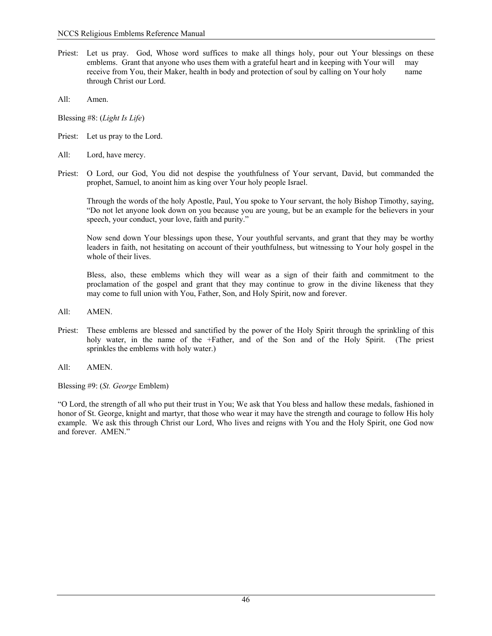- Priest: Let us pray. God, Whose word suffices to make all things holy, pour out Your blessings on these emblems. Grant that anyone who uses them with a grateful heart and in keeping with Your will may receive from You, their Maker, health in body and protection of soul by calling on Your holy name through Christ our Lord.
- All: Amen.

Blessing #8: (*Light Is Life*)

- Priest: Let us pray to the Lord.
- All: Lord, have mercy.
- Priest: O Lord, our God, You did not despise the youthfulness of Your servant, David, but commanded the prophet, Samuel, to anoint him as king over Your holy people Israel.

 Through the words of the holy Apostle, Paul, You spoke to Your servant, the holy Bishop Timothy, saying, "Do not let anyone look down on you because you are young, but be an example for the believers in your speech, your conduct, your love, faith and purity."

 Now send down Your blessings upon these, Your youthful servants, and grant that they may be worthy leaders in faith, not hesitating on account of their youthfulness, but witnessing to Your holy gospel in the whole of their lives.

 Bless, also, these emblems which they will wear as a sign of their faith and commitment to the proclamation of the gospel and grant that they may continue to grow in the divine likeness that they may come to full union with You, Father, Son, and Holy Spirit, now and forever.

- All: AMEN.
- Priest: These emblems are blessed and sanctified by the power of the Holy Spirit through the sprinkling of this holy water, in the name of the +Father, and of the Son and of the Holy Spirit. (The priest sprinkles the emblems with holy water.)
- All: AMEN.

Blessing #9: (*St. George* Emblem)

"O Lord, the strength of all who put their trust in You; We ask that You bless and hallow these medals, fashioned in honor of St. George, knight and martyr, that those who wear it may have the strength and courage to follow His holy example. We ask this through Christ our Lord, Who lives and reigns with You and the Holy Spirit, one God now and forever. AMEN."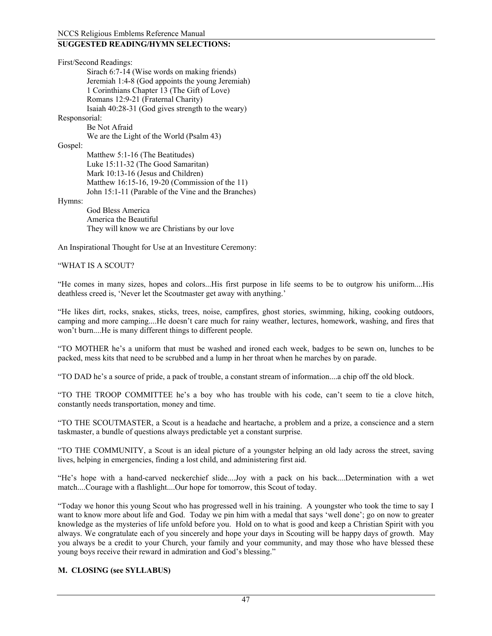#### **SUGGESTED READING/HYMN SELECTIONS:**

First/Second Readings: Sirach 6:7-14 (Wise words on making friends) Jeremiah 1:4-8 (God appoints the young Jeremiah) 1 Corinthians Chapter 13 (The Gift of Love) Romans 12:9-21 (Fraternal Charity) Isaiah 40:28-31 (God gives strength to the weary) Responsorial: Be Not Afraid We are the Light of the World (Psalm 43) Gospel: Matthew 5:1-16 (The Beatitudes) Luke 15:11-32 (The Good Samaritan) Mark 10:13-16 (Jesus and Children) Matthew 16:15-16, 19-20 (Commission of the 11) John 15:1-11 (Parable of the Vine and the Branches) Hymns: God Bless America America the Beautiful

They will know we are Christians by our love

An Inspirational Thought for Use at an Investiture Ceremony:

#### "WHAT IS A SCOUT?

"He comes in many sizes, hopes and colors...His first purpose in life seems to be to outgrow his uniform....His deathless creed is, 'Never let the Scoutmaster get away with anything.'

"He likes dirt, rocks, snakes, sticks, trees, noise, campfires, ghost stories, swimming, hiking, cooking outdoors, camping and more camping....He doesn't care much for rainy weather, lectures, homework, washing, and fires that won't burn....He is many different things to different people.

"TO MOTHER he's a uniform that must be washed and ironed each week, badges to be sewn on, lunches to be packed, mess kits that need to be scrubbed and a lump in her throat when he marches by on parade.

"TO DAD he's a source of pride, a pack of trouble, a constant stream of information....a chip off the old block.

"TO THE TROOP COMMITTEE he's a boy who has trouble with his code, can't seem to tie a clove hitch, constantly needs transportation, money and time.

"TO THE SCOUTMASTER, a Scout is a headache and heartache, a problem and a prize, a conscience and a stern taskmaster, a bundle of questions always predictable yet a constant surprise.

"TO THE COMMUNITY, a Scout is an ideal picture of a youngster helping an old lady across the street, saving lives, helping in emergencies, finding a lost child, and administering first aid.

"He's hope with a hand-carved neckerchief slide....Joy with a pack on his back....Determination with a wet match....Courage with a flashlight....Our hope for tomorrow, this Scout of today.

"Today we honor this young Scout who has progressed well in his training. A youngster who took the time to say I want to know more about life and God. Today we pin him with a medal that says 'well done'; go on now to greater knowledge as the mysteries of life unfold before you. Hold on to what is good and keep a Christian Spirit with you always. We congratulate each of you sincerely and hope your days in Scouting will be happy days of growth. May you always be a credit to your Church, your family and your community, and may those who have blessed these young boys receive their reward in admiration and God's blessing."

#### **M. CLOSING (see SYLLABUS)**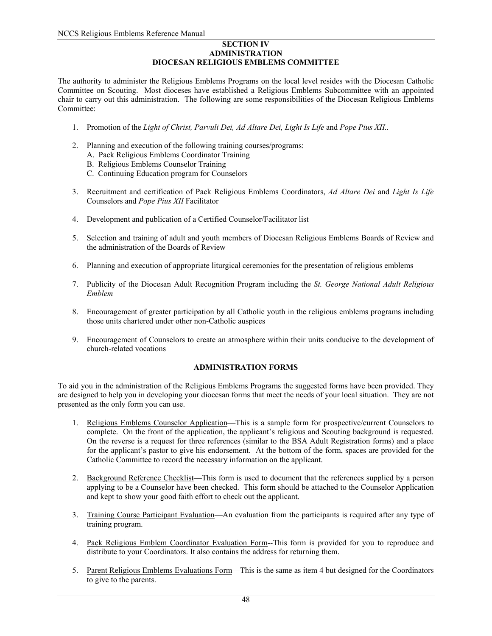#### **SECTION IV ADMINISTRATION DIOCESAN RELIGIOUS EMBLEMS COMMITTEE**

The authority to administer the Religious Emblems Programs on the local level resides with the Diocesan Catholic Committee on Scouting. Most dioceses have established a Religious Emblems Subcommittee with an appointed chair to carry out this administration. The following are some responsibilities of the Diocesan Religious Emblems Committee<sup>.</sup>

- 1. Promotion of the *Light of Christ, Parvuli Dei, Ad Altare Dei, Light Is Life* and *Pope Pius XII..*
- 2. Planning and execution of the following training courses/programs:
	- A. Pack Religious Emblems Coordinator Training
	- B. Religious Emblems Counselor Training
	- C. Continuing Education program for Counselors
- 3. Recruitment and certification of Pack Religious Emblems Coordinators, *Ad Altare Dei* and *Light Is Life*  Counselors and *Pope Pius XII* Facilitator
- 4. Development and publication of a Certified Counselor/Facilitator list
- 5. Selection and training of adult and youth members of Diocesan Religious Emblems Boards of Review and the administration of the Boards of Review
- 6. Planning and execution of appropriate liturgical ceremonies for the presentation of religious emblems
- 7. Publicity of the Diocesan Adult Recognition Program including the *St. George National Adult Religious Emblem*
- 8. Encouragement of greater participation by all Catholic youth in the religious emblems programs including those units chartered under other non-Catholic auspices
- 9. Encouragement of Counselors to create an atmosphere within their units conducive to the development of church-related vocations

#### **ADMINISTRATION FORMS**

To aid you in the administration of the Religious Emblems Programs the suggested forms have been provided. They are designed to help you in developing your diocesan forms that meet the needs of your local situation. They are not presented as the only form you can use.

- 1. Religious Emblems Counselor Application—This is a sample form for prospective/current Counselors to complete. On the front of the application, the applicant's religious and Scouting background is requested. On the reverse is a request for three references (similar to the BSA Adult Registration forms) and a place for the applicant's pastor to give his endorsement. At the bottom of the form, spaces are provided for the Catholic Committee to record the necessary information on the applicant.
- 2. Background Reference Checklist—This form is used to document that the references supplied by a person applying to be a Counselor have been checked. This form should be attached to the Counselor Application and kept to show your good faith effort to check out the applicant.
- 3. Training Course Participant Evaluation—An evaluation from the participants is required after any type of training program.
- 4. Pack Religious Emblem Coordinator Evaluation Form--This form is provided for you to reproduce and distribute to your Coordinators. It also contains the address for returning them.
- 5. Parent Religious Emblems Evaluations Form—This is the same as item 4 but designed for the Coordinators to give to the parents.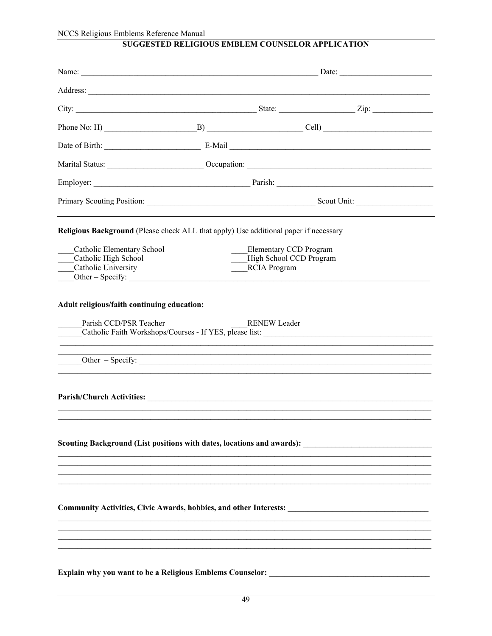# SUGGESTED RELIGIOUS EMBLEM COUNSELOR APPLICATION

| Phone No: H) $\underline{\hspace{1cm}}$ $B)$ $\underline{\hspace{1cm}}$ $Cell)$                      |                         |  |
|------------------------------------------------------------------------------------------------------|-------------------------|--|
|                                                                                                      |                         |  |
|                                                                                                      |                         |  |
|                                                                                                      |                         |  |
|                                                                                                      |                         |  |
| Religious Background (Please check ALL that apply) Use additional paper if necessary                 |                         |  |
| Catholic Elementary School                                                                           | Elementary CCD Program  |  |
| Catholic High School                                                                                 | High School CCD Program |  |
| Catholic University<br>Other – Specify:                                                              | ____RCIA Program        |  |
| Parish CCD/PSR Teacher<br>Other - Specify:                                                           | <b>RENEW Leader</b>     |  |
| Scouting Background (List positions with dates, locations and awards):                               |                         |  |
| Community Activities, Civic Awards, hobbies, and other Interests: __________________________________ |                         |  |
| Explain why you want to be a Religious Emblems Counselor:                                            |                         |  |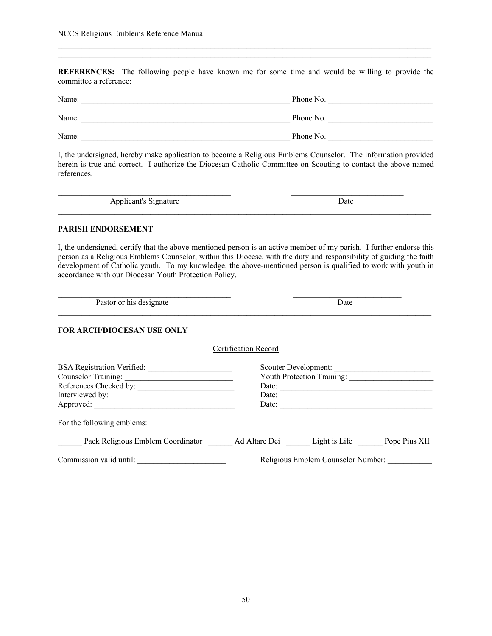**REFERENCES:** The following people have known me for some time and would be willing to provide the committee a reference:

| Name: | Phone No. |
|-------|-----------|
| Name: | Phone No. |
| Name: | Phone No. |

I, the undersigned, hereby make application to become a Religious Emblems Counselor. The information provided herein is true and correct. I authorize the Diocesan Catholic Committee on Scouting to contact the above-named references.

Applicant's Signature Date

#### **PARISH ENDORSEMENT**

I, the undersigned, certify that the above-mentioned person is an active member of my parish. I further endorse this person as a Religious Emblems Counselor, within this Diocese, with the duty and responsibility of guiding the faith development of Catholic youth. To my knowledge, the above-mentioned person is qualified to work with youth in accordance with our Diocesan Youth Protection Policy.

 $\_$  , and the state of the state of the state of the state of the state of the state of the state of the state of the state of the state of the state of the state of the state of the state of the state of the state of the

Pastor or his designate Date

#### **FOR ARCH/DIOCESAN USE ONLY**

| <b>BSA Registration Verified:</b>                               |               | Scouter Development:              |               |
|-----------------------------------------------------------------|---------------|-----------------------------------|---------------|
| <b>Counselor Training:</b>                                      |               | <b>Youth Protection Training:</b> |               |
| References Checked by:                                          | Date:         |                                   |               |
| Interviewed by:                                                 | Date:         |                                   |               |
| Approved:                                                       | Date:         |                                   |               |
| For the following emblems:<br>Pack Religious Emblem Coordinator | Ad Altare Dei | Light is Life                     | Pope Pius XII |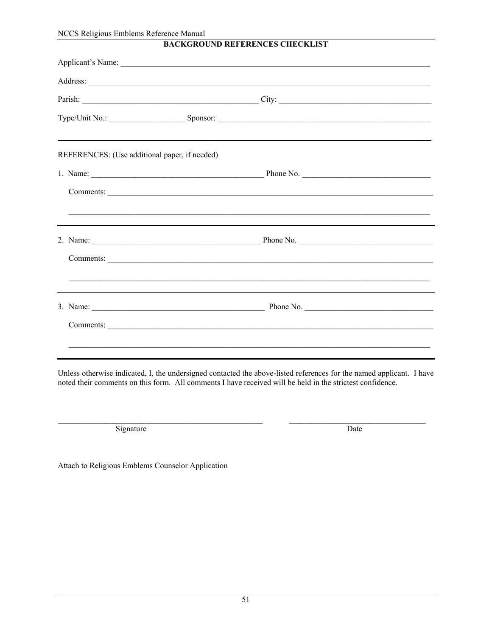| NCCS Religious Emblems Reference Manual       | <b>BACKGROUND REFERENCES CHECKLIST</b>                     |  |
|-----------------------------------------------|------------------------------------------------------------|--|
|                                               | Applicant's Name:                                          |  |
|                                               |                                                            |  |
|                                               | Parish: City: City:                                        |  |
|                                               | Type/Unit No.: Sponsor: Sponsor:                           |  |
| REFERENCES: (Use additional paper, if needed) |                                                            |  |
|                                               |                                                            |  |
|                                               | Comments:                                                  |  |
|                                               |                                                            |  |
|                                               |                                                            |  |
|                                               |                                                            |  |
|                                               | <u> 1999 - Jan Barnett, amerikansk politiker (d. 1989)</u> |  |
|                                               |                                                            |  |
|                                               |                                                            |  |
|                                               |                                                            |  |

Unless otherwise indicated, I, the undersigned contacted the above-listed references for the named applicant. I have noted their comments on this form. All comments I have received will be held in the strictest confidence.

Signature

Date

Attach to Religious Emblems Counselor Application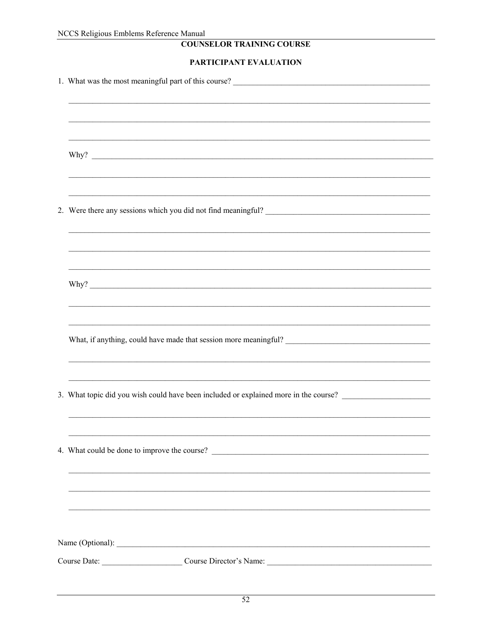# **COUNSELOR TRAINING COURSE**

### PARTICIPANT EVALUATION

| 2. Were there any sessions which you did not find meaningful?                        |
|--------------------------------------------------------------------------------------|
|                                                                                      |
|                                                                                      |
|                                                                                      |
|                                                                                      |
|                                                                                      |
|                                                                                      |
| What, if anything, could have made that session more meaningful?                     |
|                                                                                      |
|                                                                                      |
| 3. What topic did you wish could have been included or explained more in the course? |
|                                                                                      |
|                                                                                      |
| 4. What could be done to improve the course?                                         |
|                                                                                      |
|                                                                                      |
|                                                                                      |
|                                                                                      |
|                                                                                      |
| Course Date: Course Director's Name: Course Director's Name:                         |
|                                                                                      |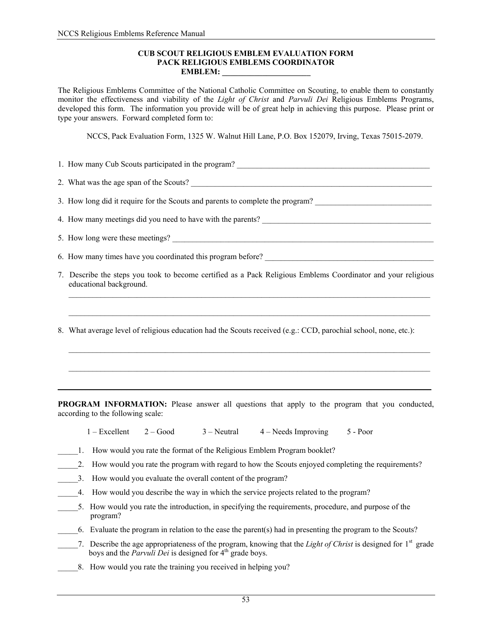#### **CUB SCOUT RELIGIOUS EMBLEM EVALUATION FORM PACK RELIGIOUS EMBLEMS COORDINATOR EMBLEM: \_\_\_\_\_\_\_\_\_\_\_\_\_\_\_\_\_\_\_\_\_\_**

The Religious Emblems Committee of the National Catholic Committee on Scouting, to enable them to constantly monitor the effectiveness and viability of the *Light of Christ* and *Parvuli Dei* Religious Emblems Programs, developed this form. The information you provide will be of great help in achieving this purpose. Please print or type your answers. Forward completed form to:

NCCS, Pack Evaluation Form, 1325 W. Walnut Hill Lane, P.O. Box 152079, Irving, Texas 75015-2079.

| 1. How many Cub Scouts participated in the program? |  |
|-----------------------------------------------------|--|
|-----------------------------------------------------|--|

2. What was the age span of the Scouts?

3. How long did it require for the Scouts and parents to complete the program?

4. How many meetings did you need to have with the parents?

5. How long were these meetings?

6. How many times have you coordinated this program before? \_\_\_\_\_\_\_\_\_\_\_\_\_\_\_\_\_\_\_\_\_\_\_\_\_\_\_\_\_\_\_\_\_\_\_\_\_\_\_\_\_\_

7. Describe the steps you took to become certified as a Pack Religious Emblems Coordinator and your religious educational background.

 $\overline{\phantom{a}}$  ,  $\overline{\phantom{a}}$  ,  $\overline{\phantom{a}}$  ,  $\overline{\phantom{a}}$  ,  $\overline{\phantom{a}}$  ,  $\overline{\phantom{a}}$  ,  $\overline{\phantom{a}}$  ,  $\overline{\phantom{a}}$  ,  $\overline{\phantom{a}}$  ,  $\overline{\phantom{a}}$  ,  $\overline{\phantom{a}}$  ,  $\overline{\phantom{a}}$  ,  $\overline{\phantom{a}}$  ,  $\overline{\phantom{a}}$  ,  $\overline{\phantom{a}}$  ,  $\overline{\phantom{a}}$ 

8. What average level of religious education had the Scouts received (e.g.: CCD, parochial school, none, etc.):

**PROGRAM INFORMATION:** Please answer all questions that apply to the program that you conducted, according to the following scale:

**\_\_\_\_\_\_\_\_\_\_\_\_\_\_\_\_\_\_\_\_\_\_\_\_\_\_\_\_\_\_\_\_\_\_\_\_\_\_\_\_\_\_\_\_\_\_\_\_\_\_\_\_\_\_\_\_\_\_\_\_\_\_\_\_\_\_\_\_\_\_\_\_\_\_\_\_\_\_\_\_\_\_\_\_\_\_\_\_\_\_\_\_\_**

 $\mathcal{L}_\mathcal{L} = \{ \mathcal{L}_\mathcal{L} = \{ \mathcal{L}_\mathcal{L} = \{ \mathcal{L}_\mathcal{L} = \{ \mathcal{L}_\mathcal{L} = \{ \mathcal{L}_\mathcal{L} = \{ \mathcal{L}_\mathcal{L} = \{ \mathcal{L}_\mathcal{L} = \{ \mathcal{L}_\mathcal{L} = \{ \mathcal{L}_\mathcal{L} = \{ \mathcal{L}_\mathcal{L} = \{ \mathcal{L}_\mathcal{L} = \{ \mathcal{L}_\mathcal{L} = \{ \mathcal{L}_\mathcal{L} = \{ \mathcal{L}_\mathcal{$ 

| $1 -$ Excellent | $2 - Good$ | $3 - Neutral$ | $4 - Needs$ Improving | $5 - Poor$ |
|-----------------|------------|---------------|-----------------------|------------|
|-----------------|------------|---------------|-----------------------|------------|

|  |  | How would you rate the format of the Religious Emblem Program booklet? |
|--|--|------------------------------------------------------------------------|
|  |  |                                                                        |

- 2. How would you rate the program with regard to how the Scouts enjoyed completing the requirements?
- 3. How would you evaluate the overall content of the program?
- \_\_\_\_\_4. How would you describe the way in which the service projects related to the program?
- 5. How would you rate the introduction, in specifying the requirements, procedure, and purpose of the program?
- \_\_\_\_\_6. Evaluate the program in relation to the ease the parent(s) had in presenting the program to the Scouts?
- \_\_\_\_\_7. Describe the age appropriateness of the program, knowing that the *Light of Christ* is designed for 1st grade boys and the *Parvuli Dei* is designed for 4<sup>th</sup> grade boys.
	- 8. How would you rate the training you received in helping you?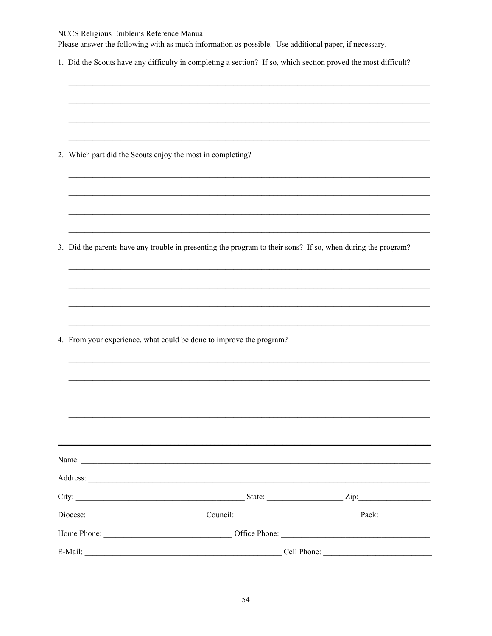#### NCCS Religious Emblems Reference Manual

| Please answer the following with as much information as possible. Use additional paper, if necessary. |  |
|-------------------------------------------------------------------------------------------------------|--|
|-------------------------------------------------------------------------------------------------------|--|

1. Did the Scouts have any difficulty in completing a section? If so, which section proved the most difficult?

|  |  | 2. Which part did the Scouts enjoy the most in completing? |  |  |
|--|--|------------------------------------------------------------|--|--|
|--|--|------------------------------------------------------------|--|--|

3. Did the parents have any trouble in presenting the program to their sons? If so, when during the program?

4. From your experience, what could be done to improve the program?

| State:                                                                       | $\text{Zip:}\n$ |
|------------------------------------------------------------------------------|-----------------|
|                                                                              | Pack:           |
| Home Phone: <u>Communications of the Phone:</u> Communications of the Phone: |                 |
|                                                                              | Cell Phone:     |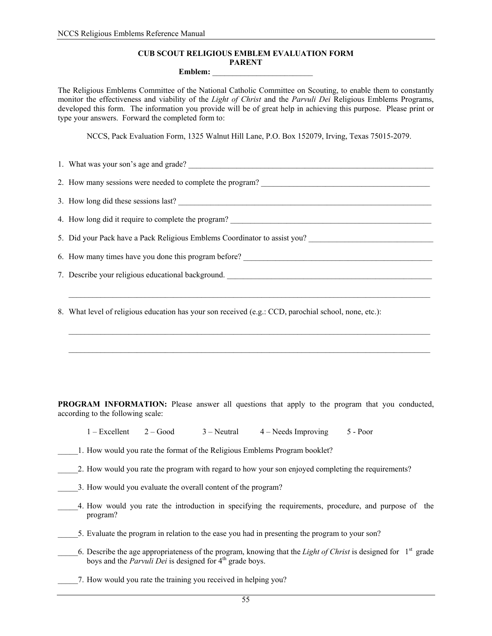#### **CUB SCOUT RELIGIOUS EMBLEM EVALUATION FORM PARENT**

#### Emblem:

The Religious Emblems Committee of the National Catholic Committee on Scouting, to enable them to constantly monitor the effectiveness and viability of the *Light of Christ* and the *Parvuli Dei* Religious Emblems Programs, developed this form. The information you provide will be of great help in achieving this purpose. Please print or type your answers. Forward the completed form to:

NCCS, Pack Evaluation Form, 1325 Walnut Hill Lane, P.O. Box 152079, Irving, Texas 75015-2079.

1. What was your son's age and grade? 2. How many sessions were needed to complete the program? 3. How long did these sessions last? 4. How long did it require to complete the program? 5. Did your Pack have a Pack Religious Emblems Coordinator to assist you? 6. How many times have you done this program before? \_\_\_\_\_\_\_\_\_\_\_\_\_\_\_\_\_\_\_\_\_\_\_\_\_\_\_\_\_\_\_\_\_\_\_\_\_\_\_\_\_\_\_\_\_\_\_ 7. Describe your religious educational background.

8. What level of religious education has your son received (e.g.: CCD, parochial school, none, etc.):

**PROGRAM INFORMATION:** Please answer all questions that apply to the program that you conducted, according to the following scale:

1 – Excellent 2 – Good 3 – Neutral 4 – Needs Improving 5 - Poor

1. How would you rate the format of the Religious Emblems Program booklet?

\_\_\_\_\_2. How would you rate the program with regard to how your son enjoyed completing the requirements?

3. How would you evaluate the overall content of the program?

\_\_\_\_\_4. How would you rate the introduction in specifying the requirements, procedure, and purpose of the program?

5. Evaluate the program in relation to the ease you had in presenting the program to your son?

\_\_\_\_\_6. Describe the age appropriateness of the program, knowing that the *Light of Christ* is designed for 1st grade boys and the *Parvuli Dei* is designed for  $4<sup>th</sup>$  grade boys.

\_\_\_\_\_7. How would you rate the training you received in helping you?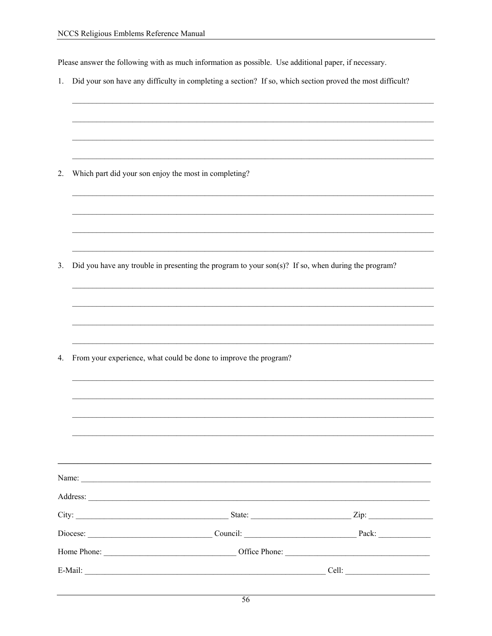Please answer the following with as much information as possible. Use additional paper, if necessary.

1. Did your son have any difficulty in completing a section? If so, which section proved the most difficult?

2. Which part did your son enjoy the most in completing?

3. Did you have any trouble in presenting the program to your son(s)? If so, when during the program?

| 4. | From your experience, what could be done to improve the program? |  |
|----|------------------------------------------------------------------|--|
|    |                                                                  |  |
|    |                                                                  |  |
|    |                                                                  |  |
|    |                                                                  |  |
|    |                                                                  |  |
|    |                                                                  |  |
|    |                                                                  |  |
|    |                                                                  |  |
|    |                                                                  |  |
|    |                                                                  |  |
|    |                                                                  |  |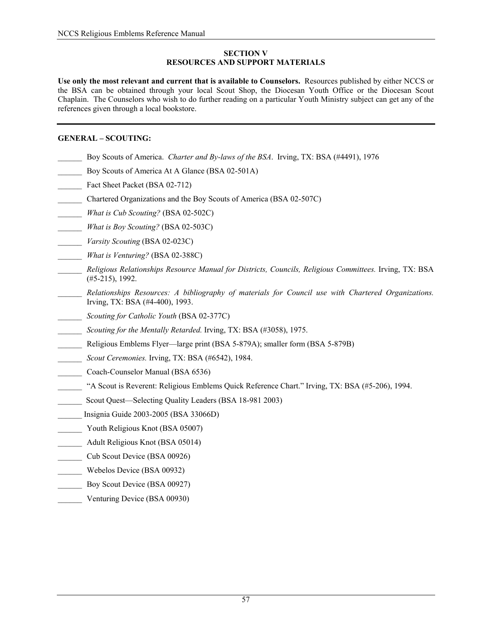#### **SECTION V RESOURCES AND SUPPORT MATERIALS**

**Use only the most relevant and current that is available to Counselors.** Resources published by either NCCS or the BSA can be obtained through your local Scout Shop, the Diocesan Youth Office or the Diocesan Scout Chaplain. The Counselors who wish to do further reading on a particular Youth Ministry subject can get any of the references given through a local bookstore.

### **GENERAL – SCOUTING:**

- \_\_\_\_\_\_ Boy Scouts of America. *Charter and By-laws of the BSA*. Irving, TX: BSA (#4491), 1976
- Boy Scouts of America At A Glance (BSA 02-501A)
- Fact Sheet Packet (BSA 02-712)
- \_\_\_\_\_\_ Chartered Organizations and the Boy Scouts of America (BSA 02-507C)
- \_\_\_\_\_\_ *What is Cub Scouting?* (BSA 02-502C)
- \_\_\_\_\_\_ *What is Boy Scouting?* (BSA 02-503C)
- \_\_\_\_\_\_ *Varsity Scouting* (BSA 02-023C)
- \_\_\_\_\_\_ *What is Venturing?* (BSA 02-388C)
- \_\_\_\_\_\_ *Religious Relationships Resource Manual for Districts, Councils, Religious Committees.* Irving, TX: BSA (#5-215), 1992.
- \_\_\_\_\_\_ *Relationships Resources: A bibliography of materials for Council use with Chartered Organizations.*  Irving, TX: BSA (#4-400), 1993.
- \_\_\_\_\_\_ *Scouting for Catholic Youth* (BSA 02-377C)
- \_\_\_\_\_\_ *Scouting for the Mentally Retarded.* Irving, TX: BSA (#3058), 1975.
- \_\_\_\_\_\_ Religious Emblems Flyer—large print (BSA 5-879A); smaller form (BSA 5-879B)
- \_\_\_\_\_\_ *Scout Ceremonies.* Irving, TX: BSA (#6542), 1984.
- \_\_\_\_\_\_ Coach-Counselor Manual (BSA 6536)
- \_\_\_\_\_\_ "A Scout is Reverent: Religious Emblems Quick Reference Chart." Irving, TX: BSA (#5-206), 1994.
- \_\_\_\_\_\_ Scout Quest—Selecting Quality Leaders (BSA 18-981 2003)
- \_\_\_\_\_\_ Insignia Guide 2003-2005 (BSA 33066D)
- \_\_\_\_\_\_ Youth Religious Knot (BSA 05007)
- Adult Religious Knot (BSA 05014)
- Cub Scout Device (BSA 00926)
- \_\_\_\_\_\_ Webelos Device (BSA 00932)
- Boy Scout Device (BSA 00927)
- Venturing Device (BSA 00930)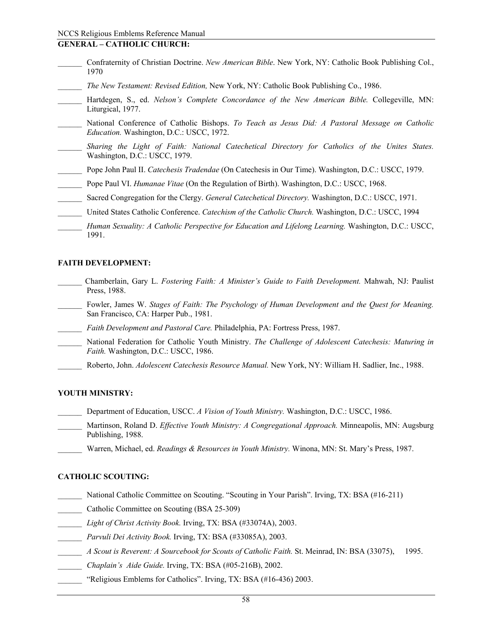#### **GENERAL – CATHOLIC CHURCH:**

- \_\_\_\_\_\_ Confraternity of Christian Doctrine. *New American Bible*. New York, NY: Catholic Book Publishing Col., 1970
- \_\_\_\_\_\_ *The New Testament: Revised Edition,* New York, NY: Catholic Book Publishing Co., 1986.
- \_\_\_\_\_\_ Hartdegen, S., ed. *Nelson's Complete Concordance of the New American Bible.* Collegeville, MN: Liturgical, 1977.
- \_\_\_\_\_\_ National Conference of Catholic Bishops. *To Teach as Jesus Did: A Pastoral Message on Catholic Education.* Washington, D.C.: USCC, 1972.
- \_\_\_\_\_\_ *Sharing the Light of Faith: National Catechetical Directory for Catholics of the Unites States.*  Washington, D.C.: USCC, 1979.
- \_\_\_\_\_\_ Pope John Paul II. *Catechesis Tradendae* (On Catechesis in Our Time). Washington, D.C.: USCC, 1979.
- \_\_\_\_\_\_ Pope Paul VI. *Humanae Vitae* (On the Regulation of Birth). Washington, D.C.: USCC, 1968.
- \_\_\_\_\_\_ Sacred Congregation for the Clergy. *General Catechetical Directory.* Washington, D.C.: USCC, 1971.
- \_\_\_\_\_\_ United States Catholic Conference. *Catechism of the Catholic Church.* Washington, D.C.: USCC, 1994

#### **FAITH DEVELOPMENT:**

- \_\_\_\_\_\_ Chamberlain, Gary L. *Fostering Faith: A Minister's Guide to Faith Development.* Mahwah, NJ: Paulist Press, 1988.
- Fowler, James W. *Stages of Faith: The Psychology of Human Development and the Quest for Meaning.* San Francisco, CA: Harper Pub., 1981.
	- \_\_\_\_\_\_ *Faith Development and Pastoral Care.* Philadelphia, PA: Fortress Press, 1987.
- \_\_\_\_\_\_ National Federation for Catholic Youth Ministry. *The Challenge of Adolescent Catechesis: Maturing in Faith.* Washington, D.C.: USCC, 1986.
- \_\_\_\_\_\_ Roberto, John. *Adolescent Catechesis Resource Manual.* New York, NY: William H. Sadlier, Inc., 1988.

#### **YOUTH MINISTRY:**

- \_\_\_\_\_\_ Department of Education, USCC. *A Vision of Youth Ministry.* Washington, D.C.: USCC, 1986.
- \_\_\_\_\_\_ Martinson, Roland D. *Effective Youth Ministry: A Congregational Approach.* Minneapolis, MN: Augsburg Publishing, 1988.
- \_\_\_\_\_\_ Warren, Michael, ed. *Readings & Resources in Youth Ministry.* Winona, MN: St. Mary's Press, 1987.

#### **CATHOLIC SCOUTING:**

- National Catholic Committee on Scouting. "Scouting in Your Parish". Irving, TX: BSA (#16-211)
- Catholic Committee on Scouting (BSA 25-309)
- \_\_\_\_\_\_ *Light of Christ Activity Book.* Irving, TX: BSA (#33074A), 2003.
- \_\_\_\_\_\_ *Parvuli Dei Activity Book.* Irving, TX: BSA (#33085A), 2003.
- \_\_\_\_\_\_ *A Scout is Reverent: A Sourcebook for Scouts of Catholic Faith.* St. Meinrad, IN: BSA (33075), 1995.
- \_\_\_\_\_\_ *Chaplain's Aide Guide.* Irving, TX: BSA (#05-216B), 2002.
- "Religious Emblems for Catholics". Irving, TX: BSA (#16-436) 2003.

*Human Sexuality: A Catholic Perspective for Education and Lifelong Learning.* Washington, D.C.: USCC, 1991.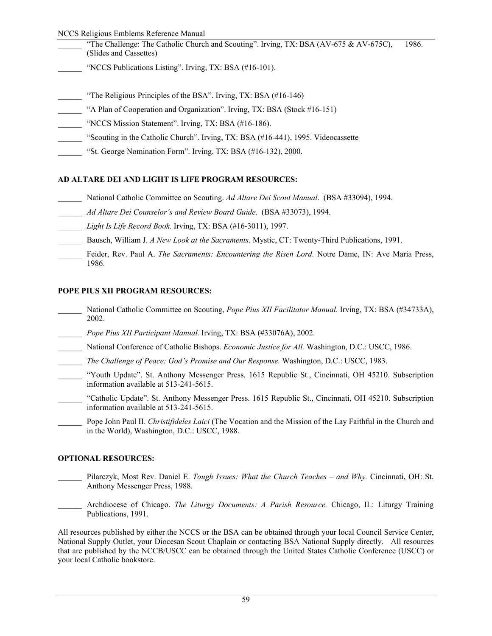#### NCCS Religious Emblems Reference Manual

- "The Challenge: The Catholic Church and Scouting". Irving, TX: BSA (AV-675 & AV-675C), 1986. (Slides and Cassettes)
- "NCCS Publications Listing". Irving, TX: BSA (#16-101).
- "The Religious Principles of the BSA". Irving, TX: BSA  $(\#16-146)$
- "A Plan of Cooperation and Organization". Irving, TX: BSA (Stock #16-151)
- \_\_\_\_\_\_ "NCCS Mission Statement". Irving, TX: BSA (#16-186).
- \_\_\_\_\_\_ "Scouting in the Catholic Church". Irving, TX: BSA (#16-441), 1995. Videocassette
- \_\_\_\_\_\_ "St. George Nomination Form". Irving, TX: BSA (#16-132), 2000.

### **AD ALTARE DEI AND LIGHT IS LIFE PROGRAM RESOURCES:**

- \_\_\_\_\_\_ National Catholic Committee on Scouting. *Ad Altare Dei Scout Manual*. (BSA #33094), 1994.
- \_\_\_\_\_\_ *Ad Altare Dei Counselor's and Review Board Guide.* (BSA #33073), 1994.
- \_\_\_\_\_\_ *Light Is Life Record Book.* Irving, TX: BSA (#16-3011), 1997.
- \_\_\_\_\_\_ Bausch, William J. *A New Look at the Sacraments*. Mystic, CT: Twenty-Third Publications, 1991.
- Feider, Rev. Paul A. *The Sacraments: Encountering the Risen Lord.* Notre Dame, IN: Ave Maria Press, 1986.

### **POPE PIUS XII PROGRAM RESOURCES:**

- \_\_\_\_\_\_ National Catholic Committee on Scouting, *Pope Pius XII Facilitator Manual.* Irving, TX: BSA (#34733A), 2002.
- \_\_\_\_\_\_ *Pope Pius XII Participant Manual.* Irving, TX: BSA (#33076A), 2002.
- \_\_\_\_\_\_ National Conference of Catholic Bishops. *Economic Justice for All.* Washington, D.C.: USCC, 1986.
- \_\_\_\_\_\_ *The Challenge of Peace: God's Promise and Our Response.* Washington, D.C.: USCC, 1983.
- \_\_\_\_\_\_ "Youth Update". St. Anthony Messenger Press. 1615 Republic St., Cincinnati, OH 45210. Subscription information available at 513-241-5615.
- \_\_\_\_\_\_ "Catholic Update". St. Anthony Messenger Press. 1615 Republic St., Cincinnati, OH 45210. Subscription information available at 513-241-5615.
- \_\_\_\_\_\_ Pope John Paul II. *Christifideles Laici* (The Vocation and the Mission of the Lay Faithful in the Church and in the World), Washington, D.C.: USCC, 1988.

### **OPTIONAL RESOURCES:**

- \_\_\_\_\_\_ Pilarczyk, Most Rev. Daniel E. *Tough Issues: What the Church Teaches and Why.* Cincinnati, OH: St. Anthony Messenger Press, 1988.
- \_\_\_\_\_\_ Archdiocese of Chicago. *The Liturgy Documents: A Parish Resource.* Chicago, IL: Liturgy Training Publications, 1991.

All resources published by either the NCCS or the BSA can be obtained through your local Council Service Center, National Supply Outlet, your Diocesan Scout Chaplain or contacting BSA National Supply directly. All resources that are published by the NCCB/USCC can be obtained through the United States Catholic Conference (USCC) or your local Catholic bookstore.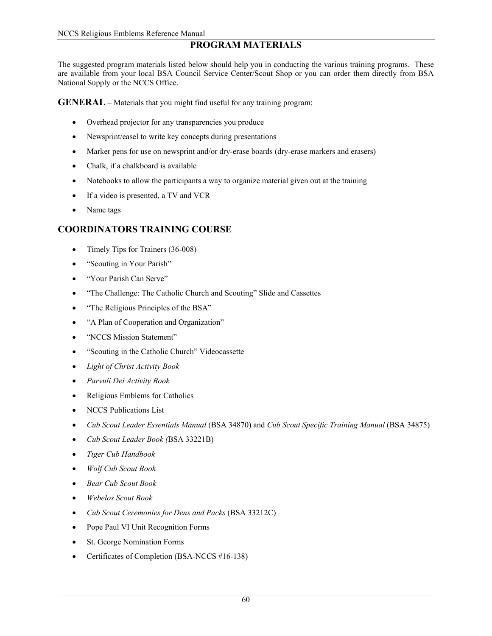# **PROGRAM MATERIALS**

The suggested program materials listed below should help you in conducting the various training programs. These are available from your local BSA Council Service Center/Scout Shop or you can order them directly from BSA National Supply or the NCCS Office.

**GENERAL** – Materials that you might find useful for any training program:

- Overhead projector for any transparencies you produce
- Newsprint/easel to write key concepts during presentations
- Marker pens for use on newsprint and/or dry-erase boards (dry-erase markers and erasers)
- Chalk, if a chalkboard is available
- Notebooks to allow the participants a way to organize material given out at the training
- If a video is presented, a TV and VCR
- Name tags

# **COORDINATORS TRAINING COURSE**

- Timely Tips for Trainers (36-008)
- "Scouting in Your Parish"
- "Your Parish Can Serve"
- "The Challenge: The Catholic Church and Scouting" Slide and Cassettes
- "The Religious Principles of the BSA"
- "A Plan of Cooperation and Organization"
- "NCCS Mission Statement"
- "Scouting in the Catholic Church" Videocassette
- *Light of Christ Activity Book*
- *Parvuli Dei Activity Book*
- Religious Emblems for Catholics
- NCCS Publications List
- *Cub Scout Leader Essentials Manual* (BSA 34870) and *Cub Scout Specific Training Manual* (BSA 34875)
- *Cub Scout Leader Book (*BSA 33221B)
- *Tiger Cub Handbook*
- *Wolf Cub Scout Book*
- *Bear Cub Scout Book*
- *Webelos Scout Book*
- *Cub Scout Ceremonies for Dens and Packs* (BSA 33212C)
- Pope Paul VI Unit Recognition Forms
- St. George Nomination Forms
- Certificates of Completion (BSA-NCCS #16-138)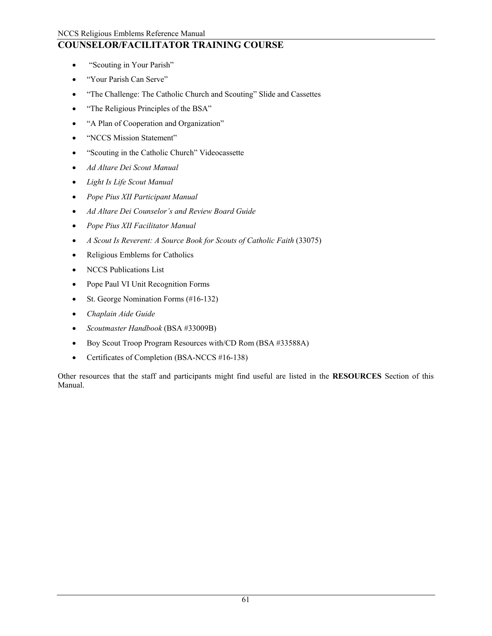# **COUNSELOR/FACILITATOR TRAINING COURSE**

- "Scouting in Your Parish"
- "Your Parish Can Serve"
- "The Challenge: The Catholic Church and Scouting" Slide and Cassettes
- "The Religious Principles of the BSA"
- "A Plan of Cooperation and Organization"
- "NCCS Mission Statement"
- "Scouting in the Catholic Church" Videocassette
- *Ad Altare Dei Scout Manual*
- *Light Is Life Scout Manual*
- *Pope Pius XII Participant Manual*
- *Ad Altare Dei Counselor's and Review Board Guide*
- *Pope Pius XII Facilitator Manual*
- *A Scout Is Reverent: A Source Book for Scouts of Catholic Faith (33075)*
- Religious Emblems for Catholics
- NCCS Publications List
- Pope Paul VI Unit Recognition Forms
- St. George Nomination Forms (#16-132)
- *Chaplain Aide Guide*
- *Scoutmaster Handbook* (BSA #33009B)
- Boy Scout Troop Program Resources with/CD Rom (BSA #33588A)
- Certificates of Completion (BSA-NCCS #16-138)

Other resources that the staff and participants might find useful are listed in the **RESOURCES** Section of this Manual.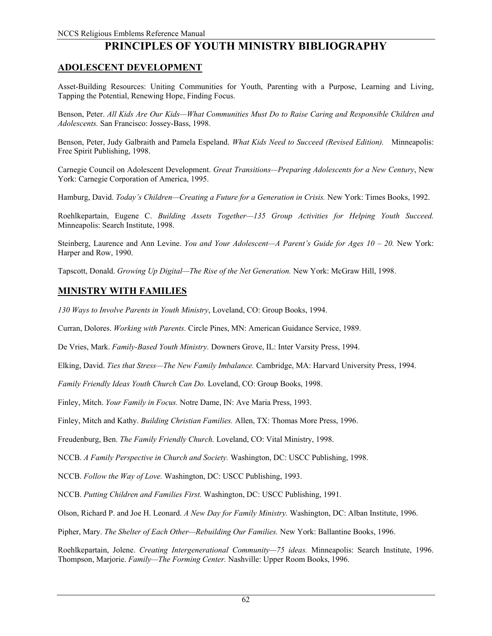# **PRINCIPLES OF YOUTH MINISTRY BIBLIOGRAPHY**

## **ADOLESCENT DEVELOPMENT**

Asset-Building Resources: Uniting Communities for Youth, Parenting with a Purpose, Learning and Living, Tapping the Potential, Renewing Hope, Finding Focus.

Benson, Peter. *All Kids Are Our Kids—What Communities Must Do to Raise Caring and Responsible Children and Adolescents.* San Francisco: Jossey-Bass, 1998.

Benson, Peter, Judy Galbraith and Pamela Espeland. *What Kids Need to Succeed (Revised Edition).* Minneapolis: Free Spirit Publishing, 1998.

Carnegie Council on Adolescent Development. *Great Transitions—Preparing Adolescents for a New Century*, New York: Carnegie Corporation of America, 1995.

Hamburg, David. *Today's Children—Creating a Future for a Generation in Crisis.* New York: Times Books, 1992.

Roehlkepartain, Eugene C. *Building Assets Together—135 Group Activities for Helping Youth Succeed.*  Minneapolis: Search Institute, 1998.

Steinberg, Laurence and Ann Levine. *You and Your Adolescent—A Parent's Guide for Ages 10 – 20.* New York: Harper and Row, 1990.

Tapscott, Donald. *Growing Up Digital—The Rise of the Net Generation.* New York: McGraw Hill, 1998.

### **MINISTRY WITH FAMILIES**

*130 Ways to Involve Parents in Youth Ministry*, Loveland, CO: Group Books, 1994.

Curran, Dolores. *Working with Parents.* Circle Pines, MN: American Guidance Service, 1989.

De Vries, Mark. *Family-Based Youth Ministry.* Downers Grove, IL: Inter Varsity Press, 1994.

Elking, David. *Ties that Stress—The New Family Imbalance.* Cambridge, MA: Harvard University Press, 1994.

*Family Friendly Ideas Youth Church Can Do.* Loveland, CO: Group Books, 1998.

Finley, Mitch. *Your Family in Focus.* Notre Dame, IN: Ave Maria Press, 1993.

Finley, Mitch and Kathy. *Building Christian Families.* Allen, TX: Thomas More Press, 1996.

Freudenburg, Ben. *The Family Friendly Church.* Loveland, CO: Vital Ministry, 1998.

NCCB. *A Family Perspective in Church and Society.* Washington, DC: USCC Publishing, 1998.

NCCB. *Follow the Way of Love.* Washington, DC: USCC Publishing, 1993.

NCCB. *Putting Children and Families First.* Washington, DC: USCC Publishing, 1991.

Olson, Richard P. and Joe H. Leonard. *A New Day for Family Ministry.* Washington, DC: Alban Institute, 1996.

Pipher, Mary. *The Shelter of Each Other—Rebuilding Our Families.* New York: Ballantine Books, 1996.

Roehlkepartain, Jolene. *Creating Intergenerational Community—75 ideas.* Minneapolis: Search Institute, 1996. Thompson, Marjorie. *Family—The Forming Center.* Nashville: Upper Room Books, 1996.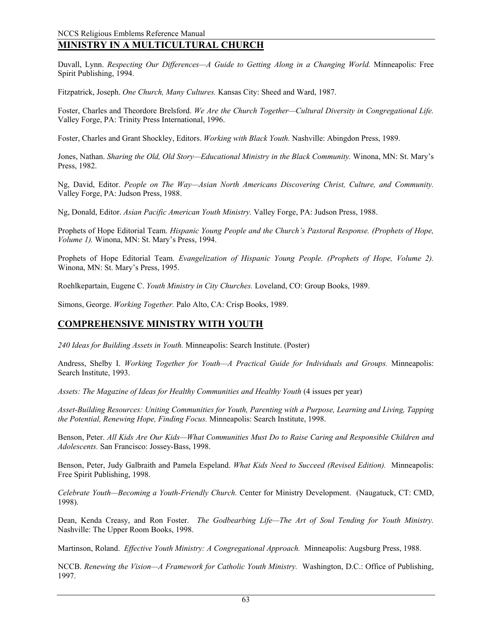# **MINISTRY IN A MULTICULTURAL CHURCH**

Duvall, Lynn. *Respecting Our Differences—A Guide to Getting Along in a Changing World.* Minneapolis: Free Spirit Publishing, 1994.

Fitzpatrick, Joseph. *One Church, Many Cultures.* Kansas City: Sheed and Ward, 1987.

Foster, Charles and Theordore Brelsford. *We Are the Church Together—Cultural Diversity in Congregational Life.* Valley Forge, PA: Trinity Press International, 1996.

Foster, Charles and Grant Shockley, Editors. *Working with Black Youth.* Nashville: Abingdon Press, 1989.

Jones, Nathan. *Sharing the Old, Old Story—Educational Ministry in the Black Community.* Winona, MN: St. Mary's Press, 1982.

Ng, David, Editor. *People on The Way—Asian North Americans Discovering Christ, Culture, and Community.*  Valley Forge, PA: Judson Press, 1988.

Ng, Donald, Editor. *Asian Pacific American Youth Ministry.* Valley Forge, PA: Judson Press, 1988.

Prophets of Hope Editorial Team. *Hispanic Young People and the Church's Pastoral Response. (Prophets of Hope, Volume 1).* Winona, MN: St. Mary's Press, 1994.

Prophets of Hope Editorial Team. *Evangelization of Hispanic Young People. (Prophets of Hope, Volume 2).*  Winona, MN: St. Mary's Press, 1995.

Roehlkepartain, Eugene C. *Youth Ministry in City Churches.* Loveland, CO: Group Books, 1989.

Simons, George. *Working Together.* Palo Alto, CA: Crisp Books, 1989.

### **COMPREHENSIVE MINISTRY WITH YOUTH**

*240 Ideas for Building Assets in Youth.* Minneapolis: Search Institute. (Poster)

Andress, Shelby I. *Working Together for Youth—A Practical Guide for Individuals and Groups.* Minneapolis: Search Institute, 1993.

Assets: The Magazine of Ideas for Healthy Communities and Healthy Youth (4 issues per year)

*Asset-Building Resources: Uniting Communities for Youth, Parenting with a Purpose, Learning and Living, Tapping the Potential, Renewing Hope, Finding Focus.* Minneapolis: Search Institute, 1998.

Benson, Peter. *All Kids Are Our Kids—What Communities Must Do to Raise Caring and Responsible Children and Adolescents.* San Francisco: Jossey-Bass, 1998.

Benson, Peter, Judy Galbraith and Pamela Espeland. *What Kids Need to Succeed (Revised Edition).* Minneapolis: Free Spirit Publishing, 1998.

*Celebrate Youth—Becoming a Youth-Friendly Church.* Center for Ministry Development. (Naugatuck, CT: CMD, 1998).

Dean, Kenda Creasy, and Ron Foster. *The Godbearbing Life—The Art of Soul Tending for Youth Ministry.*  Nashville: The Upper Room Books, 1998.

Martinson, Roland. *Effective Youth Ministry: A Congregational Approach.* Minneapolis: Augsburg Press, 1988.

NCCB. *Renewing the Vision—A Framework for Catholic Youth Ministry.* Washington, D.C.: Office of Publishing, 1997.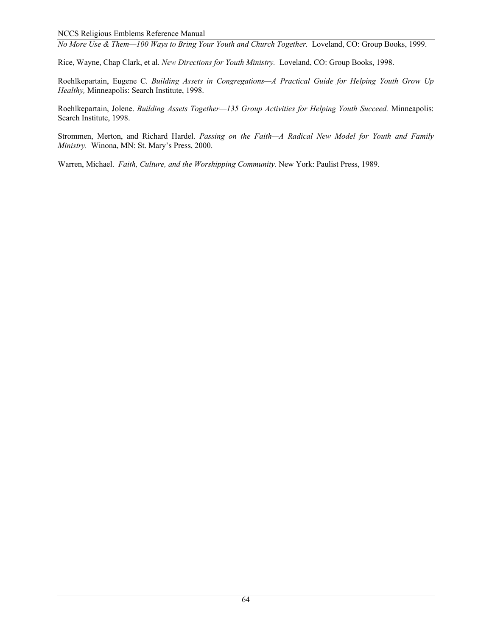*No More Use & Them—100 Ways to Bring Your Youth and Church Together.* Loveland, CO: Group Books, 1999.

Rice, Wayne, Chap Clark, et al. *New Directions for Youth Ministry.* Loveland, CO: Group Books, 1998.

Roehlkepartain, Eugene C. *Building Assets in Congregations—A Practical Guide for Helping Youth Grow Up Healthy,* Minneapolis: Search Institute, 1998.

Roehlkepartain, Jolene. *Building Assets Together—135 Group Activities for Helping Youth Succeed.* Minneapolis: Search Institute, 1998.

Strommen, Merton, and Richard Hardel. *Passing on the Faith—A Radical New Model for Youth and Family Ministry.* Winona, MN: St. Mary's Press, 2000.

Warren, Michael. *Faith, Culture, and the Worshipping Community.* New York: Paulist Press, 1989.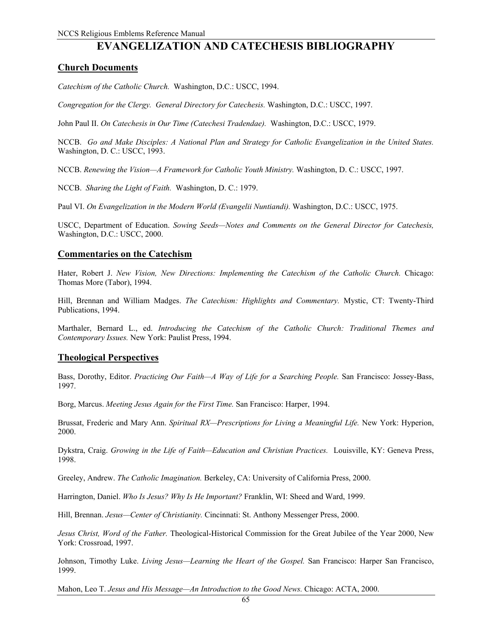# **EVANGELIZATION AND CATECHESIS BIBLIOGRAPHY**

### **Church Documents**

*Catechism of the Catholic Church.* Washington, D.C.: USCC, 1994.

*Congregation for the Clergy. General Directory for Catechesis.* Washington, D.C.: USCC, 1997.

John Paul II. *On Catechesis in Our Time (Catechesi Tradendae).* Washington, D.C.: USCC, 1979.

NCCB. *Go and Make Disciples: A National Plan and Strategy for Catholic Evangelization in the United States.*  Washington, D. C.: USCC, 1993.

NCCB. *Renewing the Vision—A Framework for Catholic Youth Ministry.* Washington, D. C.: USCC, 1997.

NCCB. *Sharing the Light of Faith.* Washington, D. C.: 1979.

Paul VI. *On Evangelization in the Modern World (Evangelii Nuntiandi).* Washington, D.C.: USCC, 1975.

USCC, Department of Education. *Sowing Seeds—Notes and Comments on the General Director for Catechesis,*  Washington, D.C.: USCC, 2000.

### **Commentaries on the Catechism**

Hater, Robert J. *New Vision, New Directions: Implementing the Catechism of the Catholic Church.* Chicago: Thomas More (Tabor), 1994.

Hill, Brennan and William Madges. *The Catechism: Highlights and Commentary.* Mystic, CT: Twenty-Third Publications, 1994.

Marthaler, Bernard L., ed. *Introducing the Catechism of the Catholic Church: Traditional Themes and Contemporary Issues.* New York: Paulist Press, 1994.

### **Theological Perspectives**

Bass, Dorothy, Editor. *Practicing Our Faith—A Way of Life for a Searching People.* San Francisco: Jossey-Bass, 1997.

Borg, Marcus. *Meeting Jesus Again for the First Time.* San Francisco: Harper, 1994.

Brussat, Frederic and Mary Ann. *Spiritual RX—Prescriptions for Living a Meaningful Life.* New York: Hyperion, 2000.

Dykstra, Craig. *Growing in the Life of Faith—Education and Christian Practices.* Louisville, KY: Geneva Press, 1998.

Greeley, Andrew. *The Catholic Imagination.* Berkeley, CA: University of California Press, 2000.

Harrington, Daniel. *Who Is Jesus? Why Is He Important?* Franklin, WI: Sheed and Ward, 1999.

Hill, Brennan. *Jesus—Center of Christianity.* Cincinnati: St. Anthony Messenger Press, 2000.

*Jesus Christ, Word of the Father.* Theological-Historical Commission for the Great Jubilee of the Year 2000, New York: Crossroad, 1997.

Johnson, Timothy Luke. *Living Jesus—Learning the Heart of the Gospel.* San Francisco: Harper San Francisco, 1999.

Mahon, Leo T. *Jesus and His Message—An Introduction to the Good News.* Chicago: ACTA, 2000.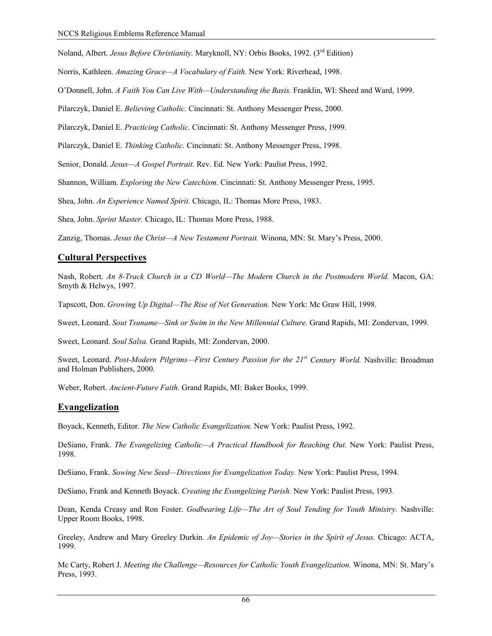Noland, Albert. *Jesus Before Christianity.* Maryknoll, NY: Orbis Books, 1992. (3rd Edition)

Norris, Kathleen. *Amazing Grace—A Vocabulary of Faith.* New York: Riverhead, 1998.

O'Donnell, John. *A Faith You Can Live With—Understanding the Basis.* Franklin, WI: Sheed and Ward, 1999.

Pilarczyk, Daniel E. *Believing Catholic.* Cincinnati: St. Anthony Messenger Press, 2000.

Pilarczyk, Daniel E. *Practicing Catholic.* Cincinnati: St. Anthony Messenger Press, 1999.

Pilarczyk, Daniel E. *Thinking Catholic.* Cincinnati: St. Anthony Messenger Press, 1998.

Senior, Donald. *Jesus—A Gospel Portrait.* Rev. Ed. New York: Paulist Press, 1992.

Shannon, William. *Exploring the New Catechism.* Cincinnati: St. Anthony Messenger Press, 1995.

Shea, John. *An Experience Named Spirit.* Chicago, IL: Thomas More Press, 1983.

Shea, John. *Sprint Master.* Chicago, IL: Thomas More Press, 1988.

Zanzig, Thomas. *Jesus the Christ—A New Testament Portrait.* Winona, MN: St. Mary's Press, 2000.

### **Cultural Perspectives**

Nash, Robert. *An 8-Track Church in a CD World—The Modern Church in the Postmodern World.* Macon, GA: Smyth & Helwys, 1997.

Tapscott, Don. *Growing Up Digital—The Rise of Net Generation.* New York: Mc Graw Hill, 1998.

Sweet, Leonard. *Sout Tsuname—Sink or Swim in the New Millennial Culture.* Grand Rapids, MI: Zondervan, 1999.

Sweet, Leonard. *Soul Salsa.* Grand Rapids, MI: Zondervan, 2000.

Sweet, Leonard. *Post-Modern Pilgrims—First Century Passion for the 21st Century World.* Nashville: Broadman and Holman Publishers, 2000.

Weber, Robert. *Ancient-Future Faith.* Grand Rapids, MI: Baker Books, 1999.

### **Evangelization**

Boyack, Kenneth, Editor. *The New Catholic Evangelization.* New York: Paulist Press, 1992.

DeSiano, Frank. *The Evangelizing Catholic—A Practical Handbook for Reaching Out.* New York: Paulist Press, 1998.

DeSiano, Frank. *Sowing New Seed—Directions for Evangelization Today.* New York: Paulist Press, 1994.

DeSiano, Frank and Kenneth Boyack. *Creating the Evangelizing Parish.* New York: Paulist Press, 1993.

Dean, Kenda Creasy and Ron Foster. *Godbearing Life—The Art of Soul Tending for Youth Ministry*. Nashville: Upper Room Books, 1998.

Greeley, Andrew and Mary Greeley Durkin. *An Epidemic of Joy—Stories in the Spirit of Jesus.* Chicago: ACTA, 1999.

Mc Carty, Robert J. *Meeting the Challenge—Resources for Catholic Youth Evangelization.* Winona, MN: St. Mary's Press, 1993.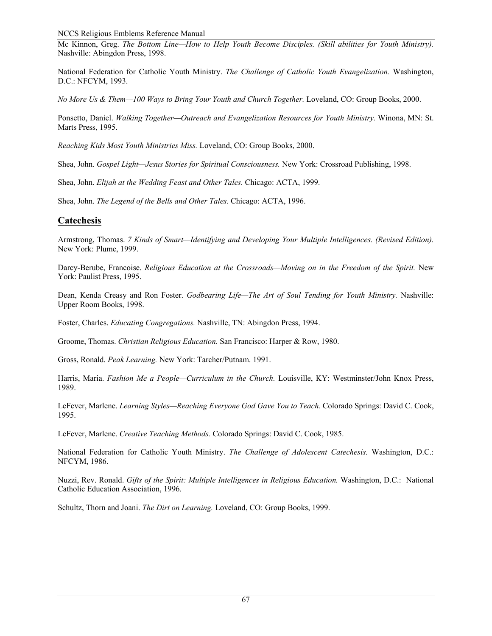NCCS Religious Emblems Reference Manual

Mc Kinnon, Greg. *The Bottom Line—How to Help Youth Become Disciples. (Skill abilities for Youth Ministry).*  Nashville: Abingdon Press, 1998.

National Federation for Catholic Youth Ministry. *The Challenge of Catholic Youth Evangelization.* Washington, D.C.: NFCYM, 1993.

*No More Us & Them—100 Ways to Bring Your Youth and Church Together.* Loveland, CO: Group Books, 2000.

Ponsetto, Daniel. *Walking Together—Outreach and Evangelization Resources for Youth Ministry.* Winona, MN: St. Marts Press, 1995.

*Reaching Kids Most Youth Ministries Miss.* Loveland, CO: Group Books, 2000.

Shea, John. *Gospel Light—Jesus Stories for Spiritual Consciousness.* New York: Crossroad Publishing, 1998.

Shea, John. *Elijah at the Wedding Feast and Other Tales.* Chicago: ACTA, 1999.

Shea, John. *The Legend of the Bells and Other Tales.* Chicago: ACTA, 1996.

### **Catechesis**

Armstrong, Thomas. *7 Kinds of Smart—Identifying and Developing Your Multiple Intelligences. (Revised Edition).*  New York: Plume, 1999.

Darcy-Berube, Francoise. *Religious Education at the Crossroads—Moving on in the Freedom of the Spirit.* New York: Paulist Press, 1995.

Dean, Kenda Creasy and Ron Foster. *Godbearing Life—The Art of Soul Tending for Youth Ministry*. Nashville: Upper Room Books, 1998.

Foster, Charles. *Educating Congregations.* Nashville, TN: Abingdon Press, 1994.

Groome, Thomas. *Christian Religious Education.* San Francisco: Harper & Row, 1980.

Gross, Ronald. *Peak Learning.* New York: Tarcher/Putnam. 1991.

Harris, Maria. *Fashion Me a People—Curriculum in the Church.* Louisville, KY: Westminster/John Knox Press, 1989.

LeFever, Marlene. *Learning Styles—Reaching Everyone God Gave You to Teach.* Colorado Springs: David C. Cook, 1995.

LeFever, Marlene. *Creative Teaching Methods.* Colorado Springs: David C. Cook, 1985.

National Federation for Catholic Youth Ministry. *The Challenge of Adolescent Catechesis.* Washington, D.C.: NFCYM, 1986.

Nuzzi, Rev. Ronald. *Gifts of the Spirit: Multiple Intelligences in Religious Education.* Washington, D.C.: National Catholic Education Association, 1996.

Schultz, Thorn and Joani. *The Dirt on Learning.* Loveland, CO: Group Books, 1999.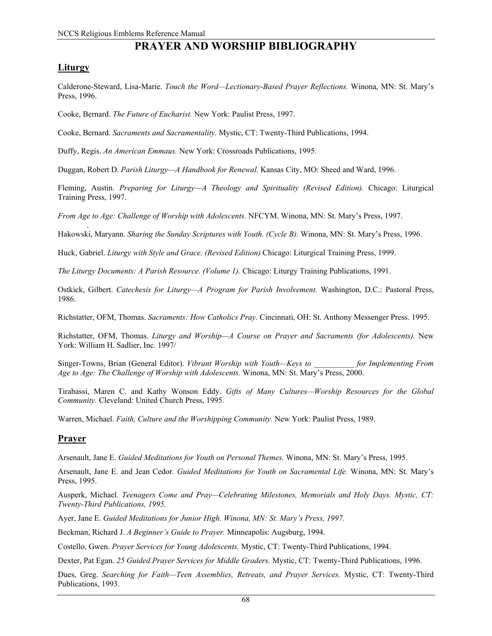# **PRAYER AND WORSHIP BIBLIOGRAPHY**

## **Liturgy**

Calderone-Steward, Lisa-Marie. *Touch the Word—Lectionary-Based Prayer Reflections.* Winona, MN: St. Mary's Press, 1996.

Cooke, Bernard. *The Future of Eucharist.* New York: Paulist Press, 1997.

Cooke, Bernard. *Sacraments and Sacramentality.* Mystic, CT: Twenty-Third Publications, 1994.

Duffy, Regis. *An American Emmaus.* New York: Crossroads Publications, 1995.

Duggan, Robert D. *Parish Liturgy—A Handbook for Renewal.* Kansas City, MO: Sheed and Ward, 1996.

Fleming, Austin. *Preparing for Liturgy—A Theology and Spirituality (Revised Edition).* Chicago: Liturgical Training Press, 1997.

*From Age to Age: Challenge of Worship with Adolescents.* NFCYM. Winona, MN: St. Mary's Press, 1997.

 . Hakowski, Maryann. *Sharing the Sunday Scriptures with Youth. (Cycle B).* Winona, MN: St. Mary's Press, 1996.

Huck, Gabriel. *Liturgy with Style and Grace. (Revised Edition)* Chicago: Liturgical Training Press, 1999.

*The Liturgy Documents: A Parish Resource. (Volume 1).* Chicago: Liturgy Training Publications, 1991.

Ostkick, Gilbert. *Catechesis for Liturgy—A Program for Parish Involvement.* Washington, D.C.: Pastoral Press, 1986.

Richstatter, OFM, Thomas. *Sacraments: How Catholics Pray.* Cincinnati, OH: St. Anthony Messenger Press. 1995.

Richstatter, OFM, Thomas. *Liturgy and Worship—A Course on Prayer and Sacraments (for Adolescents).* New York: William H. Sadlier, Inc. 1997/

Singer-Towns, Brian (General Editor). *Vibrant Worship with Youth—Keys to \_\_\_\_\_\_\_\_\_\_ for Implementing From Age to Age: The Challenge of Worship with Adolescents.* Winona, MN: St. Mary's Press, 2000.

Tirabassi, Maren C. and Kathy Wonson Eddy. *Gifts of Many Cultures—Worship Resources for the Global Community.* Cleveland: United Church Press, 1995.

Warren, Michael. *Faith, Culture and the Worshipping Community.* New York: Paulist Press, 1989.

### **Prayer**

Arsenault, Jane E. *Guided Meditations for Youth on Personal Themes.* Winona, MN: St. Mary's Press, 1995.

Arsenault, Jane E. and Jean Cedor. *Guided Meditations for Youth on Sacramental Life.* Winona, MN: St. Mary's Press, 1995.

Ausperk, Michael. *Teenagers Come and Pray—Celebrating Milestones, Memorials and Holy Days. Mystic, CT: Twenty-Third Publications, 1995.* 

Ayer, Jane E. *Guided Meditations for Junior High. Winona, MN: St. Mary's Press, 1997.* 

Beckman, Richard J. *A Beginner's Guide to Prayer.* Minneapolis: Augsburg, 1994.

Costello, Gwen. *Prayer Services for Young Adolescents.* Mystic, CT: Twenty-Third Publications, 1994.

Dexter, Pat Egan. *25 Guided Prayer Services for Middle Graders.* Mystic, CT: Twenty-Third Publications, 1996.

Dues, Greg. *Searching for Faith—Teen Assemblies, Retreats, and Prayer Services.* Mystic, CT: Twenty-Third Publications, 1993.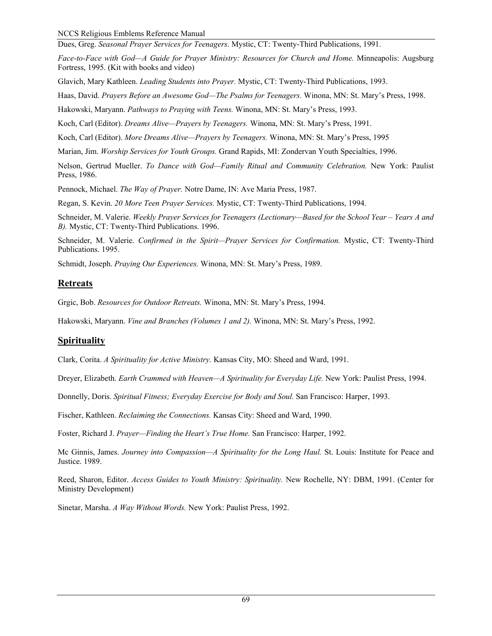Dues, Greg. *Seasonal Prayer Services for Teenagers.* Mystic, CT: Twenty-Third Publications, 1991.

*Face-to-Face with God—A Guide for Prayer Ministry: Resources for Church and Home. Minneapolis: Augsburg* Fortress, 1995. (Kit with books and video)

Glavich, Mary Kathleen. *Leading Students into Prayer.* Mystic, CT: Twenty-Third Publications, 1993.

Haas, David. *Prayers Before an Awesome God—The Psalms for Teenagers.* Winona, MN: St. Mary's Press, 1998.

Hakowski, Maryann. *Pathways to Praying with Teens.* Winona, MN: St. Mary's Press, 1993.

Koch, Carl (Editor). *Dreams Alive—Prayers by Teenagers.* Winona, MN: St. Mary's Press, 1991.

Koch, Carl (Editor). *More Dreams Alive—Prayers by Teenagers.* Winona, MN: St. Mary's Press, 1995

Marian, Jim. *Worship Services for Youth Groups.* Grand Rapids, MI: Zondervan Youth Specialties, 1996.

Nelson, Gertrud Mueller. *To Dance with God—Family Ritual and Community Celebration.* New York: Paulist Press, 1986.

Pennock, Michael. *The Way of Prayer.* Notre Dame, IN: Ave Maria Press, 1987.

Regan, S. Kevin. *20 More Teen Prayer Services.* Mystic, CT: Twenty-Third Publications, 1994.

Schneider, M. Valerie. *Weekly Prayer Services for Teenagers (Lectionary—Based for the School Year – Years A and B).* Mystic, CT: Twenty-Third Publications. 1996.

Schneider, M. Valerie. *Confirmed in the Spirit—Prayer Services for Confirmation.* Mystic, CT: Twenty-Third Publications. 1995.

Schmidt, Joseph. *Praying Our Experiences.* Winona, MN: St. Mary's Press, 1989.

# **Retreats**

Grgic, Bob. *Resources for Outdoor Retreats.* Winona, MN: St. Mary's Press, 1994.

Hakowski, Maryann. *Vine and Branches (Volumes 1 and 2).* Winona, MN: St. Mary's Press, 1992.

# **Spirituality**

Clark, Corita. *A Spirituality for Active Ministry.* Kansas City, MO: Sheed and Ward, 1991.

Dreyer, Elizabeth. *Earth Crammed with Heaven—A Spirituality for Everyday Life*. New York: Paulist Press, 1994.

Donnelly, Doris. *Spiritual Fitness; Everyday Exercise for Body and Soul.* San Francisco: Harper, 1993.

Fischer, Kathleen. *Reclaiming the Connections.* Kansas City: Sheed and Ward, 1990.

Foster, Richard J. *Prayer—Finding the Heart's True Home.* San Francisco: Harper, 1992.

Mc Ginnis, James. *Journey into Compassion—A Spirituality for the Long Haul.* St. Louis: Institute for Peace and Justice. 1989.

Reed, Sharon, Editor. *Access Guides to Youth Ministry: Spirituality.* New Rochelle, NY: DBM, 1991. (Center for Ministry Development)

Sinetar, Marsha. *A Way Without Words.* New York: Paulist Press, 1992.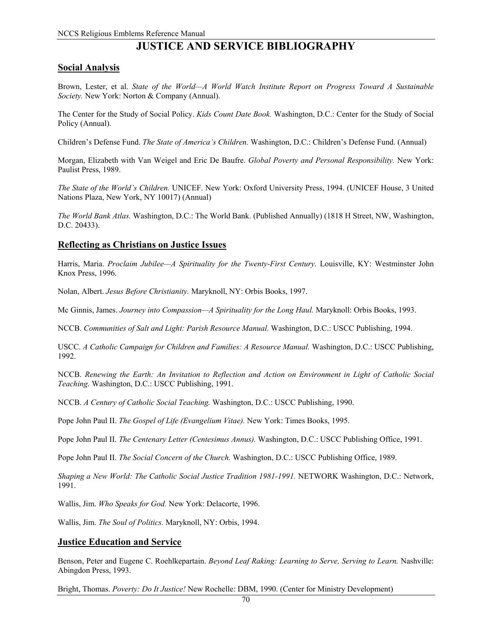# **JUSTICE AND SERVICE BIBLIOGRAPHY**

## **Social Analysis**

Brown, Lester, et al. *State of the World—A World Watch Institute Report on Progress Toward A Sustainable Society.* New York: Norton & Company (Annual).

The Center for the Study of Social Policy. *Kids Count Date Book.* Washington, D.C.: Center for the Study of Social Policy (Annual).

Children's Defense Fund. *The State of America's Children.* Washington, D.C.: Children's Defense Fund. (Annual)

Morgan, Elizabeth with Van Weigel and Eric De Baufre. *Global Poverty and Personal Responsibility.* New York: Paulist Press, 1989.

*The State of the World's Children.* UNICEF. New York: Oxford University Press, 1994. (UNICEF House, 3 United Nations Plaza, New York, NY 10017) (Annual)

*The World Bank Atlas.* Washington, D.C.: The World Bank. (Published Annually) (1818 H Street, NW, Washington, D.C. 20433).

## **Reflecting as Christians on Justice Issues**

Harris, Maria. *Proclaim Jubilee—A Spirituality for the Twenty-First Century.* Louisville, KY: Westminster John Knox Press, 1996.

Nolan, Albert. *Jesus Before Christianity.* Maryknoll, NY: Orbis Books, 1997.

Mc Ginnis, James. *Journey into Compassion—A Spirituality for the Long Haul.* Maryknoll: Orbis Books, 1993.

NCCB. *Communities of Salt and Light: Parish Resource Manual.* Washington, D.C.: USCC Publishing, 1994.

USCC. *A Catholic Campaign for Children and Families: A Resource Manual.* Washington, D.C.: USCC Publishing, 1992.

NCCB. *Renewing the Earth: An Invitation to Reflection and Action on Environment in Light of Catholic Social Teaching.* Washington, D.C.: USCC Publishing, 1991.

NCCB. *A Century of Catholic Social Teaching.* Washington, D.C.: USCC Publishing, 1990.

Pope John Paul II. *The Gospel of Life (Evangelium Vitae).* New York: Times Books, 1995.

Pope John Paul II. *The Centenary Letter (Centesimus Annus).* Washington, D.C.: USCC Publishing Office, 1991.

Pope John Paul II. *The Social Concern of the Church.* Washington, D.C.: USCC Publishing Office, 1989.

*Shaping a New World: The Catholic Social Justice Tradition 1981-1991.* NETWORK Washington, D.C.: Network, 1991.

Wallis, Jim. *Who Speaks for God.* New York: Delacorte, 1996.

Wallis, Jim. *The Soul of Politics.* Maryknoll, NY: Orbis, 1994.

#### **Justice Education and Service**

Benson, Peter and Eugene C. Roehlkepartain. *Beyond Leaf Raking: Learning to Serve, Serving to Learn.* Nashville: Abingdon Press, 1993.

Bright, Thomas. *Poverty: Do It Justice!* New Rochelle: DBM, 1990. (Center for Ministry Development)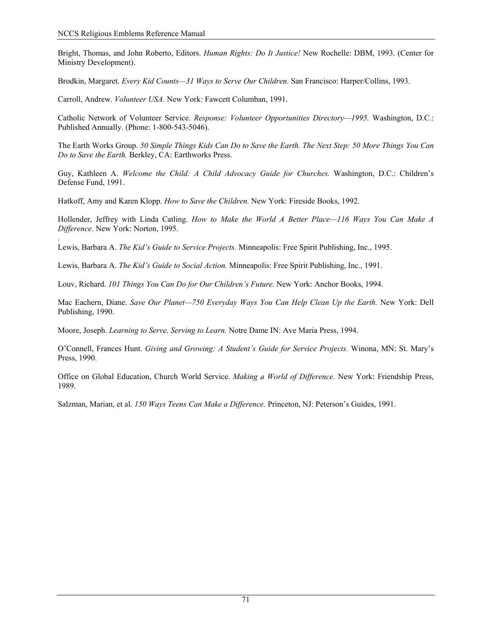Bright, Thomas, and John Roberto, Editors. *Human Rights: Do It Justice!* New Rochelle: DBM, 1993. (Center for Ministry Development).

Brodkin, Margaret. *Every Kid Counts—31 Ways to Serve Our Children.* San Francisco: Harper/Collins, 1993.

Carroll, Andrew. *Volunteer USA.* New York: Fawcett Columban, 1991.

Catholic Network of Volunteer Service. *Response: Volunteer Opportunities Directory—1995.* Washington, D.C.: Published Annually. (Phone: 1-800-543-5046).

The Earth Works Group. *50 Simple Things Kids Can Do to Save the Earth. The Next Step: 50 More Things You Can Do to Save the Earth.* Berkley, CA: Earthworks Press.

Guy, Kathleen A. *Welcome the Child: A Child Advocacy Guide for Churches.* Washington, D.C.: Children's Defense Fund, 1991.

Hatkoff, Amy and Karen Klopp. *How to Save the Children.* New York: Fireside Books, 1992.

Hollender, Jeffrey with Linda Catling. *How to Make the World A Better Place—116 Ways You Can Make A Difference.* New York: Norton, 1995.

. Lewis, Barbara A. *The Kid's Guide to Service Projects.* Minneapolis: Free Spirit Publishing, Inc., 1995.

Lewis, Barbara A. *The Kid's Guide to Social Action.* Minneapolis: Free Spirit Publishing, Inc., 1991.

Louv, Richard. *101 Things You Can Do for Our Children's Future.* New York: Anchor Books, 1994.

Mac Eachern, Diane. *Save Our Planet—750 Everyday Ways You Can Help Clean Up the Earth.* New York: Dell Publishing, 1990.

Moore, Joseph. *Learning to Serve, Serving to Learn.* Notre Dame IN: Ave Maria Press, 1994.

O'Connell, Frances Hunt. *Giving and Growing: A Student's Guide for Service Projects.* Winona, MN: St. Mary's Press, 1990.

Office on Global Education, Church World Service. *Making a World of Difference.* New York: Friendship Press, 1989.

Salzman, Marian, et al. *150 Ways Teens Can Make a Difference.* Princeton, NJ: Peterson's Guides, 1991.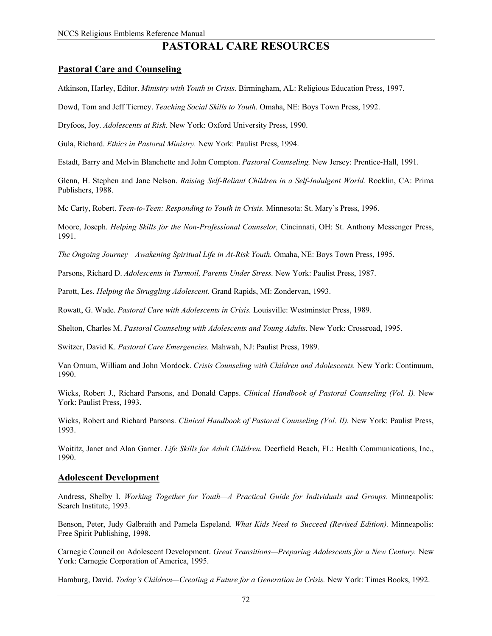# **PASTORAL CARE RESOURCES**

# **Pastoral Care and Counseling**

Atkinson, Harley, Editor. *Ministry with Youth in Crisis.* Birmingham, AL: Religious Education Press, 1997.

Dowd, Tom and Jeff Tierney. *Teaching Social Skills to Youth.* Omaha, NE: Boys Town Press, 1992.

Dryfoos, Joy. *Adolescents at Risk.* New York: Oxford University Press, 1990.

Gula, Richard. *Ethics in Pastoral Ministry.* New York: Paulist Press, 1994.

Estadt, Barry and Melvin Blanchette and John Compton. *Pastoral Counseling.* New Jersey: Prentice-Hall, 1991.

Glenn, H. Stephen and Jane Nelson. *Raising Self-Reliant Children in a Self-Indulgent World.* Rocklin, CA: Prima Publishers, 1988.

Mc Carty, Robert. *Teen-to-Teen: Responding to Youth in Crisis.* Minnesota: St. Mary's Press, 1996.

Moore, Joseph. *Helping Skills for the Non-Professional Counselor,* Cincinnati, OH: St. Anthony Messenger Press, 1991.

*The Ongoing Journey—Awakening Spiritual Life in At-Risk Youth.* Omaha, NE: Boys Town Press, 1995.

Parsons, Richard D. *Adolescents in Turmoil, Parents Under Stress.* New York: Paulist Press, 1987.

Parott, Les. *Helping the Struggling Adolescent.* Grand Rapids, MI: Zondervan, 1993.

Rowatt, G. Wade. *Pastoral Care with Adolescents in Crisis.* Louisville: Westminster Press, 1989.

Shelton, Charles M. *Pastoral Counseling with Adolescents and Young Adults.* New York: Crossroad, 1995.

Switzer, David K. *Pastoral Care Emergencies.* Mahwah, NJ: Paulist Press, 1989.

Van Ornum, William and John Mordock. *Crisis Counseling with Children and Adolescents.* New York: Continuum, 1990.

Wicks, Robert J., Richard Parsons, and Donald Capps. *Clinical Handbook of Pastoral Counseling (Vol. I).* New York: Paulist Press, 1993.

Wicks, Robert and Richard Parsons. *Clinical Handbook of Pastoral Counseling (Vol. II).* New York: Paulist Press, 1993.

Woititz, Janet and Alan Garner. *Life Skills for Adult Children.* Deerfield Beach, FL: Health Communications, Inc., 1990.

#### **Adolescent Development**

Andress, Shelby I. *Working Together for Youth—A Practical Guide for Individuals and Groups.* Minneapolis: Search Institute, 1993.

Benson, Peter, Judy Galbraith and Pamela Espeland. *What Kids Need to Succeed (Revised Edition).* Minneapolis: Free Spirit Publishing, 1998.

Carnegie Council on Adolescent Development. *Great Transitions—Preparing Adolescents for a New Century.* New York: Carnegie Corporation of America, 1995.

Hamburg, David. *Today's Children—Creating a Future for a Generation in Crisis.* New York: Times Books, 1992.